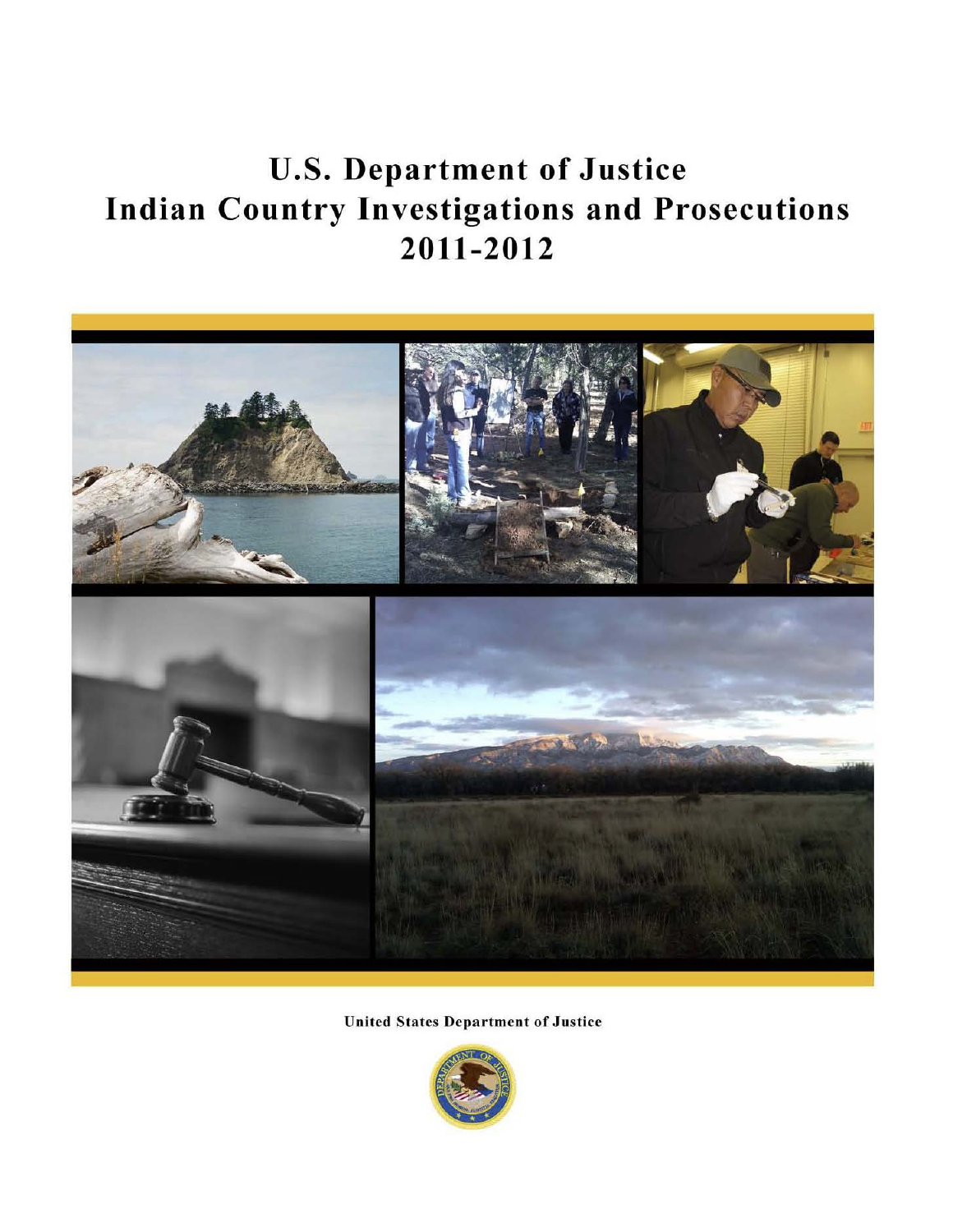# U.S. Department of Justice Indian Country Investigations and Prosecutions 2011-2012



United States Department of Justice

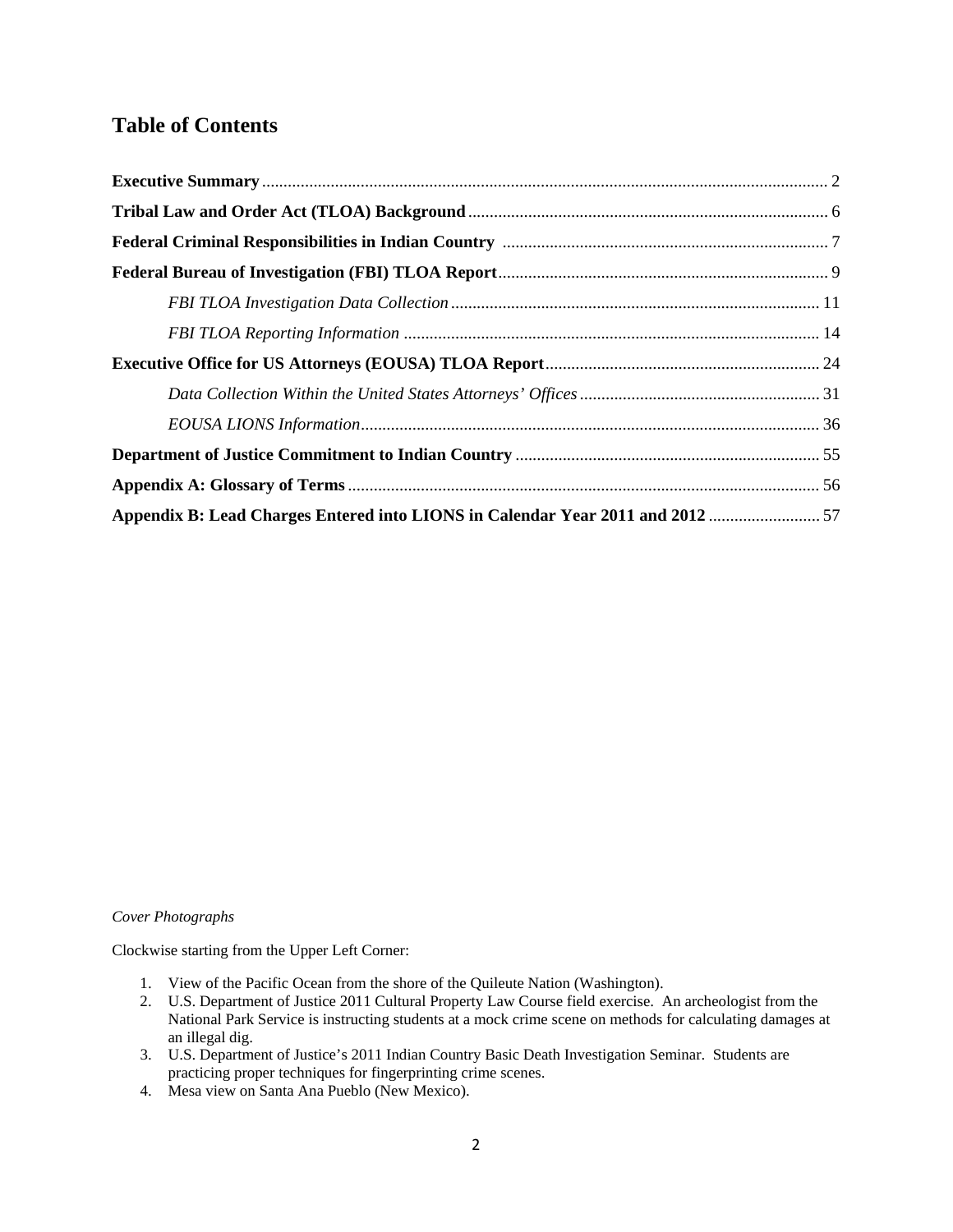# **Table of Contents**

| Appendix B: Lead Charges Entered into LIONS in Calendar Year 2011 and 2012  57 |  |
|--------------------------------------------------------------------------------|--|

#### *Cover Photographs*

Clockwise starting from the Upper Left Corner:

- 1. View of the Pacific Ocean from the shore of the Quileute Nation (Washington).
- 2. U.S. Department of Justice 2011 Cultural Property Law Course field exercise. An archeologist from the National Park Service is instructing students at a mock crime scene on methods for calculating damages at an illegal dig.
- 3. U.S. Department of Justice's 2011 Indian Country Basic Death Investigation Seminar. Students are practicing proper techniques for fingerprinting crime scenes.
- 4. Mesa view on Santa Ana Pueblo (New Mexico).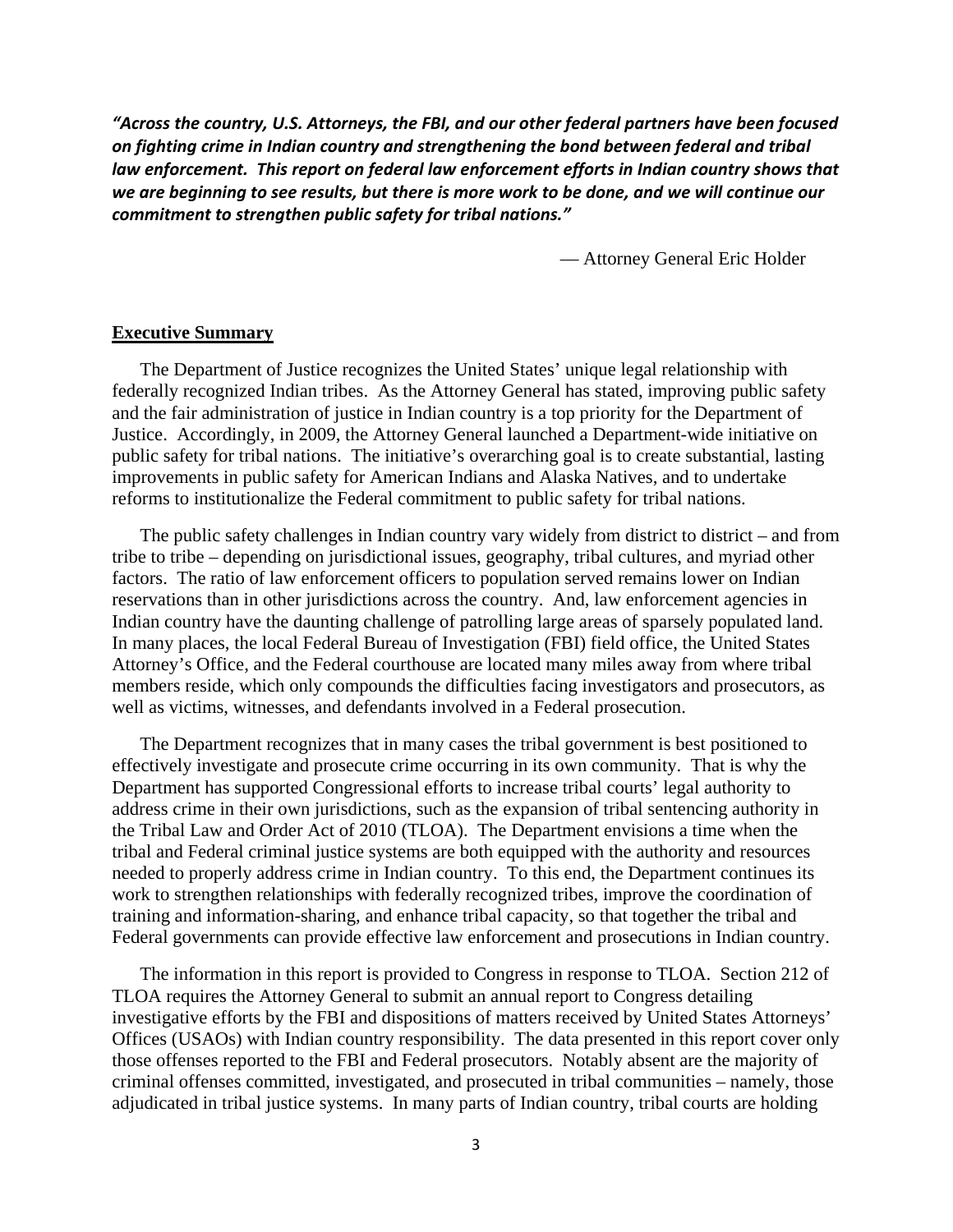*"Across the country, U.S. Attorneys, the FBI, and our other federal partners have been focused on fighting crime in Indian country and strengthening the bond between federal and tribal law enforcement. This report on federal law enforcement efforts in Indian country shows that we are beginning to see results, but there is more work to be done, and we will continue our commitment to strengthen public safety for tribal nations."*

— Attorney General Eric Holder

#### **Executive Summary**

The Department of Justice recognizes the United States' unique legal relationship with federally recognized Indian tribes. As the Attorney General has stated, improving public safety and the fair administration of justice in Indian country is a top priority for the Department of Justice. Accordingly, in 2009, the Attorney General launched a Department-wide initiative on public safety for tribal nations. The initiative's overarching goal is to create substantial, lasting improvements in public safety for American Indians and Alaska Natives, and to undertake reforms to institutionalize the Federal commitment to public safety for tribal nations.

The public safety challenges in Indian country vary widely from district to district – and from tribe to tribe – depending on jurisdictional issues, geography, tribal cultures, and myriad other factors. The ratio of law enforcement officers to population served remains lower on Indian reservations than in other jurisdictions across the country. And, law enforcement agencies in Indian country have the daunting challenge of patrolling large areas of sparsely populated land. In many places, the local Federal Bureau of Investigation (FBI) field office, the United States Attorney's Office, and the Federal courthouse are located many miles away from where tribal members reside, which only compounds the difficulties facing investigators and prosecutors, as well as victims, witnesses, and defendants involved in a Federal prosecution.

The Department recognizes that in many cases the tribal government is best positioned to effectively investigate and prosecute crime occurring in its own community. That is why the Department has supported Congressional efforts to increase tribal courts' legal authority to address crime in their own jurisdictions, such as the expansion of tribal sentencing authority in the Tribal Law and Order Act of 2010 (TLOA). The Department envisions a time when the tribal and Federal criminal justice systems are both equipped with the authority and resources needed to properly address crime in Indian country. To this end, the Department continues its work to strengthen relationships with federally recognized tribes, improve the coordination of training and information-sharing, and enhance tribal capacity, so that together the tribal and Federal governments can provide effective law enforcement and prosecutions in Indian country.

The information in this report is provided to Congress in response to TLOA. Section 212 of TLOA requires the Attorney General to submit an annual report to Congress detailing investigative efforts by the FBI and dispositions of matters received by United States Attorneys' Offices (USAOs) with Indian country responsibility. The data presented in this report cover only those offenses reported to the FBI and Federal prosecutors. Notably absent are the majority of criminal offenses committed, investigated, and prosecuted in tribal communities – namely, those adjudicated in tribal justice systems. In many parts of Indian country, tribal courts are holding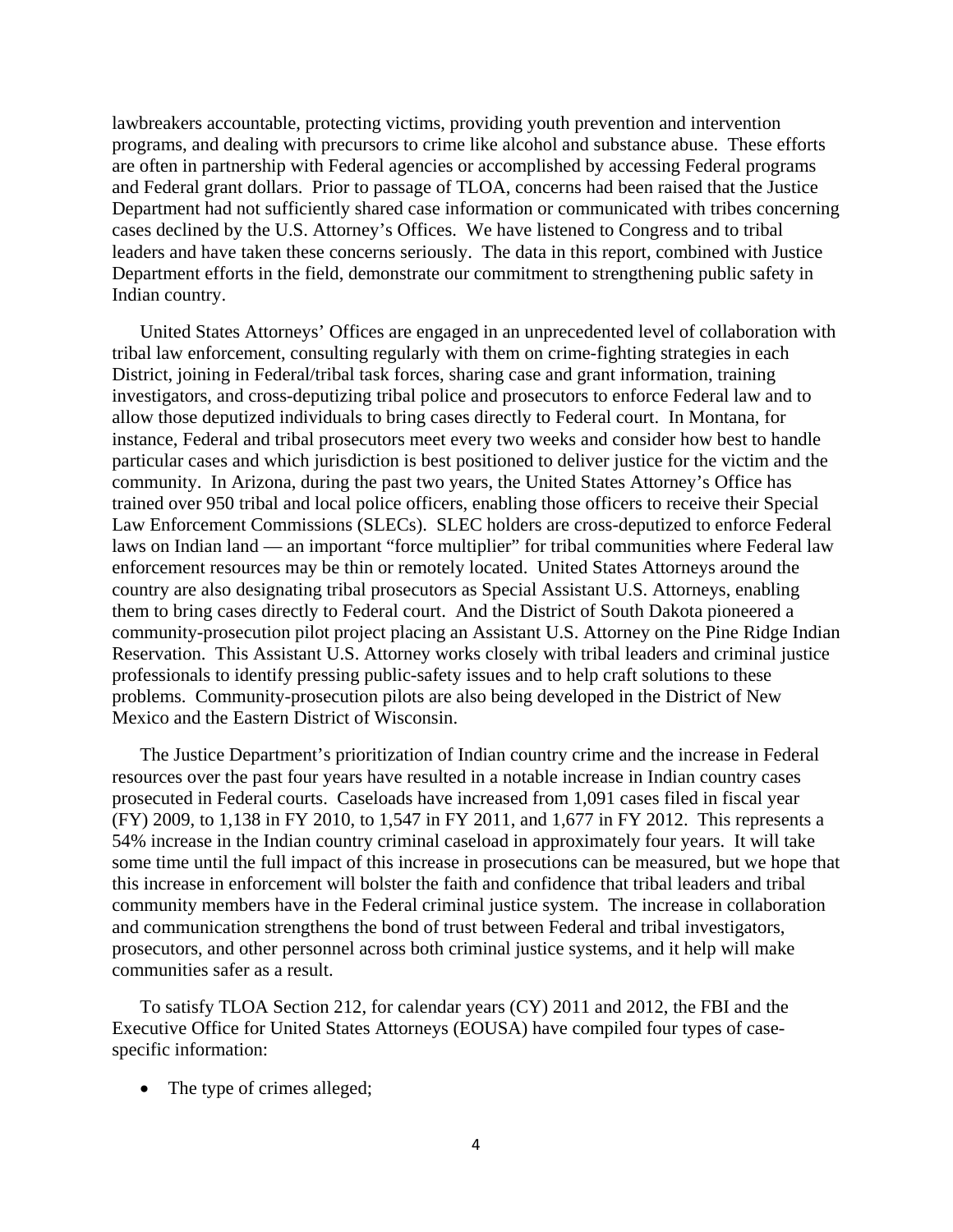lawbreakers accountable, protecting victims, providing youth prevention and intervention programs, and dealing with precursors to crime like alcohol and substance abuse. These efforts are often in partnership with Federal agencies or accomplished by accessing Federal programs and Federal grant dollars. Prior to passage of TLOA, concerns had been raised that the Justice Department had not sufficiently shared case information or communicated with tribes concerning cases declined by the U.S. Attorney's Offices. We have listened to Congress and to tribal leaders and have taken these concerns seriously. The data in this report, combined with Justice Department efforts in the field, demonstrate our commitment to strengthening public safety in Indian country.

United States Attorneys' Offices are engaged in an unprecedented level of collaboration with tribal law enforcement, consulting regularly with them on crime-fighting strategies in each District, joining in Federal/tribal task forces, sharing case and grant information, training investigators, and cross-deputizing tribal police and prosecutors to enforce Federal law and to allow those deputized individuals to bring cases directly to Federal court. In Montana, for instance, Federal and tribal prosecutors meet every two weeks and consider how best to handle particular cases and which jurisdiction is best positioned to deliver justice for the victim and the community. In Arizona, during the past two years, the United States Attorney's Office has trained over 950 tribal and local police officers, enabling those officers to receive their Special Law Enforcement Commissions (SLECs). SLEC holders are cross-deputized to enforce Federal laws on Indian land — an important "force multiplier" for tribal communities where Federal law enforcement resources may be thin or remotely located. United States Attorneys around the country are also designating tribal prosecutors as Special Assistant U.S. Attorneys, enabling them to bring cases directly to Federal court. And the District of South Dakota pioneered a community-prosecution pilot project placing an Assistant U.S. Attorney on the Pine Ridge Indian Reservation. This Assistant U.S. Attorney works closely with tribal leaders and criminal justice professionals to identify pressing public-safety issues and to help craft solutions to these problems. Community-prosecution pilots are also being developed in the District of New Mexico and the Eastern District of Wisconsin.

The Justice Department's prioritization of Indian country crime and the increase in Federal resources over the past four years have resulted in a notable increase in Indian country cases prosecuted in Federal courts. Caseloads have increased from 1,091 cases filed in fiscal year (FY) 2009, to 1,138 in FY 2010, to 1,547 in FY 2011, and 1,677 in FY 2012. This represents a 54% increase in the Indian country criminal caseload in approximately four years. It will take some time until the full impact of this increase in prosecutions can be measured, but we hope that this increase in enforcement will bolster the faith and confidence that tribal leaders and tribal community members have in the Federal criminal justice system. The increase in collaboration and communication strengthens the bond of trust between Federal and tribal investigators, prosecutors, and other personnel across both criminal justice systems, and it help will make communities safer as a result.

To satisfy TLOA Section 212, for calendar years (CY) 2011 and 2012, the FBI and the Executive Office for United States Attorneys (EOUSA) have compiled four types of casespecific information:

• The type of crimes alleged;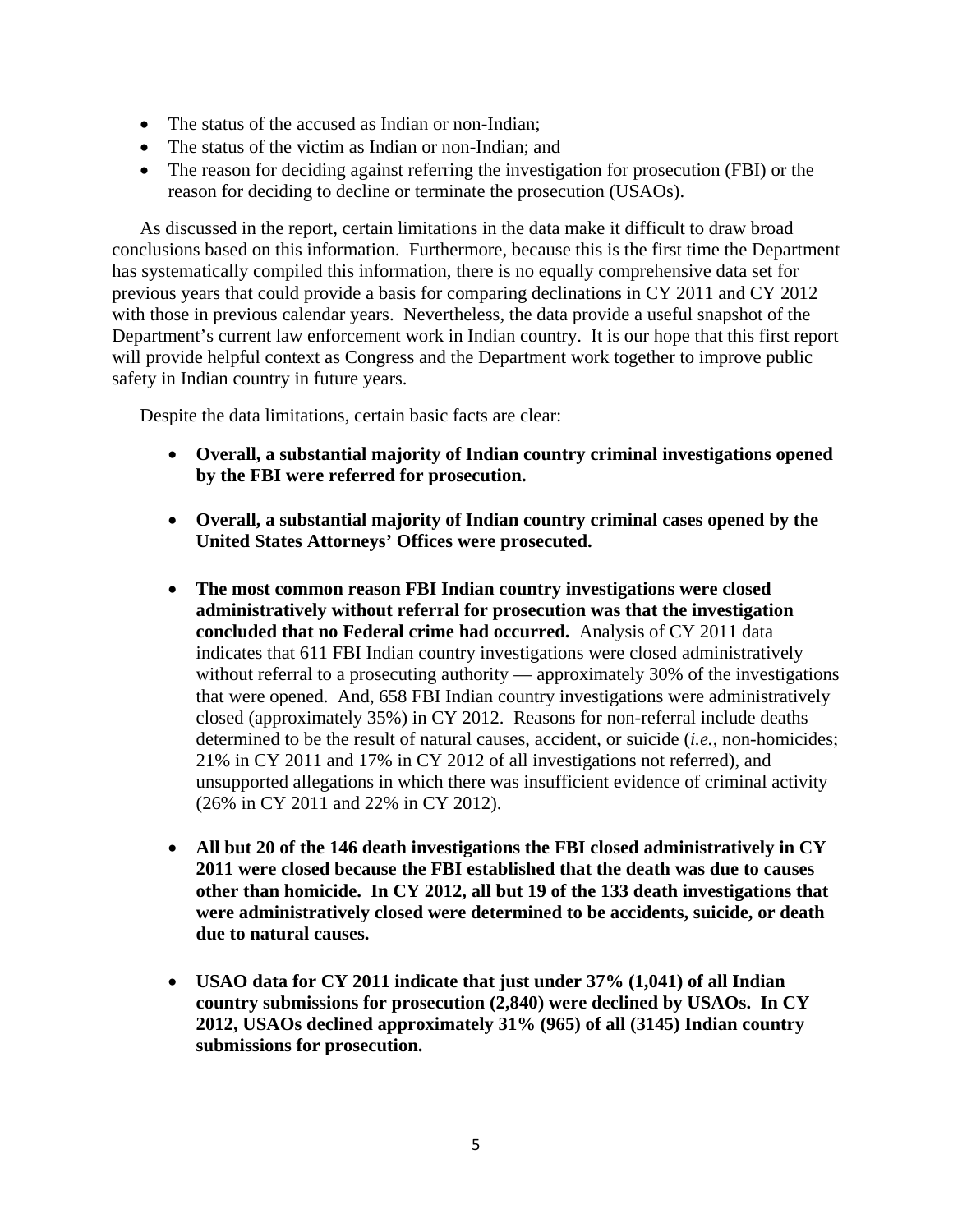- The status of the accused as Indian or non-Indian;
- The status of the victim as Indian or non-Indian; and
- The reason for deciding against referring the investigation for prosecution (FBI) or the reason for deciding to decline or terminate the prosecution (USAOs).

As discussed in the report, certain limitations in the data make it difficult to draw broad conclusions based on this information. Furthermore, because this is the first time the Department has systematically compiled this information, there is no equally comprehensive data set for previous years that could provide a basis for comparing declinations in CY 2011 and CY 2012 with those in previous calendar years. Nevertheless, the data provide a useful snapshot of the Department's current law enforcement work in Indian country. It is our hope that this first report will provide helpful context as Congress and the Department work together to improve public safety in Indian country in future years.

Despite the data limitations, certain basic facts are clear:

- **Overall, a substantial majority of Indian country criminal investigations opened by the FBI were referred for prosecution.**
- **Overall, a substantial majority of Indian country criminal cases opened by the United States Attorneys' Offices were prosecuted.**
- **The most common reason FBI Indian country investigations were closed administratively without referral for prosecution was that the investigation concluded that no Federal crime had occurred.** Analysis of CY 2011 data indicates that 611 FBI Indian country investigations were closed administratively without referral to a prosecuting authority — approximately 30% of the investigations that were opened. And, 658 FBI Indian country investigations were administratively closed (approximately 35%) in CY 2012. Reasons for non-referral include deaths determined to be the result of natural causes, accident, or suicide (*i.e.*, non-homicides; 21% in CY 2011 and 17% in CY 2012 of all investigations not referred), and unsupported allegations in which there was insufficient evidence of criminal activity (26% in CY 2011 and 22% in CY 2012).
- **All but 20 of the 146 death investigations the FBI closed administratively in CY 2011 were closed because the FBI established that the death was due to causes other than homicide. In CY 2012, all but 19 of the 133 death investigations that were administratively closed were determined to be accidents, suicide, or death due to natural causes.**
- **USAO data for CY 2011 indicate that just under 37% (1,041) of all Indian country submissions for prosecution (2,840) were declined by USAOs. In CY 2012, USAOs declined approximately 31% (965) of all (3145) Indian country submissions for prosecution.**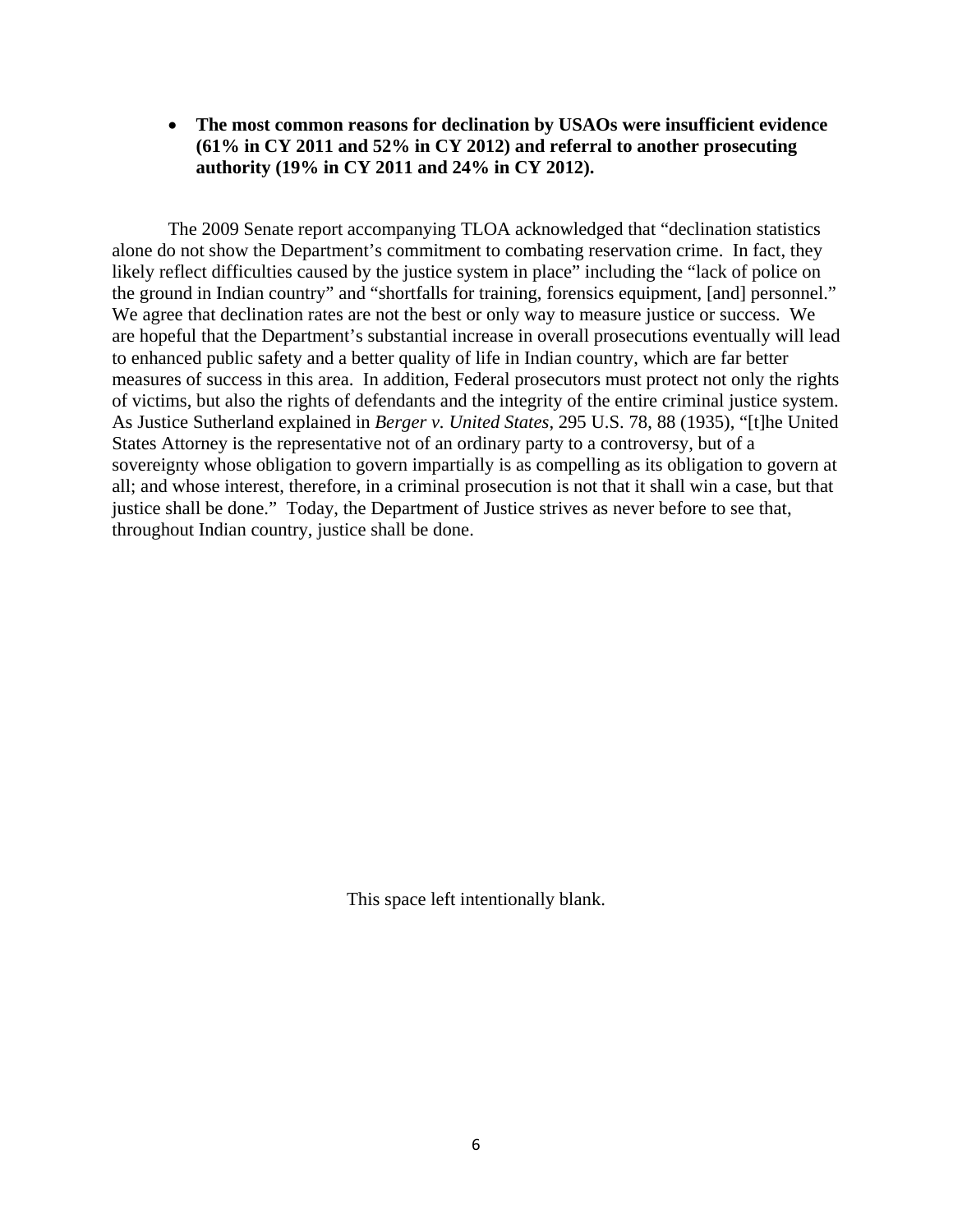# • **The most common reasons for declination by USAOs were insufficient evidence (61% in CY 2011 and 52% in CY 2012) and referral to another prosecuting authority (19% in CY 2011 and 24% in CY 2012).**

The 2009 Senate report accompanying TLOA acknowledged that "declination statistics alone do not show the Department's commitment to combating reservation crime. In fact, they likely reflect difficulties caused by the justice system in place" including the "lack of police on the ground in Indian country" and "shortfalls for training, forensics equipment, [and] personnel." We agree that declination rates are not the best or only way to measure justice or success. We are hopeful that the Department's substantial increase in overall prosecutions eventually will lead to enhanced public safety and a better quality of life in Indian country, which are far better measures of success in this area. In addition, Federal prosecutors must protect not only the rights of victims, but also the rights of defendants and the integrity of the entire criminal justice system. As Justice Sutherland explained in *Berger v. United States*, 295 U.S. 78, 88 (1935), "[t]he United States Attorney is the representative not of an ordinary party to a controversy, but of a sovereignty whose obligation to govern impartially is as compelling as its obligation to govern at all; and whose interest, therefore, in a criminal prosecution is not that it shall win a case, but that justice shall be done." Today, the Department of Justice strives as never before to see that, throughout Indian country, justice shall be done.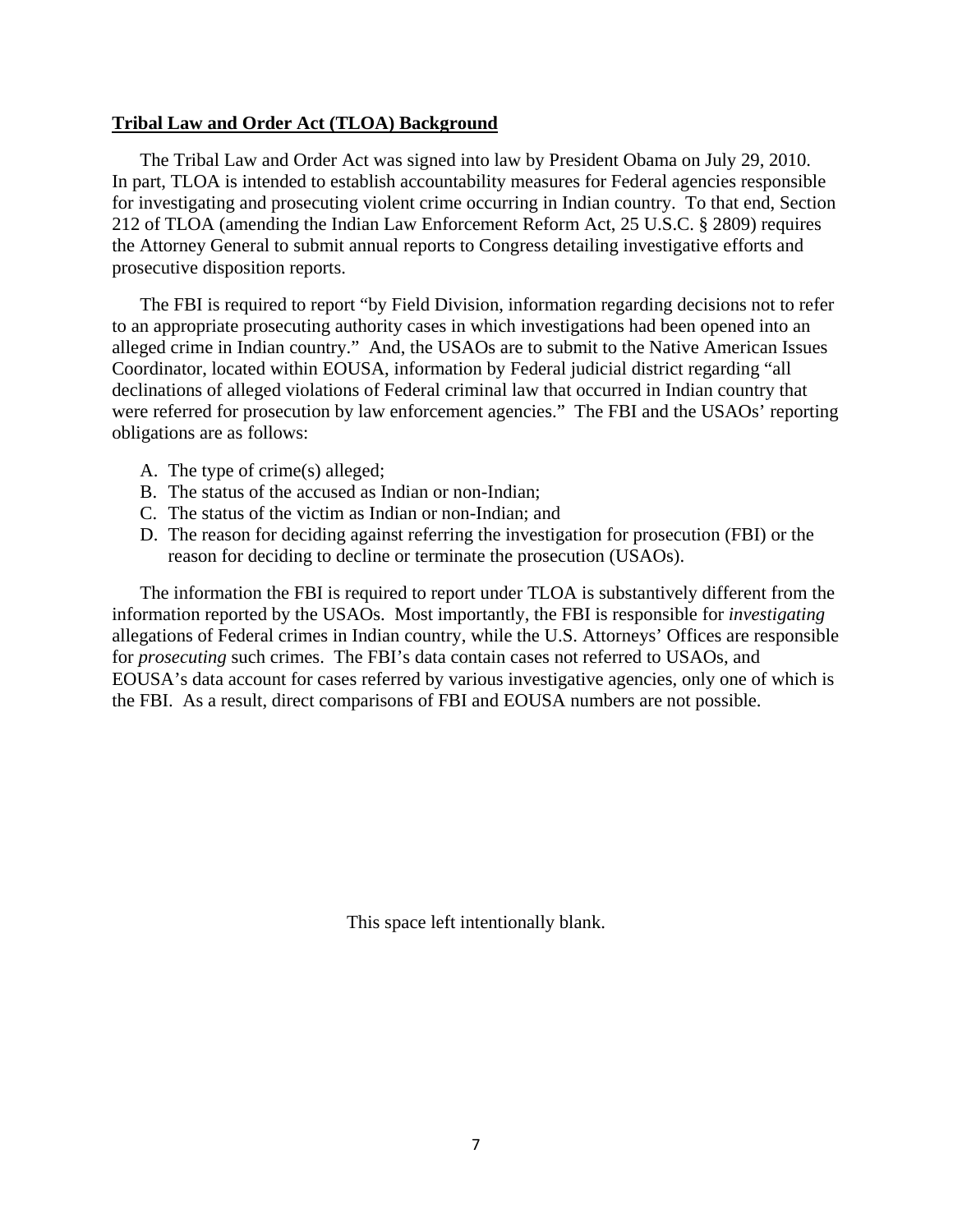## **Tribal Law and Order Act (TLOA) Background**

The Tribal Law and Order Act was signed into law by President Obama on July 29, 2010. In part, TLOA is intended to establish accountability measures for Federal agencies responsible for investigating and prosecuting violent crime occurring in Indian country. To that end, Section 212 of TLOA (amending the Indian Law Enforcement Reform Act, 25 U.S.C. § 2809) requires the Attorney General to submit annual reports to Congress detailing investigative efforts and prosecutive disposition reports.

The FBI is required to report "by Field Division, information regarding decisions not to refer to an appropriate prosecuting authority cases in which investigations had been opened into an alleged crime in Indian country." And, the USAOs are to submit to the Native American Issues Coordinator, located within EOUSA, information by Federal judicial district regarding "all declinations of alleged violations of Federal criminal law that occurred in Indian country that were referred for prosecution by law enforcement agencies." The FBI and the USAOs' reporting obligations are as follows:

- A. The type of crime(s) alleged;
- B. The status of the accused as Indian or non-Indian;
- C. The status of the victim as Indian or non-Indian; and
- D. The reason for deciding against referring the investigation for prosecution (FBI) or the reason for deciding to decline or terminate the prosecution (USAOs).

The information the FBI is required to report under TLOA is substantively different from the information reported by the USAOs. Most importantly, the FBI is responsible for *investigating* allegations of Federal crimes in Indian country, while the U.S. Attorneys' Offices are responsible for *prosecuting* such crimes. The FBI's data contain cases not referred to USAOs, and EOUSA's data account for cases referred by various investigative agencies, only one of which is the FBI. As a result, direct comparisons of FBI and EOUSA numbers are not possible.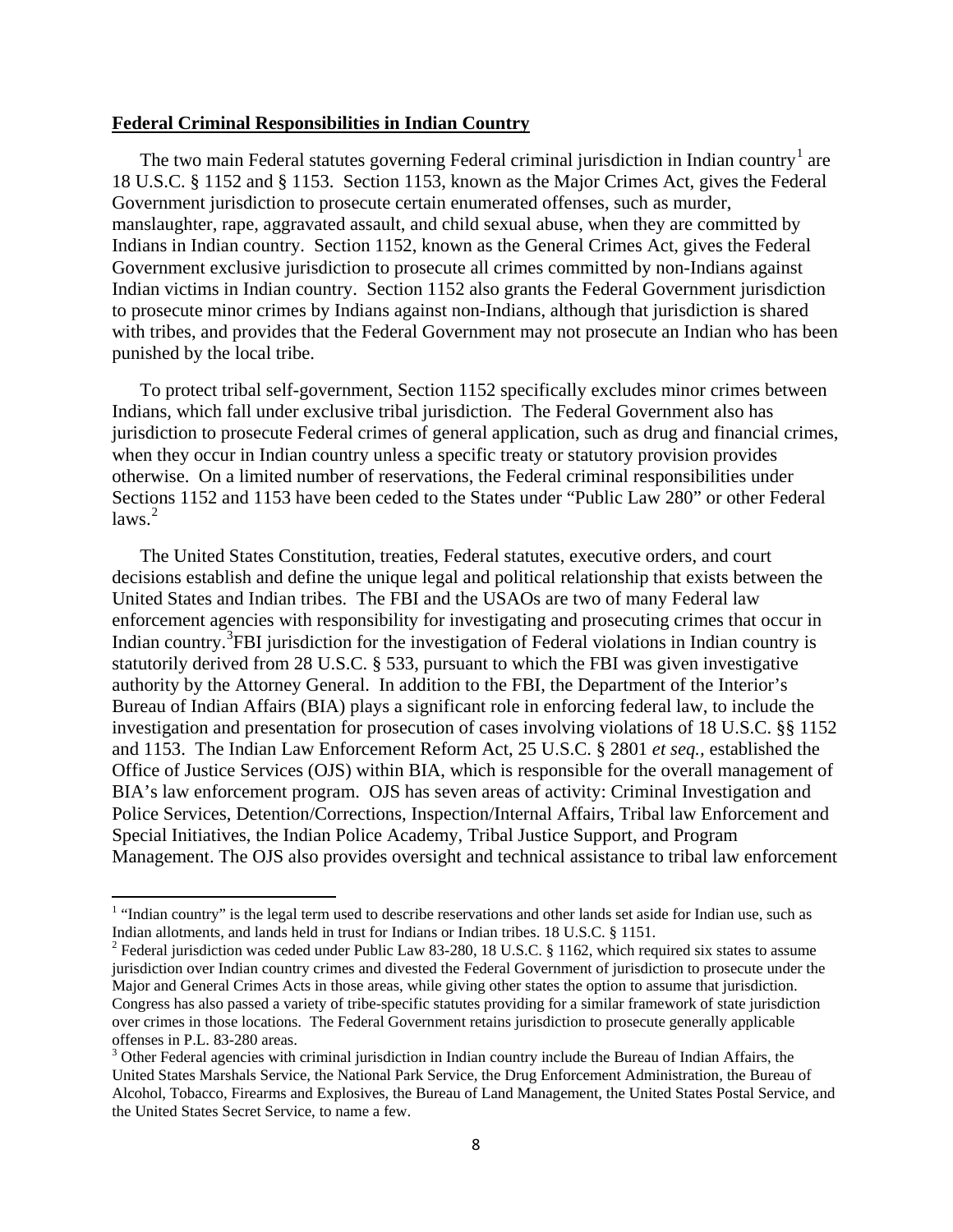#### **Federal Criminal Responsibilities in Indian Country**

The two main Federal statutes governing Federal criminal jurisdiction in Indian country<sup>[1](#page-7-0)</sup> are 18 U.S.C. § 1152 and § 1153. Section 1153, known as the Major Crimes Act, gives the Federal Government jurisdiction to prosecute certain enumerated offenses, such as murder, manslaughter, rape, aggravated assault, and child sexual abuse, when they are committed by Indians in Indian country. Section 1152, known as the General Crimes Act, gives the Federal Government exclusive jurisdiction to prosecute all crimes committed by non-Indians against Indian victims in Indian country. Section 1152 also grants the Federal Government jurisdiction to prosecute minor crimes by Indians against non-Indians, although that jurisdiction is shared with tribes, and provides that the Federal Government may not prosecute an Indian who has been punished by the local tribe.

To protect tribal self-government, Section 1152 specifically excludes minor crimes between Indians, which fall under exclusive tribal jurisdiction. The Federal Government also has jurisdiction to prosecute Federal crimes of general application, such as drug and financial crimes, when they occur in Indian country unless a specific treaty or statutory provision provides otherwise. On a limited number of reservations, the Federal criminal responsibilities under Sections 1152 and 1153 have been ceded to the States under "Public Law 280" or other Federal laws. [2](#page-7-1)

The United States Constitution, treaties, Federal statutes, executive orders, and court decisions establish and define the unique legal and political relationship that exists between the United States and Indian tribes. The FBI and the USAOs are two of many Federal law enforcement agencies with responsibility for investigating and prosecuting crimes that occur in Indian country.<sup>[3](#page-7-2)</sup>FBI jurisdiction for the investigation of Federal violations in Indian country is statutorily derived from 28 U.S.C. § 533, pursuant to which the FBI was given investigative authority by the Attorney General. In addition to the FBI, the Department of the Interior's Bureau of Indian Affairs (BIA) plays a significant role in enforcing federal law, to include the investigation and presentation for prosecution of cases involving violations of 18 U.S.C. §§ 1152 and 1153. The Indian Law Enforcement Reform Act, 25 U.S.C. § 2801 *et seq.,* established the Office of Justice Services (OJS) within BIA, which is responsible for the overall management of BIA's law enforcement program. OJS has seven areas of activity: Criminal Investigation and Police Services, Detention/Corrections, Inspection/Internal Affairs, Tribal law Enforcement and Special Initiatives, the Indian Police Academy, Tribal Justice Support, and Program Management. The OJS also provides oversight and technical assistance to tribal law enforcement

l

<span id="page-7-0"></span><sup>&</sup>lt;sup>1</sup> "Indian country" is the legal term used to describe reservations and other lands set aside for Indian use, such as Indian allotments, and lands held in trust for Indians or Indian tribes. 18 U.S.C. § 1151.

<span id="page-7-1"></span><sup>&</sup>lt;sup>2</sup> Federal jurisdiction was ceded under Public Law 83-280, 18 U.S.C. § 1162, which required six states to assume jurisdiction over Indian country crimes and divested the Federal Government of jurisdiction to prosecute under the Major and General Crimes Acts in those areas, while giving other states the option to assume that jurisdiction. Congress has also passed a variety of tribe-specific statutes providing for a similar framework of state jurisdiction over crimes in those locations. The Federal Government retains jurisdiction to prosecute generally applicable offenses in P.L. 83-280 areas.<br><sup>3</sup> Other Federal agencies with criminal jurisdiction in Indian country include the Bureau of Indian Affairs, the

<span id="page-7-2"></span>United States Marshals Service, the National Park Service, the Drug Enforcement Administration, the Bureau of Alcohol, Tobacco, Firearms and Explosives, the Bureau of Land Management, the United States Postal Service, and the United States Secret Service, to name a few.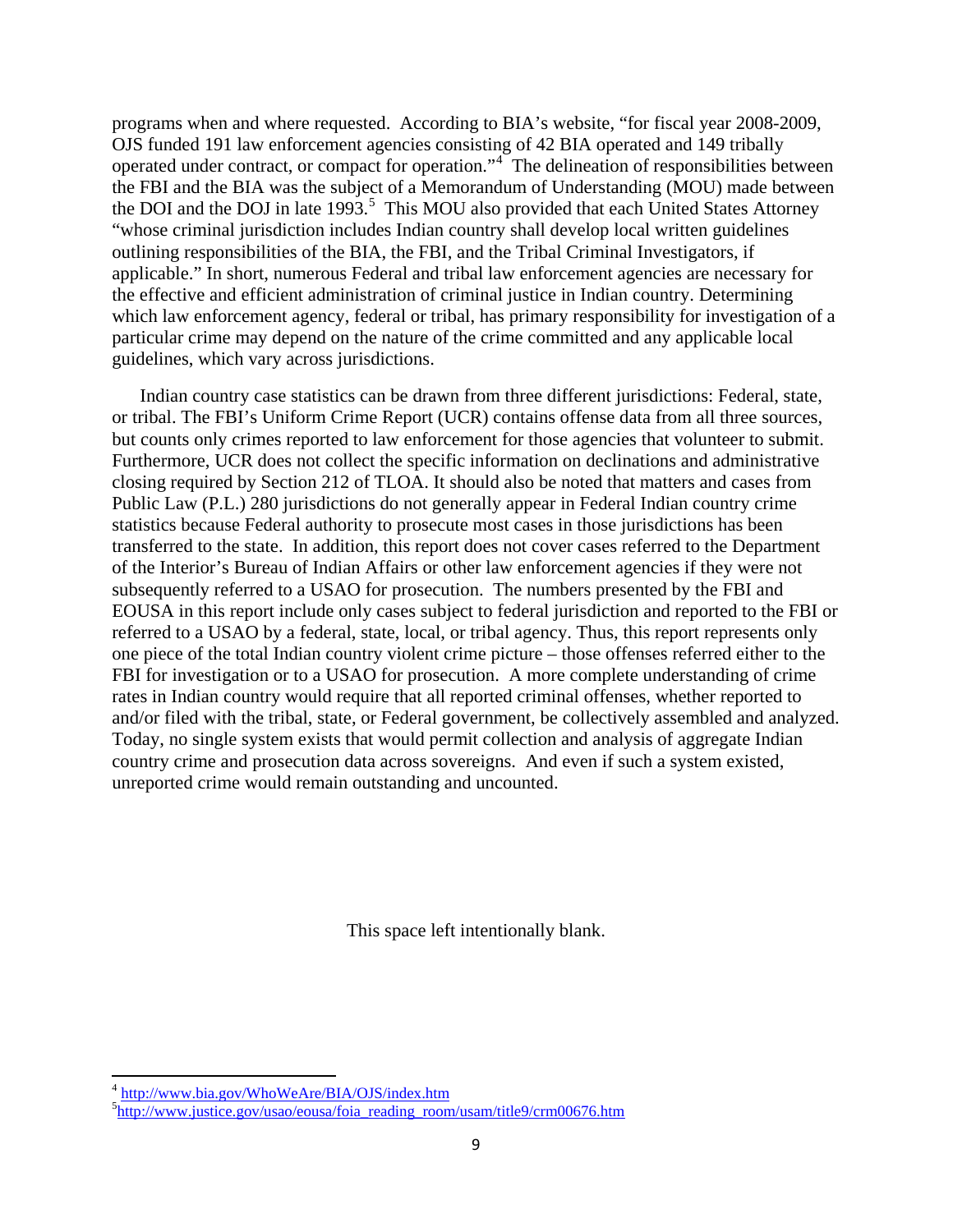programs when and where requested. According to BIA's website, "for fiscal year 2008-2009, OJS funded 191 law enforcement agencies consisting of 42 BIA operated and 149 tribally operated under contract, or compact for operation."<sup>[4](#page-8-0)</sup> The delineation of responsibilities between the FBI and the BIA was the subject of a Memorandum of Understanding (MOU) made between the DOI and the DOJ in late 1993.<sup>[5](#page-8-1)</sup> This MOU also provided that each United States Attorney "whose criminal jurisdiction includes Indian country shall develop local written guidelines outlining responsibilities of the BIA, the FBI, and the Tribal Criminal Investigators, if applicable." In short, numerous Federal and tribal law enforcement agencies are necessary for the effective and efficient administration of criminal justice in Indian country. Determining which law enforcement agency, federal or tribal, has primary responsibility for investigation of a particular crime may depend on the nature of the crime committed and any applicable local guidelines, which vary across jurisdictions.

Indian country case statistics can be drawn from three different jurisdictions: Federal, state, or tribal. The FBI's Uniform Crime Report (UCR) contains offense data from all three sources, but counts only crimes reported to law enforcement for those agencies that volunteer to submit. Furthermore, UCR does not collect the specific information on declinations and administrative closing required by Section 212 of TLOA. It should also be noted that matters and cases from Public Law (P.L.) 280 jurisdictions do not generally appear in Federal Indian country crime statistics because Federal authority to prosecute most cases in those jurisdictions has been transferred to the state. In addition, this report does not cover cases referred to the Department of the Interior's Bureau of Indian Affairs or other law enforcement agencies if they were not subsequently referred to a USAO for prosecution. The numbers presented by the FBI and EOUSA in this report include only cases subject to federal jurisdiction and reported to the FBI or referred to a USAO by a federal, state, local, or tribal agency. Thus, this report represents only one piece of the total Indian country violent crime picture – those offenses referred either to the FBI for investigation or to a USAO for prosecution. A more complete understanding of crime rates in Indian country would require that all reported criminal offenses, whether reported to and/or filed with the tribal, state, or Federal government, be collectively assembled and analyzed. Today, no single system exists that would permit collection and analysis of aggregate Indian country crime and prosecution data across sovereigns. And even if such a system existed, unreported crime would remain outstanding and uncounted.

This space left intentionally blank.

<span id="page-8-0"></span> $\frac{4 \text{ http://www.bia.gov/WhoWeAre/BIA/OJS/index.htm}}{5 \text{http://www.ivatica.gov/two0/000/000}/5 \text{y}}$ 

<span id="page-8-1"></span><sup>&</sup>lt;sup>5</sup>[http://www.justice.gov/usao/eousa/foia\\_reading\\_room/usam/title9/crm00676.htm](http://www.justice.gov/usao/eousa/foia_reading_room/usam/title9/crm00676.htm)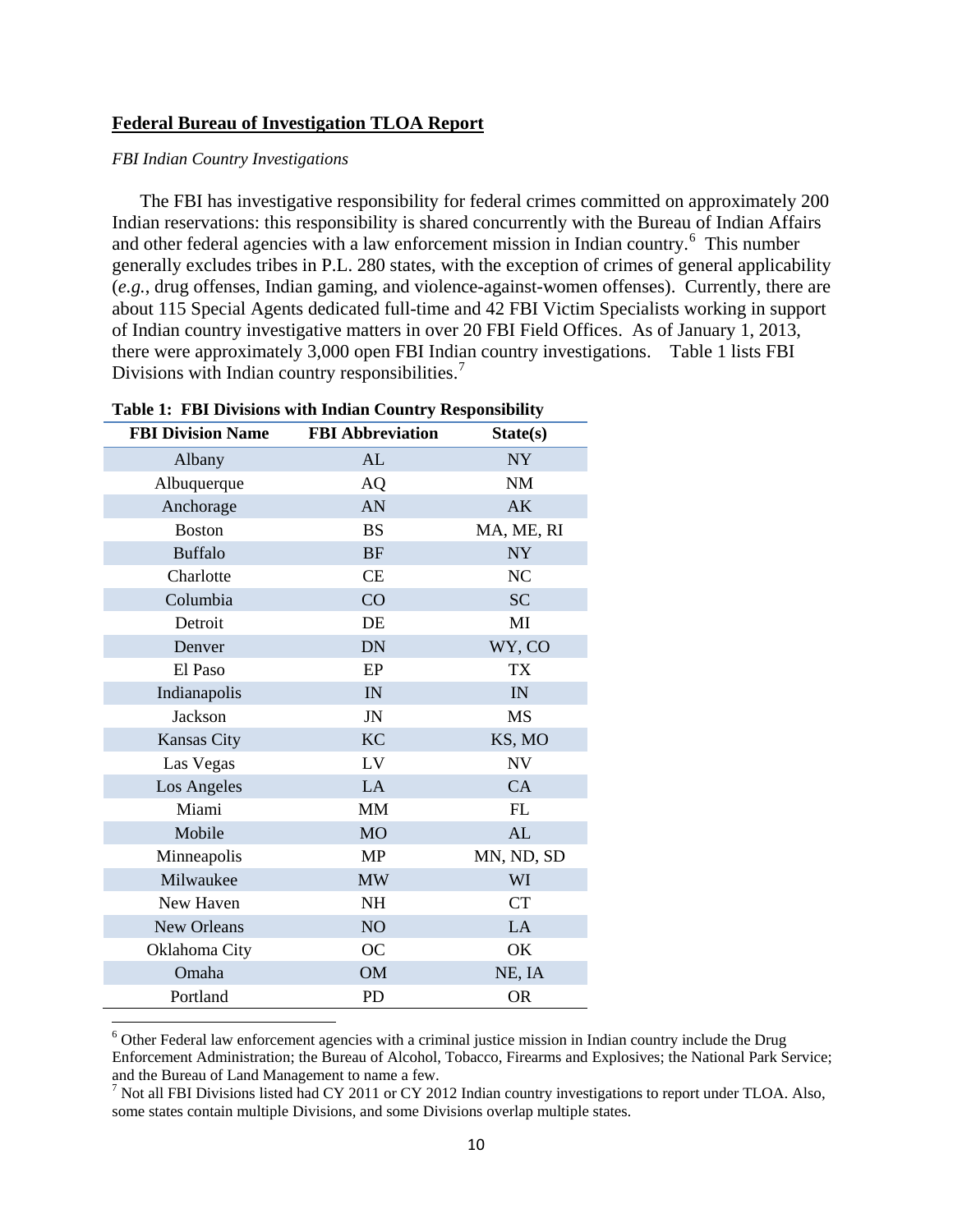#### **Federal Bureau of Investigation TLOA Report**

#### *FBI Indian Country Investigations*

The FBI has investigative responsibility for federal crimes committed on approximately 200 Indian reservations: this responsibility is shared concurrently with the Bureau of Indian Affairs and other federal agencies with a law enforcement mission in Indian country.<sup>[6](#page-9-0)</sup> This number generally excludes tribes in P.L. 280 states, with the exception of crimes of general applicability (*e.g.*, drug offenses, Indian gaming, and violence-against-women offenses). Currently, there are about 115 Special Agents dedicated full-time and 42 FBI Victim Specialists working in support of Indian country investigative matters in over 20 FBI Field Offices. As of January 1, 2013, there were approximately 3,000 open FBI Indian country investigations. Table 1 lists FBI Divisions with Indian country responsibilities.<sup>[7](#page-9-1)</sup>

| Table 1: FBI Divisions with Indian Country Responsibility |                         |            |  |  |  |  |  |  |
|-----------------------------------------------------------|-------------------------|------------|--|--|--|--|--|--|
| <b>FBI Division Name</b>                                  | <b>FBI</b> Abbreviation | State(s)   |  |  |  |  |  |  |
| Albany                                                    | AL                      | <b>NY</b>  |  |  |  |  |  |  |
| Albuquerque                                               | AQ                      | <b>NM</b>  |  |  |  |  |  |  |
| Anchorage                                                 | AN                      | AK         |  |  |  |  |  |  |
| <b>Boston</b>                                             | <b>BS</b>               | MA, ME, RI |  |  |  |  |  |  |
| <b>Buffalo</b>                                            | <b>BF</b>               | <b>NY</b>  |  |  |  |  |  |  |
| Charlotte                                                 | CE                      | NC         |  |  |  |  |  |  |
| Columbia                                                  | CO                      | <b>SC</b>  |  |  |  |  |  |  |
| Detroit                                                   | DE                      | MI         |  |  |  |  |  |  |
| Denver                                                    | <b>DN</b>               | WY, CO     |  |  |  |  |  |  |
| El Paso                                                   | EP                      | <b>TX</b>  |  |  |  |  |  |  |
| Indianapolis                                              | IN                      | IN         |  |  |  |  |  |  |
| <b>Jackson</b>                                            | JN                      | <b>MS</b>  |  |  |  |  |  |  |
| <b>Kansas City</b>                                        | <b>KC</b>               | KS, MO     |  |  |  |  |  |  |
| Las Vegas                                                 | LV                      | NV         |  |  |  |  |  |  |
| Los Angeles                                               | LA                      | CA         |  |  |  |  |  |  |
| Miami                                                     | <b>MM</b>               | FL         |  |  |  |  |  |  |
| Mobile                                                    | <b>MO</b>               | AL         |  |  |  |  |  |  |
| Minneapolis                                               | <b>MP</b>               | MN, ND, SD |  |  |  |  |  |  |
| Milwaukee                                                 | <b>MW</b>               | WI         |  |  |  |  |  |  |
| New Haven                                                 | <b>NH</b>               | <b>CT</b>  |  |  |  |  |  |  |
| New Orleans                                               | NO <sub>1</sub>         | LA         |  |  |  |  |  |  |
| Oklahoma City                                             | <b>OC</b>               | OK         |  |  |  |  |  |  |
| Omaha                                                     | <b>OM</b>               | NE, IA     |  |  |  |  |  |  |
| Portland                                                  | PD                      | <b>OR</b>  |  |  |  |  |  |  |

<span id="page-9-0"></span> $\overline{\phantom{a}}$ <sup>6</sup> Other Federal law enforcement agencies with a criminal justice mission in Indian country include the Drug Enforcement Administration; the Bureau of Alcohol, Tobacco, Firearms and Explosives; the National Park Service; and the Bureau of Land Management to name a few.

<span id="page-9-1"></span><sup>7</sup> Not all FBI Divisions listed had CY 2011 or CY 2012 Indian country investigations to report under TLOA. Also, some states contain multiple Divisions, and some Divisions overlap multiple states.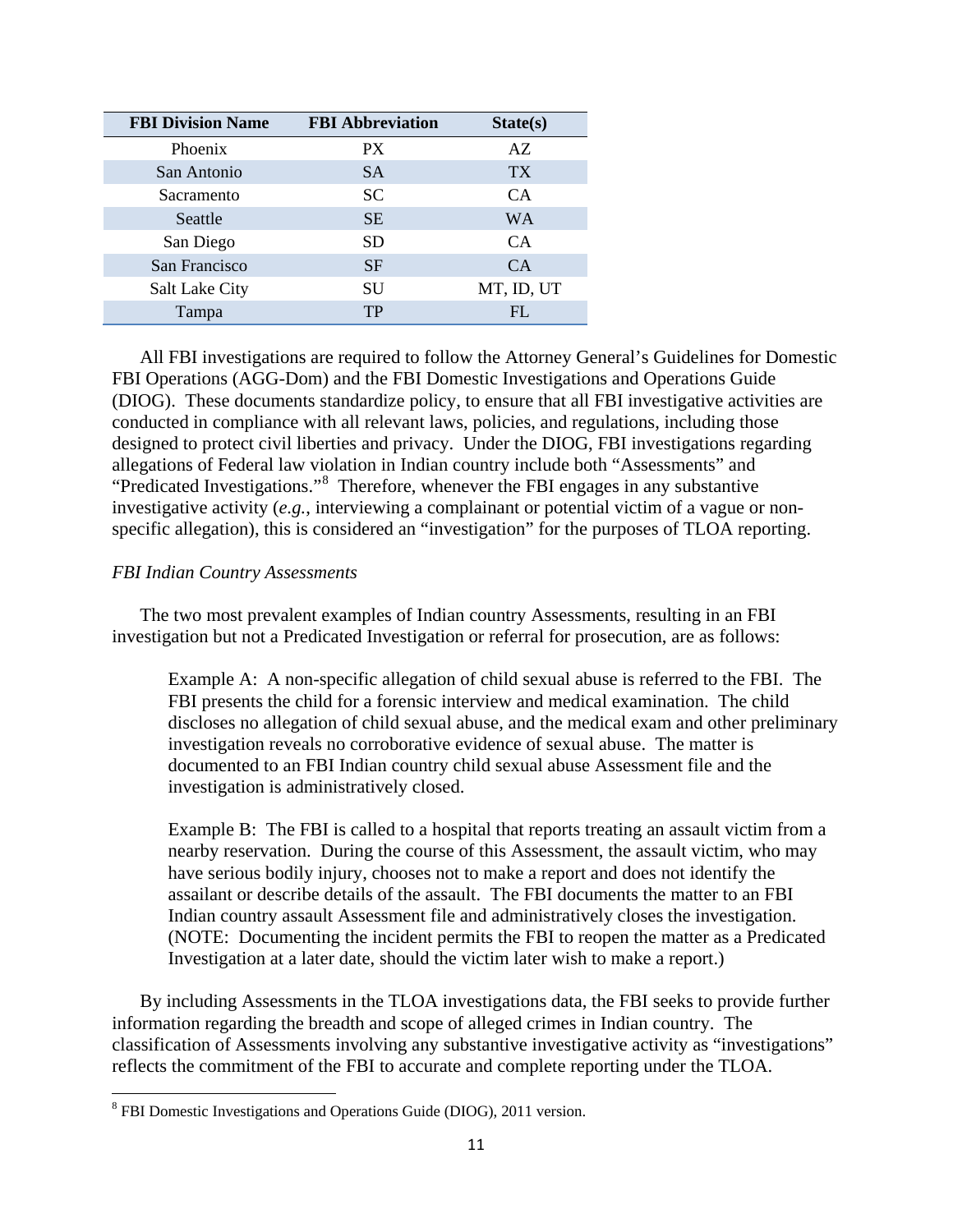| <b>FBI Division Name</b> | <b>FBI Abbreviation</b> | State(s)   |
|--------------------------|-------------------------|------------|
| Phoenix                  | PX                      | AZ         |
| San Antonio              | <b>SA</b>               | <b>TX</b>  |
| Sacramento               | <b>SC</b>               | <b>CA</b>  |
| Seattle                  | <b>SE</b>               | <b>WA</b>  |
| San Diego                | SD.                     | <b>CA</b>  |
| San Francisco            | <b>SF</b>               | CA.        |
| <b>Salt Lake City</b>    | SU                      | MT, ID, UT |
| Tampa                    | TP                      | FL         |

All FBI investigations are required to follow the Attorney General's Guidelines for Domestic FBI Operations (AGG-Dom) and the FBI Domestic Investigations and Operations Guide (DIOG). These documents standardize policy, to ensure that all FBI investigative activities are conducted in compliance with all relevant laws, policies, and regulations, including those designed to protect civil liberties and privacy. Under the DIOG, FBI investigations regarding allegations of Federal law violation in Indian country include both "Assessments" and "Predicated Investigations."<sup>[8](#page-10-0)</sup> Therefore, whenever the FBI engages in any substantive investigative activity (*e.g.*, interviewing a complainant or potential victim of a vague or nonspecific allegation), this is considered an "investigation" for the purposes of TLOA reporting.

#### *FBI Indian Country Assessments*

 $\overline{\phantom{a}}$ 

The two most prevalent examples of Indian country Assessments, resulting in an FBI investigation but not a Predicated Investigation or referral for prosecution, are as follows:

Example A: A non-specific allegation of child sexual abuse is referred to the FBI. The FBI presents the child for a forensic interview and medical examination. The child discloses no allegation of child sexual abuse, and the medical exam and other preliminary investigation reveals no corroborative evidence of sexual abuse. The matter is documented to an FBI Indian country child sexual abuse Assessment file and the investigation is administratively closed.

Example B: The FBI is called to a hospital that reports treating an assault victim from a nearby reservation. During the course of this Assessment, the assault victim, who may have serious bodily injury, chooses not to make a report and does not identify the assailant or describe details of the assault. The FBI documents the matter to an FBI Indian country assault Assessment file and administratively closes the investigation. (NOTE: Documenting the incident permits the FBI to reopen the matter as a Predicated Investigation at a later date, should the victim later wish to make a report.)

By including Assessments in the TLOA investigations data, the FBI seeks to provide further information regarding the breadth and scope of alleged crimes in Indian country. The classification of Assessments involving any substantive investigative activity as "investigations" reflects the commitment of the FBI to accurate and complete reporting under the TLOA.

<span id="page-10-0"></span><sup>8</sup> FBI Domestic Investigations and Operations Guide (DIOG), 2011 version.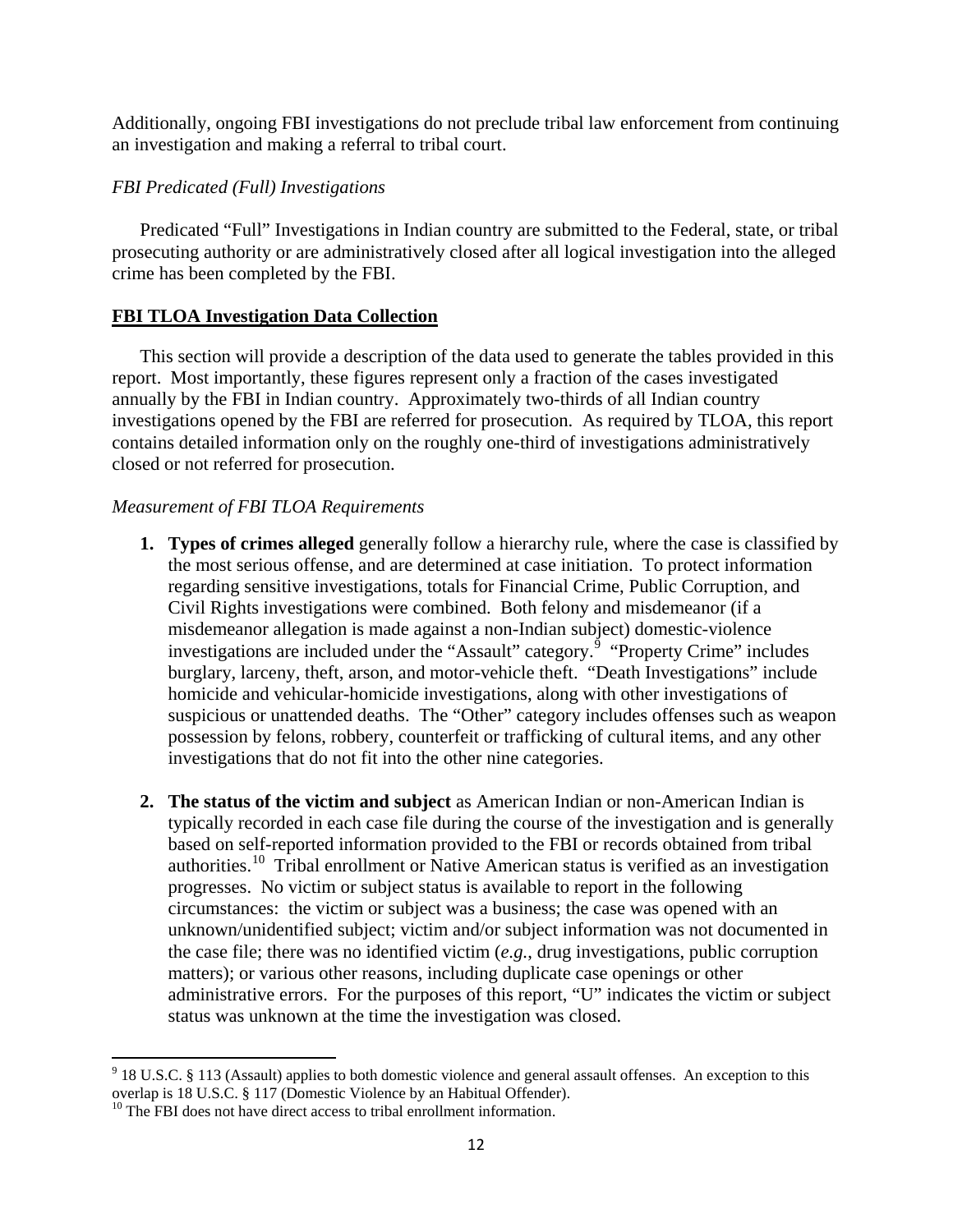Additionally, ongoing FBI investigations do not preclude tribal law enforcement from continuing an investigation and making a referral to tribal court.

# *FBI Predicated (Full) Investigations*

Predicated "Full" Investigations in Indian country are submitted to the Federal, state, or tribal prosecuting authority or are administratively closed after all logical investigation into the alleged crime has been completed by the FBI.

# **FBI TLOA Investigation Data Collection**

This section will provide a description of the data used to generate the tables provided in this report. Most importantly, these figures represent only a fraction of the cases investigated annually by the FBI in Indian country. Approximately two-thirds of all Indian country investigations opened by the FBI are referred for prosecution. As required by TLOA, this report contains detailed information only on the roughly one-third of investigations administratively closed or not referred for prosecution.

# *Measurement of FBI TLOA Requirements*

- **1. Types of crimes alleged** generally follow a hierarchy rule, where the case is classified by the most serious offense, and are determined at case initiation. To protect information regarding sensitive investigations, totals for Financial Crime, Public Corruption, and Civil Rights investigations were combined. Both felony and misdemeanor (if a misdemeanor allegation is made against a non-Indian subject) domestic-violence investigations are included under the "Assault" category.<sup>[9](#page-11-0)</sup> "Property Crime" includes burglary, larceny, theft, arson, and motor-vehicle theft. "Death Investigations" include homicide and vehicular-homicide investigations, along with other investigations of suspicious or unattended deaths. The "Other" category includes offenses such as weapon possession by felons, robbery, counterfeit or trafficking of cultural items, and any other investigations that do not fit into the other nine categories.
- **2. The status of the victim and subject** as American Indian or non-American Indian is typically recorded in each case file during the course of the investigation and is generally based on self-reported information provided to the FBI or records obtained from tribal authorities.<sup>[10](#page-11-1)</sup> Tribal enrollment or Native American status is verified as an investigation progresses. No victim or subject status is available to report in the following circumstances: the victim or subject was a business; the case was opened with an unknown/unidentified subject; victim and/or subject information was not documented in the case file; there was no identified victim (*e.g.*, drug investigations, public corruption matters); or various other reasons, including duplicate case openings or other administrative errors. For the purposes of this report, "U" indicates the victim or subject status was unknown at the time the investigation was closed.

<span id="page-11-0"></span>l  $9$  18 U.S.C. § 113 (Assault) applies to both domestic violence and general assault offenses. An exception to this overlap is 18 U.S.C. § 117 (Domestic Violence by an Habitual Offender).<br><sup>10</sup> The FBI does not have direct access to tribal enrollment information.

<span id="page-11-1"></span>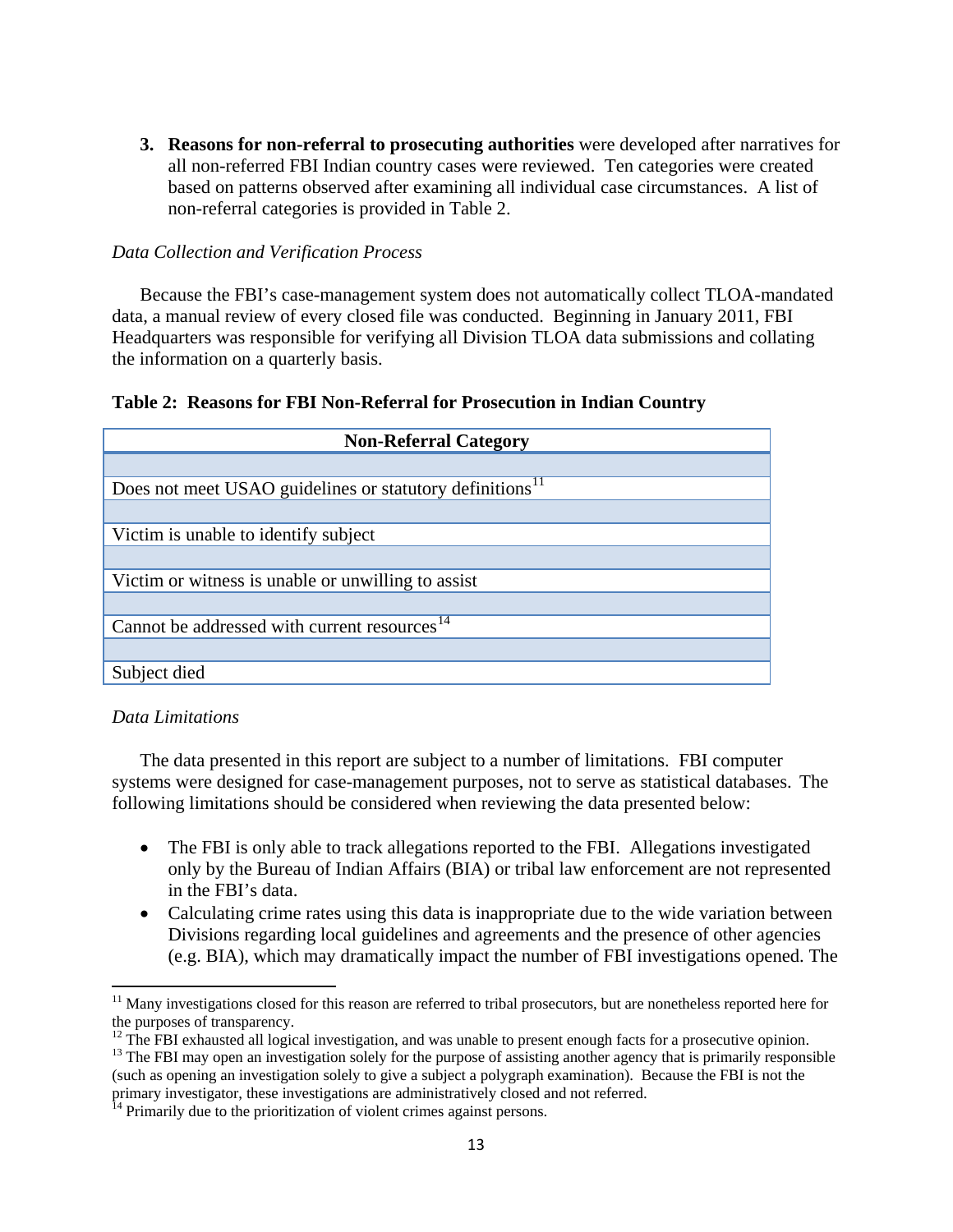**3. Reasons for non-referral to prosecuting authorities** were developed after narratives for all non-referred FBI Indian country cases were reviewed. Ten categories were created based on patterns observed after examining all individual case circumstances. A list of non-referral categories is provided in Table 2.

## *Data Collection and Verification Process*

Because the FBI's case-management system does not automatically collect TLOA-mandated data, a manual review of every closed file was conducted. Beginning in January 2011, FBI Headquarters was responsible for verifying all Division TLOA data submissions and collating the information on a quarterly basis.

#### **Table 2: Reasons for FBI Non-Referral for Prosecution in Indian Country**

| <b>Non-Referral Category</b>                                         |  |  |  |  |  |  |
|----------------------------------------------------------------------|--|--|--|--|--|--|
|                                                                      |  |  |  |  |  |  |
| Does not meet USAO guidelines or statutory definitions <sup>11</sup> |  |  |  |  |  |  |
|                                                                      |  |  |  |  |  |  |
| Victim is unable to identify subject                                 |  |  |  |  |  |  |
|                                                                      |  |  |  |  |  |  |
| Victim or witness is unable or unwilling to assist                   |  |  |  |  |  |  |
|                                                                      |  |  |  |  |  |  |
| Cannot be addressed with current resources <sup>14</sup>             |  |  |  |  |  |  |
|                                                                      |  |  |  |  |  |  |
| Subject died                                                         |  |  |  |  |  |  |

#### *Data Limitations*

 $\overline{\phantom{a}}$ 

The data presented in this report are subject to a number of limitations. FBI computer systems were designed for case-management purposes, not to serve as statistical databases. The following limitations should be considered when reviewing the data presented below:

- The FBI is only able to track allegations reported to the FBI. Allegations investigated only by the Bureau of Indian Affairs (BIA) or tribal law enforcement are not represented in the FBI's data.
- Calculating crime rates using this data is inappropriate due to the wide variation between Divisions regarding local guidelines and agreements and the presence of other agencies (e.g. BIA), which may dramatically impact the number of FBI investigations opened. The

<span id="page-12-0"></span><sup>&</sup>lt;sup>11</sup> Many investigations closed for this reason are referred to tribal prosecutors, but are nonetheless reported here for the purposes of transparency.<br><sup>12</sup> The FBI exhausted all logical investigation, and was unable to present enough facts for a prosecutive opinion.

<span id="page-12-2"></span><span id="page-12-1"></span> $^{13}$  The FBI may open an investigation solely for the purpose of assisting another agency that is primarily responsible (such as opening an investigation solely to give a subject a polygraph examination). Because the FBI is not the primary investigator, these investigations are administratively closed and not referred.

<span id="page-12-3"></span><sup>&</sup>lt;sup>14</sup> Primarily due to the prioritization of violent crimes against persons.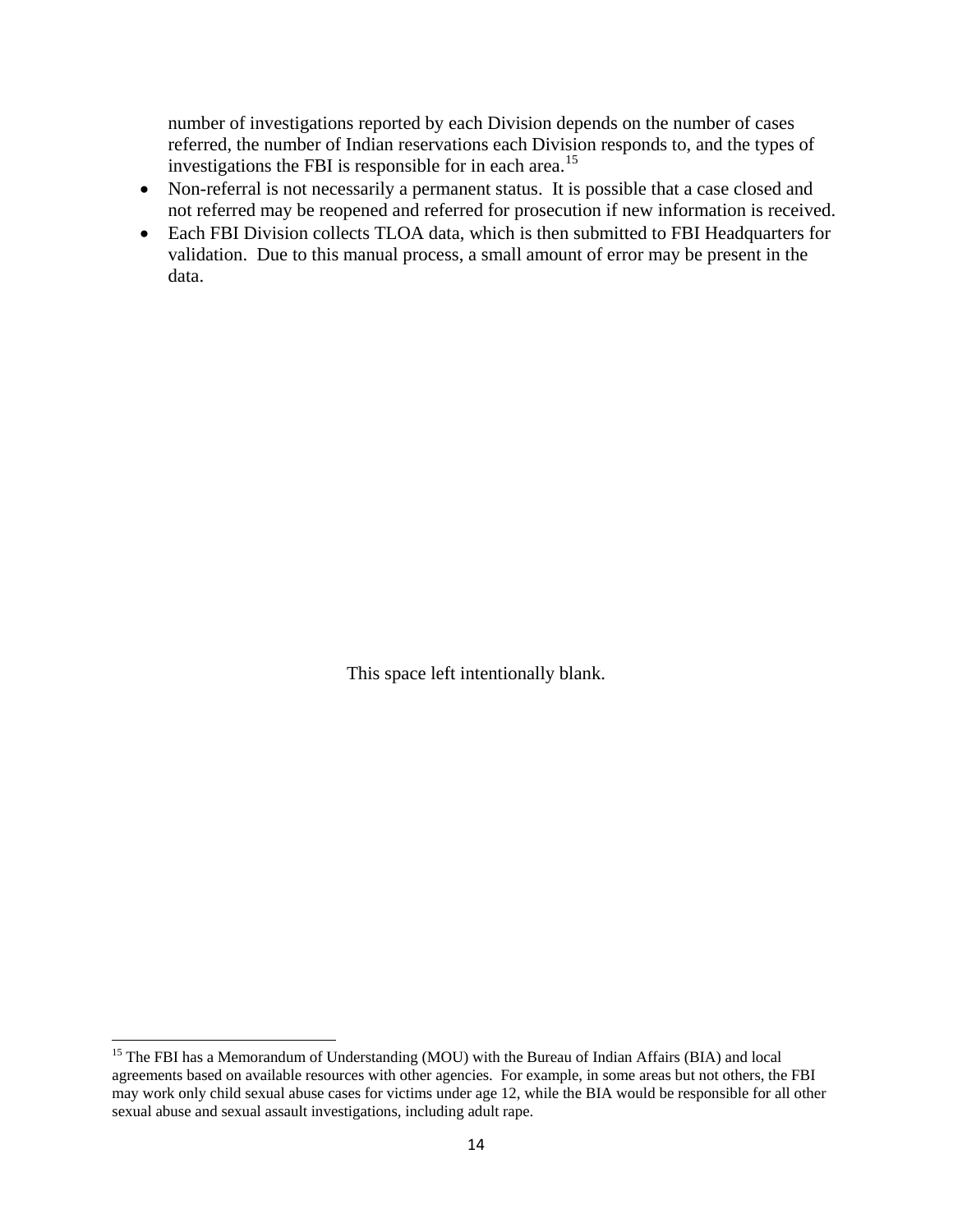number of investigations reported by each Division depends on the number of cases referred, the number of Indian reservations each Division responds to, and the types of investigations the FBI is responsible for in each area.<sup>[15](#page-13-0)</sup>

- Non-referral is not necessarily a permanent status. It is possible that a case closed and not referred may be reopened and referred for prosecution if new information is received.
- Each FBI Division collects TLOA data, which is then submitted to FBI Headquarters for validation. Due to this manual process, a small amount of error may be present in the data.

This space left intentionally blank.

<span id="page-13-0"></span><sup>&</sup>lt;sup>15</sup> The FBI has a Memorandum of Understanding (MOU) with the Bureau of Indian Affairs (BIA) and local agreements based on available resources with other agencies. For example, in some areas but not others, the FBI may work only child sexual abuse cases for victims under age 12, while the BIA would be responsible for all other sexual abuse and sexual assault investigations, including adult rape.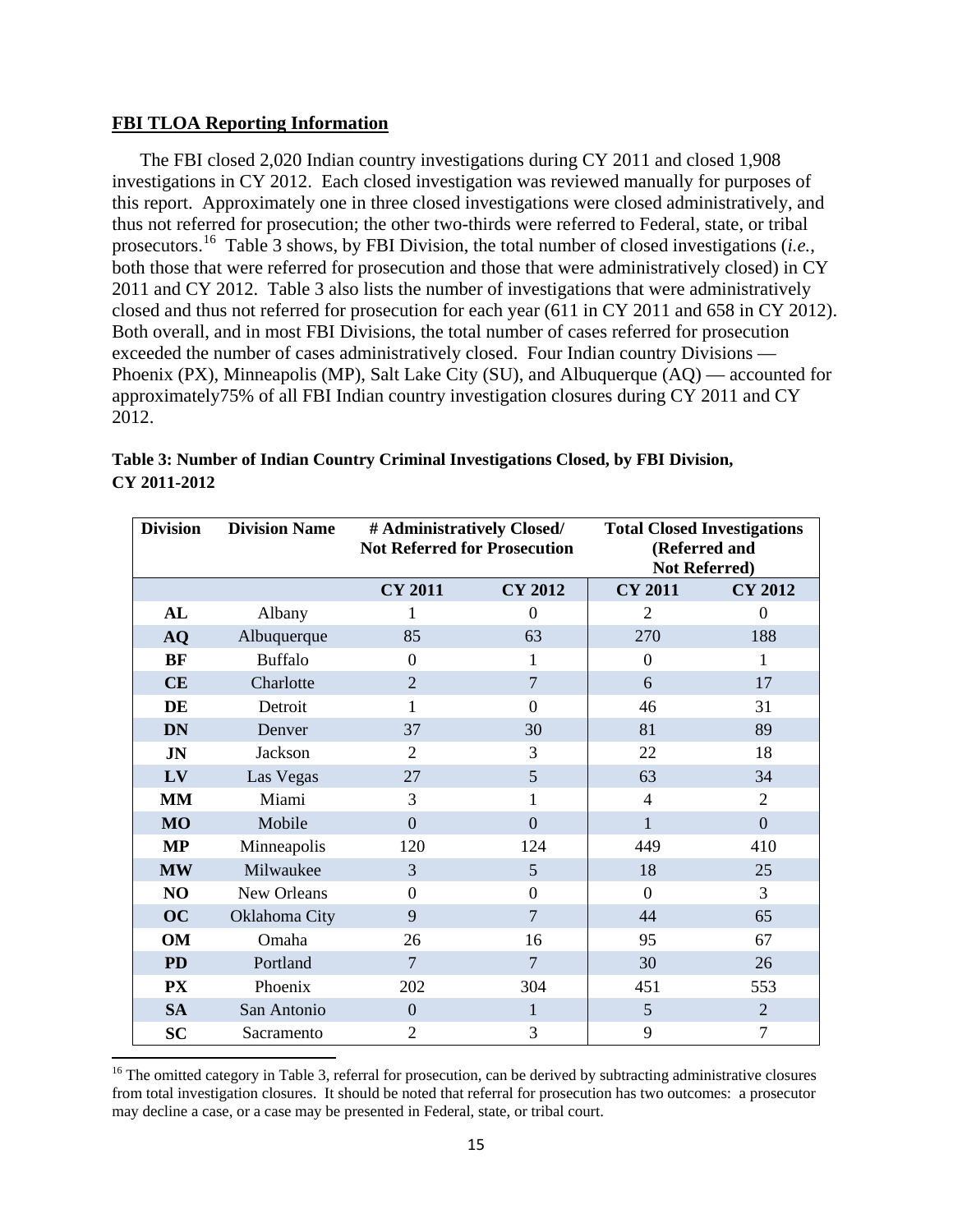#### **FBI TLOA Reporting Information**

l

The FBI closed 2,020 Indian country investigations during CY 2011 and closed 1,908 investigations in CY 2012. Each closed investigation was reviewed manually for purposes of this report. Approximately one in three closed investigations were closed administratively, and thus not referred for prosecution; the other two-thirds were referred to Federal, state, or tribal prosecutors.[16](#page-14-0) Table 3 shows, by FBI Division, the total number of closed investigations (*i.e.*, both those that were referred for prosecution and those that were administratively closed) in CY 2011 and CY 2012. Table 3 also lists the number of investigations that were administratively closed and thus not referred for prosecution for each year (611 in CY 2011 and 658 in CY 2012). Both overall, and in most FBI Divisions, the total number of cases referred for prosecution exceeded the number of cases administratively closed. Four Indian country Divisions — Phoenix (PX), Minneapolis (MP), Salt Lake City (SU), and Albuquerque (AQ) — accounted for approximately75% of all FBI Indian country investigation closures during CY 2011 and CY 2012.

| <b>Division</b> | <b>Division Name</b> | # Administratively Closed/<br><b>Not Referred for Prosecution</b> |                  | <b>Total Closed Investigations</b><br><b>Not Referred)</b> | (Referred and  |
|-----------------|----------------------|-------------------------------------------------------------------|------------------|------------------------------------------------------------|----------------|
|                 |                      | <b>CY 2011</b>                                                    | <b>CY 2012</b>   | <b>CY 2011</b>                                             | <b>CY 2012</b> |
| AL              | Albany               |                                                                   | $\theta$         | 2                                                          | $\theta$       |
| <b>AQ</b>       | Albuquerque          | 85                                                                | 63               | 270                                                        | 188            |
| <b>BF</b>       | <b>Buffalo</b>       | $\overline{0}$                                                    | 1                | $\overline{0}$                                             | 1              |
| CE              | Charlotte            | $\overline{2}$                                                    | $\overline{7}$   | 6                                                          | 17             |
| DE              | Detroit              | 1                                                                 | $\theta$         | 46                                                         | 31             |
| <b>DN</b>       | Denver               | 37                                                                | 30               | 81                                                         | 89             |
| <b>JN</b>       | Jackson              | $\overline{2}$                                                    | 3                | 22                                                         | 18             |
| LV              | Las Vegas            | 27                                                                | 5                | 63                                                         | 34             |
| <b>MM</b>       | Miami                | 3                                                                 | 1                | $\overline{4}$                                             | $\overline{2}$ |
| <b>MO</b>       | Mobile               | $\overline{0}$                                                    | $\overline{0}$   | $\mathbf{1}$                                               | $\overline{0}$ |
| <b>MP</b>       | Minneapolis          | 120                                                               | 124              | 449                                                        | 410            |
| <b>MW</b>       | Milwaukee            | 3                                                                 | 5                | 18                                                         | 25             |
| NO              | New Orleans          | $\overline{0}$                                                    | $\boldsymbol{0}$ | $\boldsymbol{0}$                                           | 3              |
| <b>OC</b>       | Oklahoma City        | 9                                                                 | $\overline{7}$   | 44                                                         | 65             |
| OM              | Omaha                | 26                                                                | 16               | 95                                                         | 67             |
| PD              | Portland             | $\overline{7}$                                                    | $\overline{7}$   | 30                                                         | 26             |
| <b>PX</b>       | Phoenix              | 202                                                               | 304              | 451                                                        | 553            |
| <b>SA</b>       | San Antonio          | $\overline{0}$                                                    | $\mathbf{1}$     | 5                                                          | $\overline{2}$ |
| <b>SC</b>       | Sacramento           | $\overline{2}$                                                    | 3                | 9                                                          | 7              |

**Table 3: Number of Indian Country Criminal Investigations Closed, by FBI Division, CY 2011-2012** 

<span id="page-14-0"></span> $16$  The omitted category in Table 3, referral for prosecution, can be derived by subtracting administrative closures from total investigation closures. It should be noted that referral for prosecution has two outcomes: a prosecutor may decline a case, or a case may be presented in Federal, state, or tribal court.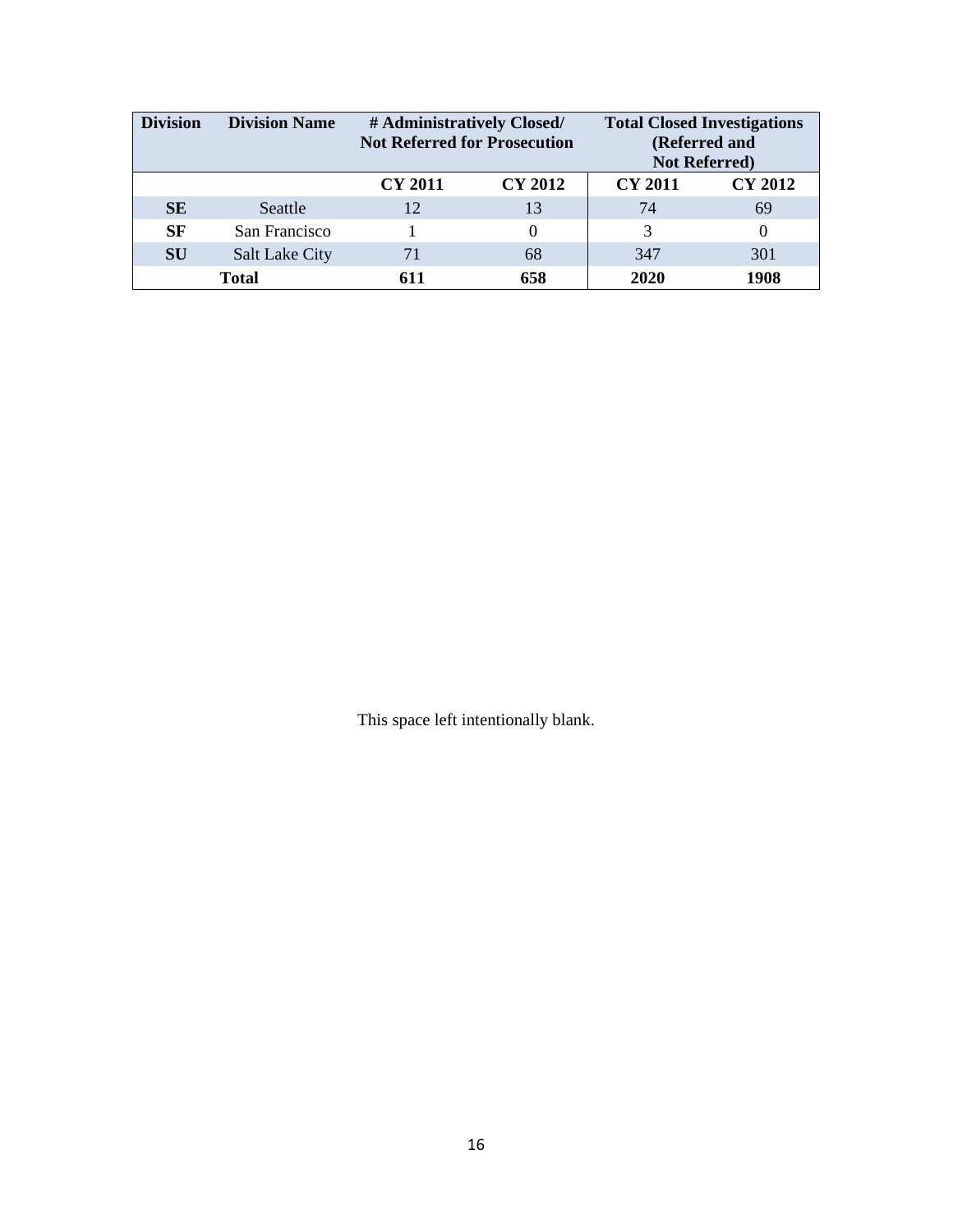| <b>Division</b> | <b>Division Name</b>  | # Administratively Closed/<br><b>Not Referred for Prosecution</b> |                | <b>Total Closed Investigations</b><br>(Referred and<br><b>Not Referred)</b> |                |
|-----------------|-----------------------|-------------------------------------------------------------------|----------------|-----------------------------------------------------------------------------|----------------|
|                 |                       | <b>CY 2011</b>                                                    | <b>CY 2012</b> | <b>CY 2011</b>                                                              | <b>CY 2012</b> |
| <b>SE</b>       | Seattle               | 12                                                                | 13             | 74                                                                          | 69             |
| SF              | San Francisco         |                                                                   | $\theta$       | 3                                                                           | $_{0}$         |
| <b>SU</b>       | <b>Salt Lake City</b> | 71                                                                | 68             | 347                                                                         | 301            |
|                 | <b>Total</b>          | 611                                                               | 658            | 2020                                                                        | 1908           |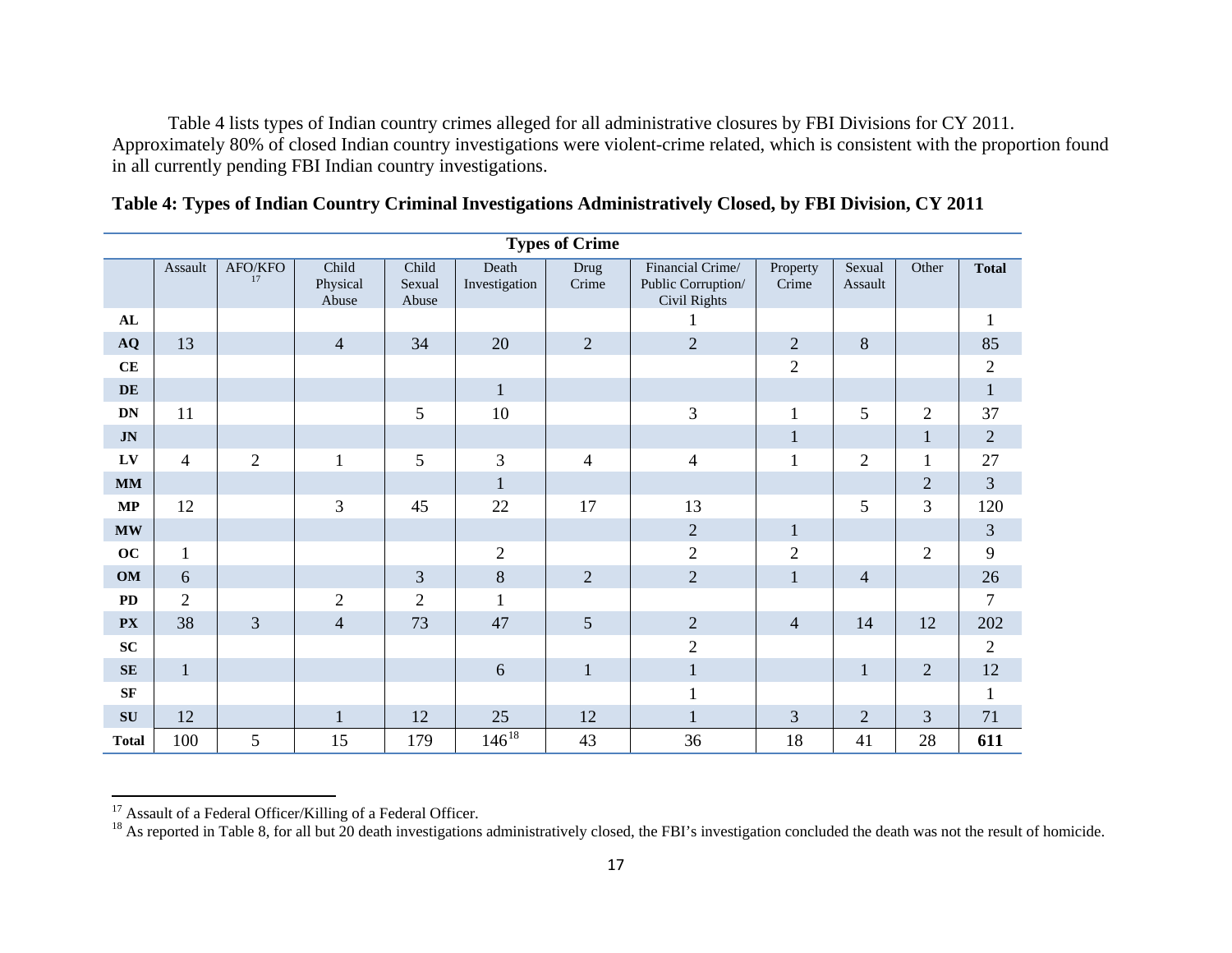<span id="page-16-1"></span><span id="page-16-0"></span>Table 4 lists types of Indian country crimes alleged for all administrative closures by FBI Divisions for CY 2011. Approximately 80% of closed Indian country investigations were violent-crime related, which is consistent with the proportion found in all currently pending FBI Indian country investigations.

|               | <b>Types of Crime</b> |                |                            |                          |                        |                |                                                               |                   |                   |                |                |  |
|---------------|-----------------------|----------------|----------------------------|--------------------------|------------------------|----------------|---------------------------------------------------------------|-------------------|-------------------|----------------|----------------|--|
|               | Assault               | AFO/KFO<br>17  | Child<br>Physical<br>Abuse | Child<br>Sexual<br>Abuse | Death<br>Investigation | Drug<br>Crime  | Financial Crime/<br>Public Corruption/<br><b>Civil Rights</b> | Property<br>Crime | Sexual<br>Assault | Other          | <b>Total</b>   |  |
| ${\bf AL}$    |                       |                |                            |                          |                        |                |                                                               |                   |                   |                | 1              |  |
| AQ            | 13                    |                | $\overline{4}$             | 34                       | 20                     | $\overline{2}$ | $\overline{2}$                                                | $\sqrt{2}$        | 8                 |                | 85             |  |
| CE            |                       |                |                            |                          |                        |                |                                                               | $\mathbf{2}$      |                   |                | $\overline{2}$ |  |
| DE            |                       |                |                            |                          | $\mathbf{1}$           |                |                                                               |                   |                   |                | $\,1$          |  |
| <b>DN</b>     | 11                    |                |                            | 5                        | 10                     |                | $\mathfrak{Z}$                                                | $\mathbf{1}$      | 5                 | $\overline{2}$ | 37             |  |
| $J\mathbf{N}$ |                       |                |                            |                          |                        |                |                                                               | $\mathbf{1}$      |                   | $\mathbf{1}$   | $\sqrt{2}$     |  |
| LV            | $\overline{4}$        | $\overline{c}$ | $\mathbf{1}$               | 5                        | 3                      | $\overline{4}$ | $\overline{4}$                                                | 1                 | $\sqrt{2}$        | 1              | 27             |  |
| <b>MM</b>     |                       |                |                            |                          | $\mathbf{1}$           |                |                                                               |                   |                   | $\overline{2}$ | 3              |  |
| $\bf MP$      | 12                    |                | 3                          | 45                       | 22                     | 17             | 13                                                            |                   | 5                 | 3              | 120            |  |
| <b>MW</b>     |                       |                |                            |                          |                        |                | $\sqrt{2}$                                                    | $\mathbf{1}$      |                   |                | $\mathfrak{Z}$ |  |
| oc            | $\mathbf{1}$          |                |                            |                          | $\sqrt{2}$             |                | $\overline{2}$                                                | $\sqrt{2}$        |                   | $\overline{2}$ | 9              |  |
| OM            | $\sqrt{6}$            |                |                            | 3                        | $8\,$                  | $\mathbf{2}$   | $\sqrt{2}$                                                    | $\mathbf{1}$      | $\overline{4}$    |                | 26             |  |
| <b>PD</b>     | $\overline{2}$        |                | $\overline{2}$             | $\overline{2}$           | 1                      |                |                                                               |                   |                   |                | $\overline{7}$ |  |
| <b>PX</b>     | 38                    | 3              | $\overline{4}$             | 73                       | 47                     | 5              | $\overline{2}$                                                | $\overline{4}$    | 14                | 12             | 202            |  |
| SC            |                       |                |                            |                          |                        |                | $\sqrt{2}$                                                    |                   |                   |                | $\overline{2}$ |  |
| SE            | $\mathbf{1}$          |                |                            |                          | 6                      | $\mathbf{1}$   | $\mathbf{1}$                                                  |                   | $\mathbf{1}$      | $\overline{2}$ | 12             |  |
| <b>SF</b>     |                       |                |                            |                          |                        |                | $\mathbf{1}$                                                  |                   |                   |                | 1              |  |
| SU            | 12                    |                | $\mathbf{1}$               | 12                       | 25                     | 12             | $\mathbf{1}$                                                  | 3                 | $\overline{2}$    | 3              | 71             |  |
| <b>Total</b>  | 100                   | 5              | 15                         | 179                      | $146^{18}$             | 43             | 36                                                            | 18                | 41                | 28             | 611            |  |

|  |  |  |  |  | Table 4: Types of Indian Country Criminal Investigations Administratively Closed, by FBI Division, CY 2011 |
|--|--|--|--|--|------------------------------------------------------------------------------------------------------------|
|--|--|--|--|--|------------------------------------------------------------------------------------------------------------|

<sup>&</sup>lt;sup>17</sup> Assault of a Federal Officer/Killing of a Federal Officer.<br><sup>18</sup> As reported in Table 8, for all but 20 death investigations administratively closed, the FBI's investigation concluded the death was not the result of ho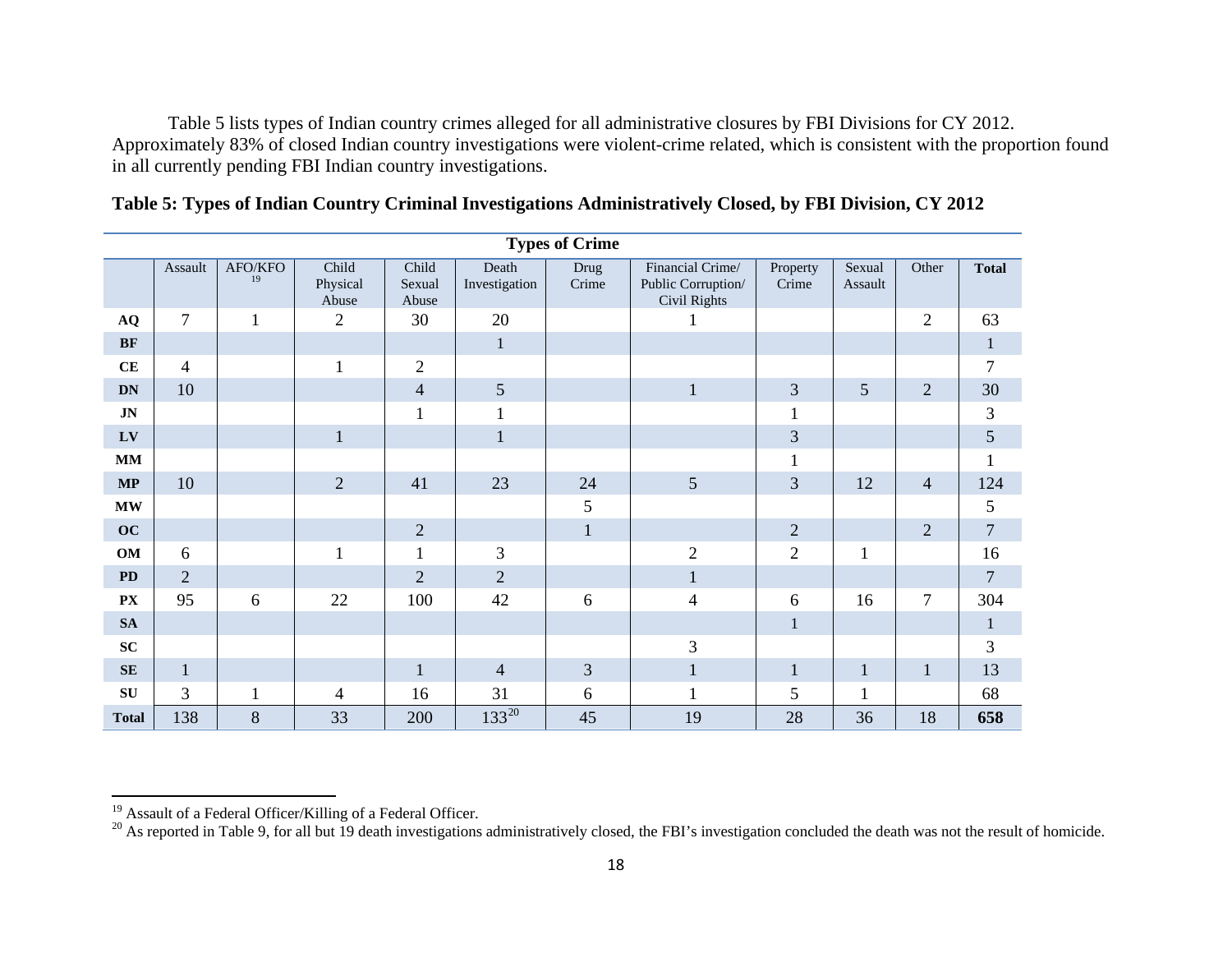<span id="page-17-1"></span><span id="page-17-0"></span>Table 5 lists types of Indian country crimes alleged for all administrative closures by FBI Divisions for CY 2012. Approximately 83% of closed Indian country investigations were violent-crime related, which is consistent with the proportion found in all currently pending FBI Indian country investigations.

| <b>Types of Crime</b>   |                |               |                            |                          |                        |               |                                                        |                   |                   |                |                |  |
|-------------------------|----------------|---------------|----------------------------|--------------------------|------------------------|---------------|--------------------------------------------------------|-------------------|-------------------|----------------|----------------|--|
|                         | Assault        | AFO/KFO<br>19 | Child<br>Physical<br>Abuse | Child<br>Sexual<br>Abuse | Death<br>Investigation | Drug<br>Crime | Financial Crime/<br>Public Corruption/<br>Civil Rights | Property<br>Crime | Sexual<br>Assault | Other          | <b>Total</b>   |  |
| $\bf{AQ}$               | $\overline{7}$ | $\mathbf{1}$  | $\overline{2}$             | 30                       | 20                     |               |                                                        |                   |                   | $\mathbf{2}$   | 63             |  |
| BF                      |                |               |                            |                          | $\mathbf{1}$           |               |                                                        |                   |                   |                | $\mathbf{1}$   |  |
| $\mathbf{CE}$           | $\overline{4}$ |               | 1                          | $\overline{2}$           |                        |               |                                                        |                   |                   |                | $\tau$         |  |
| <b>DN</b>               | $10\,$         |               |                            | $\overline{4}$           | 5                      |               | $\mathbf{1}$                                           | $\mathfrak{Z}$    | 5                 | $\overline{2}$ | 30             |  |
| $\mathbf{J} \mathbf{N}$ |                |               |                            | 1                        | $\mathbf{1}$           |               |                                                        | 1                 |                   |                | 3              |  |
| ${\bf L}{\bf V}$        |                |               | $\mathbf{1}$               |                          | $\mathbf{1}$           |               |                                                        | 3                 |                   |                | $\mathfrak{S}$ |  |
| <b>MM</b>               |                |               |                            |                          |                        |               |                                                        | $\mathbf{1}$      |                   |                | $\mathbf{1}$   |  |
| $\bf MP$                | 10             |               | $\overline{2}$             | 41                       | 23                     | 24            | 5                                                      | 3                 | 12                | $\overline{4}$ | 124            |  |
| $\mathbf{MW}$           |                |               |                            |                          |                        | 5             |                                                        |                   |                   |                | 5              |  |
| OC                      |                |               |                            | $\mathbf{2}$             |                        | $\mathbf{1}$  |                                                        | $\overline{2}$    |                   | $\overline{2}$ | $\overline{7}$ |  |
| OM                      | 6              |               | 1                          | 1                        | 3                      |               | $\mathfrak{2}$                                         | $\overline{2}$    | $\mathbf{1}$      |                | 16             |  |
| PD                      | $\overline{2}$ |               |                            | $\overline{2}$           | $\overline{2}$         |               | $\mathbf{1}$                                           |                   |                   |                | $\overline{7}$ |  |
| ${\bf P}{\bf X}$        | 95             | 6             | 22                         | 100                      | 42                     | 6             | $\overline{4}$                                         | 6                 | 16                | 7              | 304            |  |
| <b>SA</b>               |                |               |                            |                          |                        |               |                                                        | 1                 |                   |                | 1              |  |
| ${\bf SC}$              |                |               |                            |                          |                        |               | 3                                                      |                   |                   |                | 3              |  |
| <b>SE</b>               | $\mathbf{1}$   |               |                            | $\mathbf{1}$             | $\overline{4}$         | 3             | $\mathbf{1}$                                           | $\mathbf{1}$      | $\mathbf{1}$      | $\mathbf{1}$   | 13             |  |
| SU                      | 3              | $\mathbf{1}$  | $\overline{4}$             | 16                       | 31                     | 6             | $\mathbf{1}$                                           | 5                 | $\mathbf{1}$      |                | 68             |  |
| <b>Total</b>            | 138            | 8             | 33                         | 200                      | $133^{20}$             | 45            | 19                                                     | 28                | 36                | 18             | 658            |  |

| Table 5: Types of Indian Country Criminal Investigations Administratively Closed, by FBI Division, CY 2012 |  |  |  |  |
|------------------------------------------------------------------------------------------------------------|--|--|--|--|
|------------------------------------------------------------------------------------------------------------|--|--|--|--|

<sup>&</sup>lt;sup>19</sup> Assault of a Federal Officer/Killing of a Federal Officer.<br><sup>20</sup> As reported in Table 9, for all but 19 death investigations administratively closed, the FBI's investigation concluded the death was not the result of ho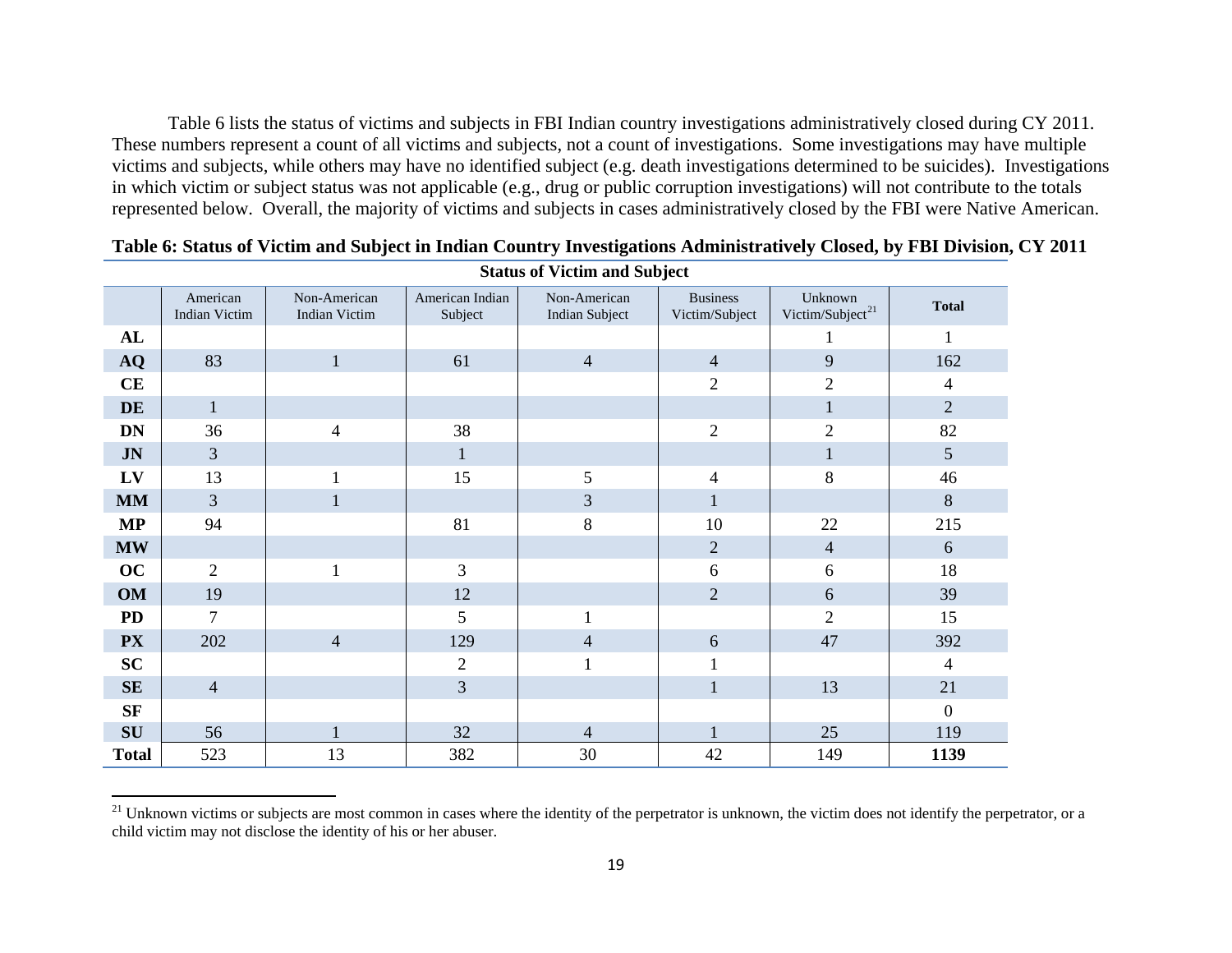<span id="page-18-0"></span>Table 6 lists the status of victims and subjects in FBI Indian country investigations administratively closed during CY 2011. These numbers represent a count of all victims and subjects, not a count of investigations. Some investigations may have multiple victims and subjects, while others may have no identified subject (e.g. death investigations determined to be suicides). Investigations in which victim or subject status was not applicable (e.g., drug or public corruption investigations) will not contribute to the totals represented below. Overall, the majority of victims and subjects in cases administratively closed by the FBI were Native American.

|               | Diatus of victim and bubject     |                                      |                            |                                       |                                   |                                         |                  |  |  |  |
|---------------|----------------------------------|--------------------------------------|----------------------------|---------------------------------------|-----------------------------------|-----------------------------------------|------------------|--|--|--|
|               | American<br><b>Indian Victim</b> | Non-American<br><b>Indian Victim</b> | American Indian<br>Subject | Non-American<br><b>Indian Subject</b> | <b>Business</b><br>Victim/Subject | Unknown<br>Victim/Subject <sup>21</sup> | <b>Total</b>     |  |  |  |
| AL            |                                  |                                      |                            |                                       |                                   |                                         | $\mathbf{1}$     |  |  |  |
| AQ            | 83                               | $\mathbf{1}$                         | 61                         | $\overline{4}$                        | $\overline{4}$                    | 9                                       | 162              |  |  |  |
| CE            |                                  |                                      |                            |                                       | $\mathbf{2}$                      | $\overline{2}$                          | $\overline{4}$   |  |  |  |
| DE            | $\mathbf{1}$                     |                                      |                            |                                       |                                   | $\mathbf{1}$                            | $\sqrt{2}$       |  |  |  |
| <b>DN</b>     | 36                               | $\overline{4}$                       | 38                         |                                       | $\overline{c}$                    | $\mathbf{2}$                            | 82               |  |  |  |
| $J\mathbf{N}$ | $\mathfrak{Z}$                   |                                      | $\mathbf{1}$               |                                       |                                   | $\mathbf{1}$                            | $\mathfrak{S}$   |  |  |  |
| LV            | 13                               |                                      | 15                         | 5                                     | 4                                 | 8                                       | 46               |  |  |  |
| <b>MM</b>     | $\mathfrak{Z}$                   | 1                                    |                            | 3                                     | $\mathbf{1}$                      |                                         | $\,8\,$          |  |  |  |
| $\bf MP$      | 94                               |                                      | 81                         | $8\,$                                 | 10                                | 22                                      | 215              |  |  |  |
| <b>MW</b>     |                                  |                                      |                            |                                       | $\overline{2}$                    | $\overline{4}$                          | 6                |  |  |  |
| OC            | 2                                | $\mathbf{1}$                         | 3                          |                                       | 6                                 | 6                                       | 18               |  |  |  |
| <b>OM</b>     | 19                               |                                      | 12                         |                                       | $\mathbf{2}$                      | 6                                       | 39               |  |  |  |
| <b>PD</b>     | $\overline{7}$                   |                                      | 5                          | 1                                     |                                   | $\overline{2}$                          | 15               |  |  |  |
| <b>PX</b>     | 202                              | $\overline{4}$                       | 129                        | $\overline{4}$                        | 6                                 | 47                                      | 392              |  |  |  |
| SC            |                                  |                                      | $\mathbf{2}$               |                                       | $\mathbf{1}$                      |                                         | $\overline{4}$   |  |  |  |
| SE            | $\overline{4}$                   |                                      | 3                          |                                       | $\mathbf{1}$                      | 13                                      | 21               |  |  |  |
| SF            |                                  |                                      |                            |                                       |                                   |                                         | $\boldsymbol{0}$ |  |  |  |
| ${\bf SU}$    | 56                               |                                      | 32                         | $\overline{4}$                        |                                   | 25                                      | 119              |  |  |  |
| <b>Total</b>  | 523                              | 13                                   | 382                        | 30                                    | 42                                | 149                                     | 1139             |  |  |  |

**Table 6: Status of Victim and Subject in Indian Country Investigations Administratively Closed, by FBI Division, CY 2011 Status of Victim and Subject**

<sup>&</sup>lt;sup>21</sup> Unknown victims or subjects are most common in cases where the identity of the perpetrator is unknown, the victim does not identify the perpetrator, or a child victim may not disclose the identity of his or her abuser.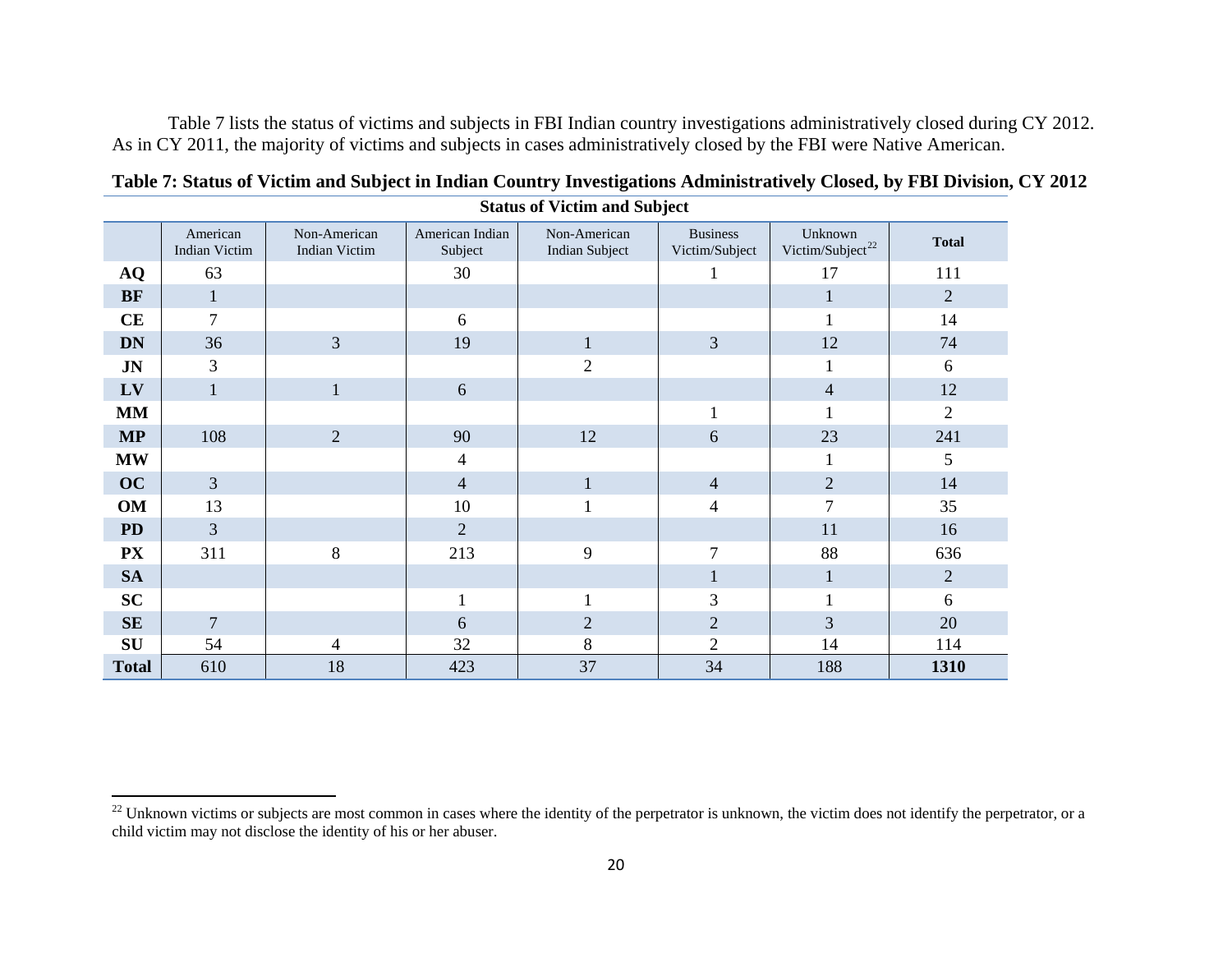<span id="page-19-0"></span>Table 7 lists the status of victims and subjects in FBI Indian country investigations administratively closed during CY 2012. As in CY 2011, the majority of victims and subjects in cases administratively closed by the FBI were Native American.

|              | American<br>Indian Victim | Non-American<br><b>Indian Victim</b> | American Indian<br>Subject | Non-American<br><b>Indian Subject</b> | <b>Business</b><br>Victim/Subject | Unknown<br>Victim/Subject <sup>22</sup> | <b>Total</b>   |
|--------------|---------------------------|--------------------------------------|----------------------------|---------------------------------------|-----------------------------------|-----------------------------------------|----------------|
| <b>AQ</b>    | 63                        |                                      | 30                         |                                       |                                   | 17                                      | 111            |
| <b>BF</b>    | $\mathbf{1}$              |                                      |                            |                                       |                                   | $\mathbf{1}$                            | $\overline{2}$ |
| CE           | 7                         |                                      | 6                          |                                       |                                   |                                         | 14             |
| <b>DN</b>    | 36                        | $\overline{3}$                       | 19                         | $\mathbf{1}$                          | $\mathfrak{Z}$                    | 12                                      | 74             |
| <b>JN</b>    | 3                         |                                      |                            | $\overline{2}$                        |                                   | 1                                       | 6              |
| LV           | $\mathbf{1}$              | $\mathbf{1}$                         | 6                          |                                       |                                   | $\overline{4}$                          | 12             |
| <b>MM</b>    |                           |                                      |                            |                                       | $\mathbf{1}$                      | 1                                       | $\overline{2}$ |
| <b>MP</b>    | 108                       | $\overline{2}$                       | 90                         | 12                                    | 6                                 | 23                                      | 241            |
| <b>MW</b>    |                           |                                      | 4                          |                                       |                                   | 1                                       | 5              |
| OC           | $\overline{3}$            |                                      | $\overline{4}$             | $\mathbf{1}$                          | $\overline{4}$                    | $\overline{2}$                          | 14             |
| <b>OM</b>    | 13                        |                                      | 10                         |                                       | $\overline{4}$                    | 7                                       | 35             |
| <b>PD</b>    | 3                         |                                      | $\overline{2}$             |                                       |                                   | 11                                      | 16             |
| <b>PX</b>    | 311                       | 8                                    | 213                        | 9                                     | 7                                 | 88                                      | 636            |
| <b>SA</b>    |                           |                                      |                            |                                       | $\mathbf{1}$                      | $\mathbf{1}$                            | $\mathbf{2}$   |
| <b>SC</b>    |                           |                                      | $\mathbf{1}$               | $\mathbf{1}$                          | $\mathfrak{Z}$                    | $\mathbf{1}$                            | 6              |
| SE           | $\overline{7}$            |                                      | 6                          | $\overline{2}$                        | $\sqrt{2}$                        | $\overline{3}$                          | 20             |
| SU           | 54                        | 4                                    | 32                         | 8                                     | $\overline{2}$                    | 14                                      | 114            |
| <b>Total</b> | 610                       | 18                                   | 423                        | 37                                    | 34                                | 188                                     | 1310           |

**Table 7: Status of Victim and Subject in Indian Country Investigations Administratively Closed, by FBI Division, CY 2012 Status of Victim and Subject**

 $^{22}$  Unknown victims or subjects are most common in cases where the identity of the perpetrator is unknown, the victim does not identify the perpetrator, or a child victim may not disclose the identity of his or her abuser.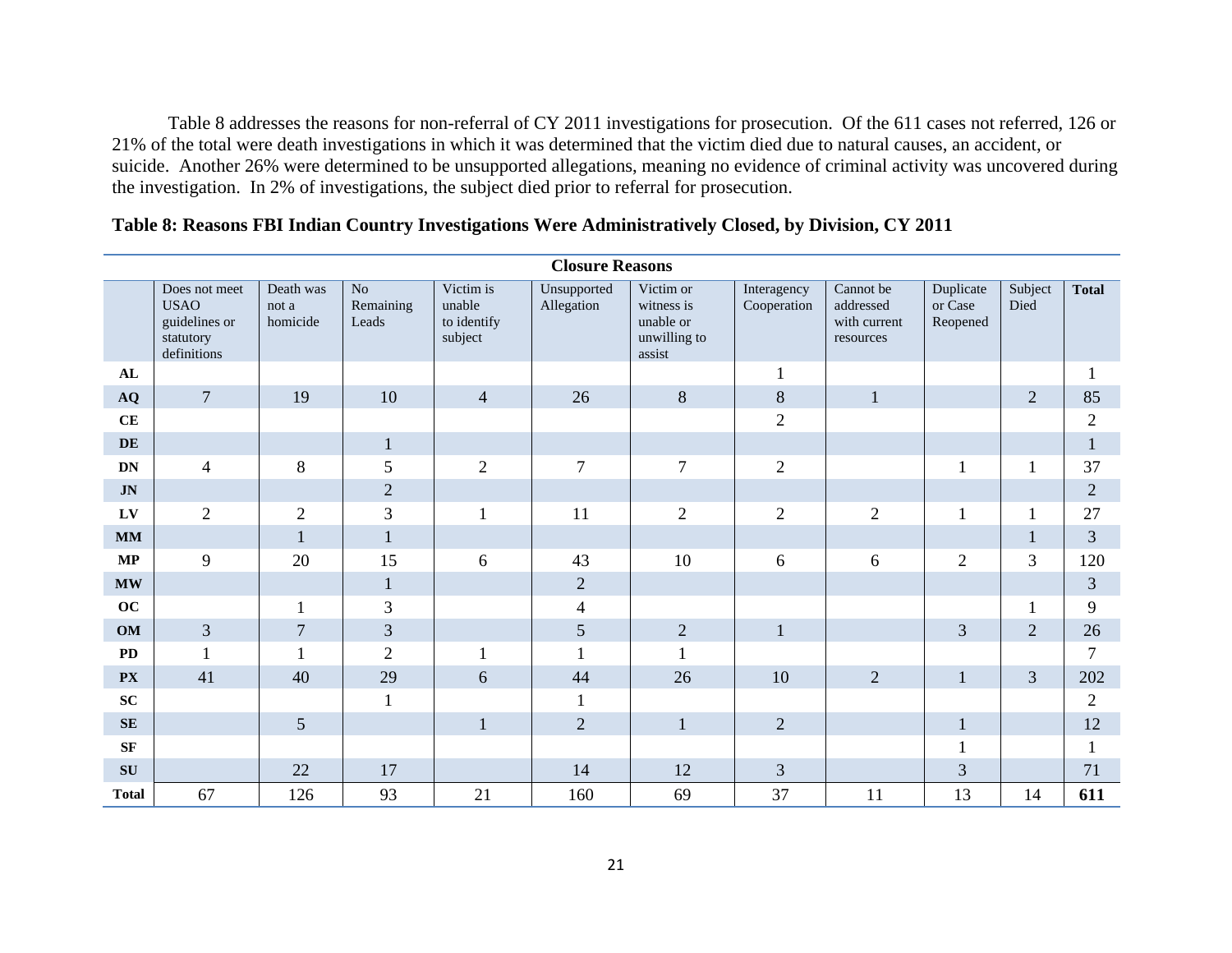Table 8 addresses the reasons for non-referral of CY 2011 investigations for prosecution. Of the 611 cases not referred, 126 or 21% of the total were death investigations in which it was determined that the victim died due to natural causes, an accident, or suicide. Another 26% were determined to be unsupported allegations, meaning no evidence of criminal activity was uncovered during the investigation. In 2% of investigations, the subject died prior to referral for prosecution.

|              | <b>Closure Reasons</b>                                                    |                                |                                |                                               |                           |                                                                |                            |                                                     |                                  |                 |                |
|--------------|---------------------------------------------------------------------------|--------------------------------|--------------------------------|-----------------------------------------------|---------------------------|----------------------------------------------------------------|----------------------------|-----------------------------------------------------|----------------------------------|-----------------|----------------|
|              | Does not meet<br><b>USAO</b><br>guidelines or<br>statutory<br>definitions | Death was<br>not a<br>homicide | $\rm No$<br>Remaining<br>Leads | Victim is<br>unable<br>to identify<br>subject | Unsupported<br>Allegation | Victim or<br>witness is<br>unable or<br>unwilling to<br>assist | Interagency<br>Cooperation | Cannot be<br>addressed<br>with current<br>resources | Duplicate<br>or Case<br>Reopened | Subject<br>Died | <b>Total</b>   |
| AL           |                                                                           |                                |                                |                                               |                           |                                                                | $\mathbf{1}$               |                                                     |                                  |                 | 1              |
| $\bf{AQ}$    | $\overline{7}$                                                            | 19                             | 10                             | $\overline{4}$                                | 26                        | $8\,$                                                          | $8\,$                      | $\mathbf{1}$                                        |                                  | $\overline{2}$  | 85             |
| CE           |                                                                           |                                |                                |                                               |                           |                                                                | $\overline{2}$             |                                                     |                                  |                 | $\overline{2}$ |
| DE           |                                                                           |                                | $\mathbf{1}$                   |                                               |                           |                                                                |                            |                                                     |                                  |                 | $\mathbf{1}$   |
| DN           | $\overline{4}$                                                            | $8\,$                          | 5                              | $\overline{2}$                                | $\overline{7}$            | $\overline{7}$                                                 | $\overline{2}$             |                                                     |                                  | $\mathbf{1}$    | 37             |
| <b>JN</b>    |                                                                           |                                | $\overline{2}$                 |                                               |                           |                                                                |                            |                                                     |                                  |                 | $\overline{2}$ |
| LV           | $\overline{2}$                                                            | $\mathbf{2}$                   | 3                              | $\mathbf{1}$                                  | 11                        | $\mathbf{2}$                                                   | $\overline{2}$             | $\overline{2}$                                      |                                  |                 | 27             |
| <b>MM</b>    |                                                                           | $\mathbf{1}$                   | $\mathbf{1}$                   |                                               |                           |                                                                |                            |                                                     |                                  | $\mathbf{1}$    | 3              |
| $\bf MP$     | 9                                                                         | 20                             | 15                             | 6                                             | 43                        | 10                                                             | 6                          | 6                                                   | $\overline{2}$                   | 3               | 120            |
| <b>MW</b>    |                                                                           |                                | $\mathbf{1}$                   |                                               | $\overline{2}$            |                                                                |                            |                                                     |                                  |                 | $\mathfrak{Z}$ |
| oc           |                                                                           | $\mathbf{1}$                   | $\mathfrak{Z}$                 |                                               | $\overline{4}$            |                                                                |                            |                                                     |                                  | $\mathbf{1}$    | 9              |
| <b>OM</b>    | 3                                                                         | $\boldsymbol{7}$               | $\overline{3}$                 |                                               | 5                         | $\sqrt{2}$                                                     | $\mathbf{1}$               |                                                     | $\overline{3}$                   | $\overline{2}$  | 26             |
| <b>PD</b>    | 1                                                                         | $\mathbf{1}$                   | $\mathbf{2}$                   | 1                                             | 1                         | 1                                                              |                            |                                                     |                                  |                 | $\overline{7}$ |
| <b>PX</b>    | 41                                                                        | 40                             | 29                             | 6                                             | 44                        | 26                                                             | 10                         | $\overline{2}$                                      | $\mathbf{1}$                     | $\mathfrak{Z}$  | 202            |
| ${\bf SC}$   |                                                                           |                                | $\mathbf{1}$                   |                                               |                           |                                                                |                            |                                                     |                                  |                 | $\overline{2}$ |
| SE           |                                                                           | $5\overline{)}$                |                                | $\mathbf{1}$                                  | $\overline{2}$            | $\mathbf{1}$                                                   | $\mathbf{2}$               |                                                     | $\mathbf{1}$                     |                 | 12             |
| SF           |                                                                           |                                |                                |                                               |                           |                                                                |                            |                                                     |                                  |                 | $\mathbf{1}$   |
| SU           |                                                                           | 22                             | 17                             |                                               | 14                        | 12                                                             | 3                          |                                                     | 3                                |                 | 71             |
| <b>Total</b> | 67                                                                        | 126                            | 93                             | 21                                            | 160                       | 69                                                             | 37                         | 11                                                  | 13                               | 14              | 611            |

# **Table 8: Reasons FBI Indian Country Investigations Were Administratively Closed, by Division, CY 2011**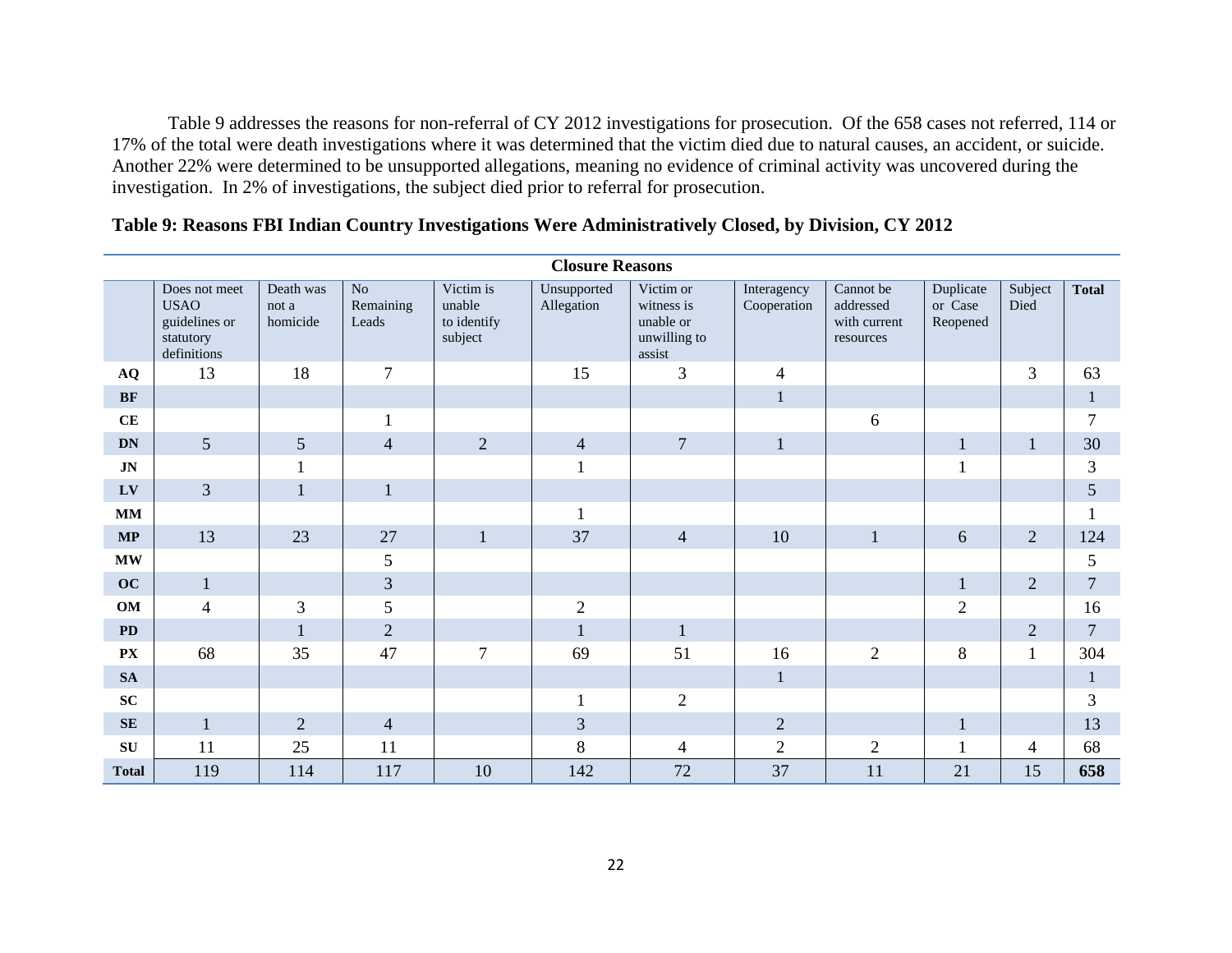Table 9 addresses the reasons for non-referral of CY 2012 investigations for prosecution. Of the 658 cases not referred, 114 or 17% of the total were death investigations where it was determined that the victim died due to natural causes, an accident, or suicide. Another 22% were determined to be unsupported allegations, meaning no evidence of criminal activity was uncovered during the investigation. In 2% of investigations, the subject died prior to referral for prosecution.

|                        | <b>Closure Reasons</b>                                                    |                                |                                      |                                               |                           |                                                                |                            |                                                     |                                  |                 |                |
|------------------------|---------------------------------------------------------------------------|--------------------------------|--------------------------------------|-----------------------------------------------|---------------------------|----------------------------------------------------------------|----------------------------|-----------------------------------------------------|----------------------------------|-----------------|----------------|
|                        | Does not meet<br><b>USAO</b><br>guidelines or<br>statutory<br>definitions | Death was<br>not a<br>homicide | N <sub>o</sub><br>Remaining<br>Leads | Victim is<br>unable<br>to identify<br>subject | Unsupported<br>Allegation | Victim or<br>witness is<br>unable or<br>unwilling to<br>assist | Interagency<br>Cooperation | Cannot be<br>addressed<br>with current<br>resources | Duplicate<br>or Case<br>Reopened | Subject<br>Died | <b>Total</b>   |
| $\bf{AQ}$              | 13                                                                        | 18                             | $\overline{7}$                       |                                               | 15                        | 3                                                              | $\overline{4}$             |                                                     |                                  | $\overline{3}$  | 63             |
| <b>BF</b>              |                                                                           |                                |                                      |                                               |                           |                                                                | $\mathbf{1}$               |                                                     |                                  |                 | $\mathbf{1}$   |
| CE                     |                                                                           |                                | $\mathbf{1}$                         |                                               |                           |                                                                |                            | 6                                                   |                                  |                 | $\overline{7}$ |
| <b>DN</b>              | 5                                                                         | 5                              | $\overline{4}$                       | $\overline{2}$                                | $\overline{4}$            | $\overline{7}$                                                 | $\mathbf{1}$               |                                                     | $\mathbf{1}$                     | $\mathbf{1}$    | 30             |
| JN                     |                                                                           | $\mathbf{1}$                   |                                      |                                               | $\bf{I}$                  |                                                                |                            |                                                     | 1                                |                 | $\mathfrak{Z}$ |
| LV                     | $\overline{3}$                                                            | $\mathbf{1}$                   | $\mathbf{1}$                         |                                               |                           |                                                                |                            |                                                     |                                  |                 | 5              |
| <b>MM</b>              |                                                                           |                                |                                      |                                               | $\mathbf{1}$              |                                                                |                            |                                                     |                                  |                 |                |
| $\bf MP$               | 13                                                                        | 23                             | 27                                   | $\mathbf{1}$                                  | 37                        | $\overline{4}$                                                 | 10                         | $\mathbf{1}$                                        | 6                                | $\overline{2}$  | 124            |
| $\mathbf{M}\mathbf{W}$ |                                                                           |                                | $\mathfrak{S}$                       |                                               |                           |                                                                |                            |                                                     |                                  |                 | 5              |
| OC                     | $\mathbf{1}$                                                              |                                | $\overline{3}$                       |                                               |                           |                                                                |                            |                                                     | $\mathbf{1}$                     | $\overline{2}$  | $\overline{7}$ |
| OM                     | $\overline{4}$                                                            | 3                              | 5                                    |                                               | $\overline{2}$            |                                                                |                            |                                                     | $\overline{2}$                   |                 | 16             |
| <b>PD</b>              |                                                                           | $\mathbf{1}$                   | $\overline{2}$                       |                                               | $\mathbf{1}$              | $\mathbf{1}$                                                   |                            |                                                     |                                  | $\mathbf{2}$    | $\overline{7}$ |
| ${\bf P}{\bf X}$       | 68                                                                        | 35                             | 47                                   | $\overline{7}$                                | 69                        | 51                                                             | 16                         | $\overline{2}$                                      | 8                                | $\mathbf{1}$    | 304            |
| <b>SA</b>              |                                                                           |                                |                                      |                                               |                           |                                                                | $\mathbf{1}$               |                                                     |                                  |                 | $\mathbf{1}$   |
| SC                     |                                                                           |                                |                                      |                                               | $\mathbf{1}$              | $\overline{2}$                                                 |                            |                                                     |                                  |                 | $\overline{3}$ |
| <b>SE</b>              | $\mathbf{1}$                                                              | $\overline{2}$                 | $\overline{4}$                       |                                               | 3                         |                                                                | $\sqrt{2}$                 |                                                     | $\mathbf{1}$                     |                 | 13             |
| SU                     | 11                                                                        | 25                             | 11                                   |                                               | 8                         | $\overline{4}$                                                 | $\overline{2}$             | $\overline{2}$                                      | $\mathbf{1}$                     | $\overline{4}$  | 68             |
| <b>Total</b>           | 119                                                                       | 114                            | 117                                  | 10                                            | 142                       | 72                                                             | 37                         | 11                                                  | 21                               | 15              | 658            |

# **Table 9: Reasons FBI Indian Country Investigations Were Administratively Closed, by Division, CY 2012**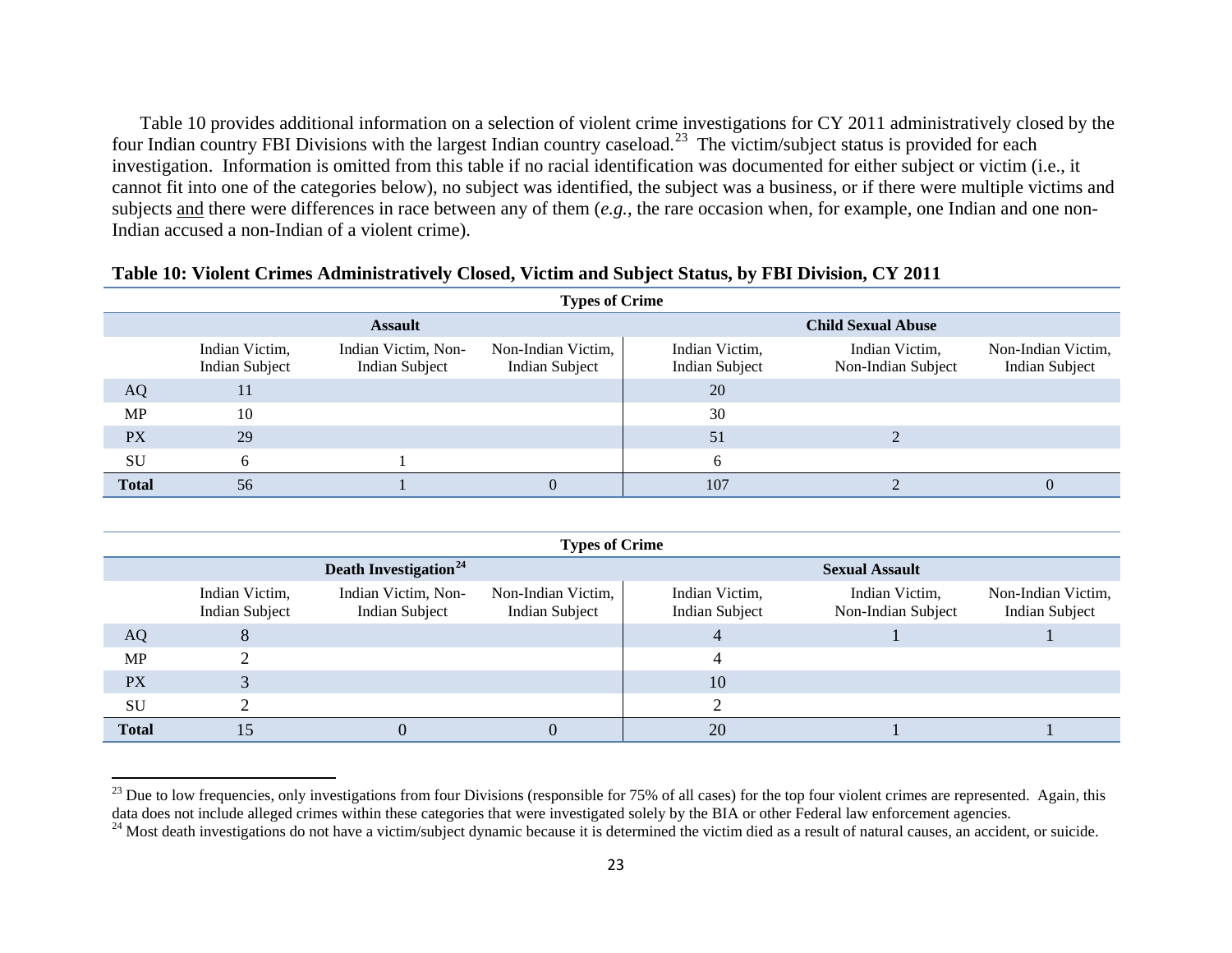<span id="page-22-1"></span><span id="page-22-0"></span>Table 10 provides additional information on a selection of violent crime investigations for CY 2011 administratively closed by the four Indian country FBI Divisions with the largest Indian country caseload.<sup>[23](#page-22-0)</sup> The victim/subject status is provided for each investigation. Information is omitted from this table if no racial identification was documented for either subject or victim (i.e., it cannot fit into one of the categories below), no subject was identified, the subject was a business, or if there were multiple victims and subjects and there were differences in race between any of them (*e.g.*, the rare occasion when, for example, one Indian and one non-Indian accused a non-Indian of a violent crime).

|              | <b>Types of Crime</b>                   |                                       |                                      |                                         |                                      |                                             |  |
|--------------|-----------------------------------------|---------------------------------------|--------------------------------------|-----------------------------------------|--------------------------------------|---------------------------------------------|--|
|              |                                         | <b>Assault</b>                        |                                      | <b>Child Sexual Abuse</b>               |                                      |                                             |  |
|              | Indian Victim,<br><b>Indian Subject</b> | Indian Victim, Non-<br>Indian Subject | Non-Indian Victim,<br>Indian Subject | Indian Victim,<br><b>Indian Subject</b> | Indian Victim,<br>Non-Indian Subject | Non-Indian Victim,<br><b>Indian Subject</b> |  |
| AQ           | 11                                      |                                       |                                      | 20                                      |                                      |                                             |  |
| <b>MP</b>    | 10                                      |                                       |                                      | 30                                      |                                      |                                             |  |
| <b>PX</b>    | 29                                      |                                       |                                      | 51                                      |                                      |                                             |  |
| SU           | 6                                       |                                       |                                      |                                         |                                      |                                             |  |
| <b>Total</b> | 56                                      |                                       |                                      | 107                                     |                                      |                                             |  |

#### **Table 10: Violent Crimes Administratively Closed, Victim and Subject Status, by FBI Division, CY 2011**

|              | <b>Types of Crime</b>                   |                                       |                                             |                                         |                                      |                                             |  |
|--------------|-----------------------------------------|---------------------------------------|---------------------------------------------|-----------------------------------------|--------------------------------------|---------------------------------------------|--|
|              |                                         | Death Investigation <sup>24</sup>     |                                             |                                         | <b>Sexual Assault</b>                |                                             |  |
|              | Indian Victim,<br><b>Indian Subject</b> | Indian Victim, Non-<br>Indian Subject | Non-Indian Victim,<br><b>Indian Subject</b> | Indian Victim,<br><b>Indian Subject</b> | Indian Victim,<br>Non-Indian Subject | Non-Indian Victim,<br><b>Indian Subject</b> |  |
| AQ           | $\circ$                                 |                                       |                                             |                                         |                                      |                                             |  |
| <b>MP</b>    |                                         |                                       |                                             |                                         |                                      |                                             |  |
| <b>PX</b>    |                                         |                                       |                                             | 10                                      |                                      |                                             |  |
| SU           |                                         |                                       |                                             |                                         |                                      |                                             |  |
| <b>Total</b> | $\overline{.5}$                         |                                       |                                             | 20                                      |                                      |                                             |  |

 $^{23}$  Due to low frequencies, only investigations from four Divisions (responsible for 75% of all cases) for the top four violent crimes are represented. Again, this data does not include alleged crimes within these categories that were investigated solely by the BIA or other Federal law enforcement agencies.

l

<sup>&</sup>lt;sup>24</sup> Most death investigations do not have a victim/subject dynamic because it is determined the victim died as a result of natural causes, an accident, or suicide.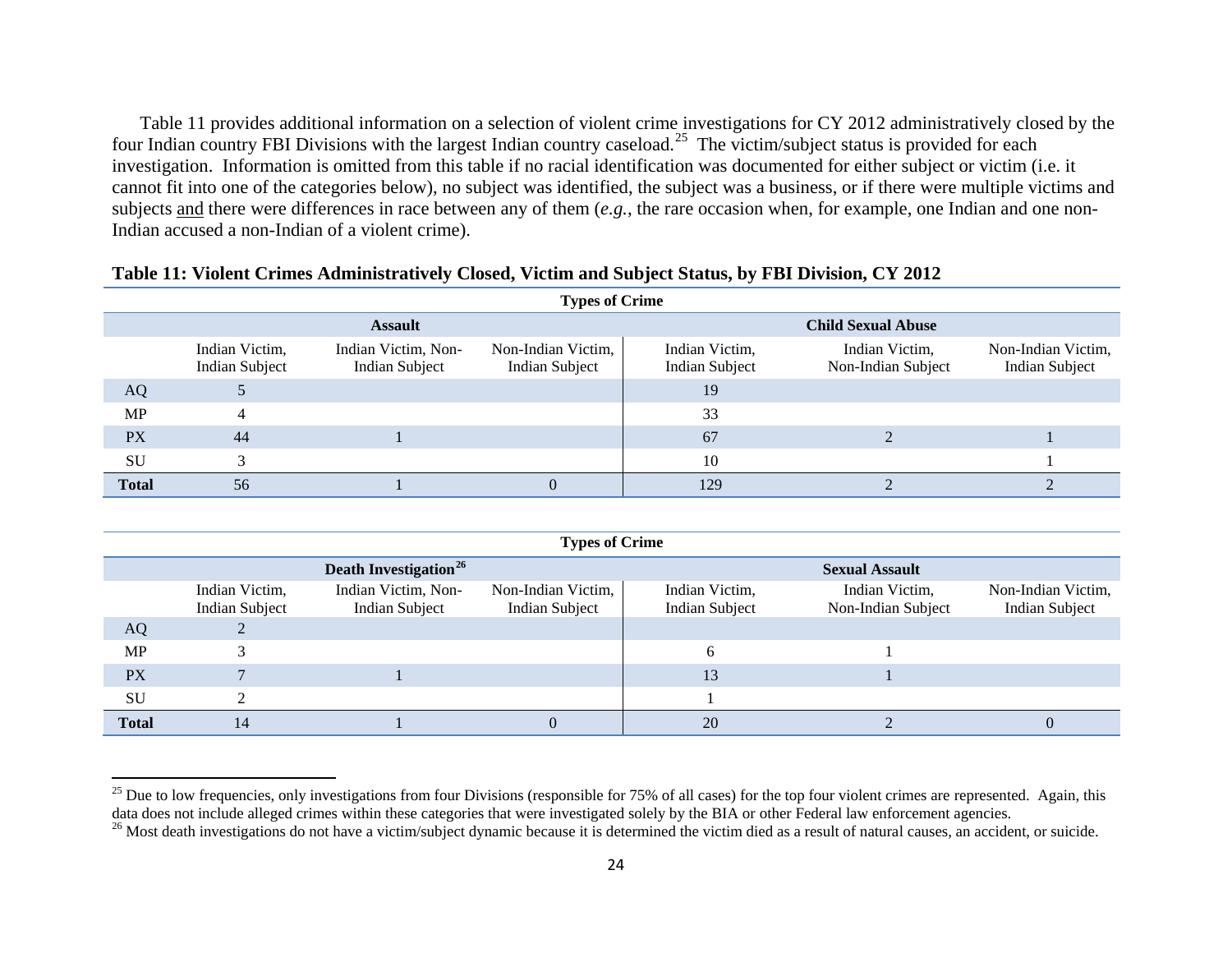<span id="page-23-1"></span><span id="page-23-0"></span>Table 11 provides additional information on a selection of violent crime investigations for CY 2012 administratively closed by the four Indian country FBI Divisions with the largest Indian country caseload.<sup>[25](#page-23-0)</sup> The victim/subject status is provided for each investigation. Information is omitted from this table if no racial identification was documented for either subject or victim (i.e. it cannot fit into one of the categories below), no subject was identified, the subject was a business, or if there were multiple victims and subjects and there were differences in race between any of them (*e.g.*, the rare occasion when, for example, one Indian and one non-Indian accused a non-Indian of a violent crime).

|              | <b>Types of Crime</b>                   |                                       |                                      |                                         |                                      |                                             |  |
|--------------|-----------------------------------------|---------------------------------------|--------------------------------------|-----------------------------------------|--------------------------------------|---------------------------------------------|--|
|              |                                         | <b>Assault</b>                        |                                      |                                         | <b>Child Sexual Abuse</b>            |                                             |  |
|              | Indian Victim,<br><b>Indian Subject</b> | Indian Victim, Non-<br>Indian Subject | Non-Indian Victim,<br>Indian Subject | Indian Victim,<br><b>Indian Subject</b> | Indian Victim,<br>Non-Indian Subject | Non-Indian Victim,<br><b>Indian Subject</b> |  |
| AQ           |                                         |                                       |                                      | 19                                      |                                      |                                             |  |
| <b>MP</b>    |                                         |                                       |                                      | 33                                      |                                      |                                             |  |
| <b>PX</b>    | 44                                      |                                       |                                      | 67                                      |                                      |                                             |  |
| SU           |                                         |                                       |                                      | 10                                      |                                      |                                             |  |
| <b>Total</b> | 56                                      |                                       |                                      | 129                                     |                                      |                                             |  |

#### **Table 11: Violent Crimes Administratively Closed, Victim and Subject Status, by FBI Division, CY 2012**

|              | <b>Types of Crime</b>                   |                                          |                                      |                                         |                                      |                                             |  |
|--------------|-----------------------------------------|------------------------------------------|--------------------------------------|-----------------------------------------|--------------------------------------|---------------------------------------------|--|
|              |                                         | <b>Death Investigation</b> <sup>26</sup> |                                      |                                         | <b>Sexual Assault</b>                |                                             |  |
|              | Indian Victim,<br><b>Indian Subject</b> | Indian Victim, Non-<br>Indian Subject    | Non-Indian Victim,<br>Indian Subject | Indian Victim,<br><b>Indian Subject</b> | Indian Victim,<br>Non-Indian Subject | Non-Indian Victim,<br><b>Indian Subject</b> |  |
| <b>AQ</b>    |                                         |                                          |                                      |                                         |                                      |                                             |  |
| <b>MP</b>    |                                         |                                          |                                      | 6                                       |                                      |                                             |  |
| <b>PX</b>    |                                         |                                          |                                      | 13                                      |                                      |                                             |  |
| SU           |                                         |                                          |                                      |                                         |                                      |                                             |  |
| <b>Total</b> | 14                                      |                                          |                                      | 20                                      |                                      |                                             |  |

l

<sup>&</sup>lt;sup>25</sup> Due to low frequencies, only investigations from four Divisions (responsible for 75% of all cases) for the top four violent crimes are represented. Again, this data does not include alleged crimes within these categories that were investigated solely by the BIA or other Federal law enforcement agencies.<br><sup>26</sup> Most death investigations do not have a victim/subject dynamic because i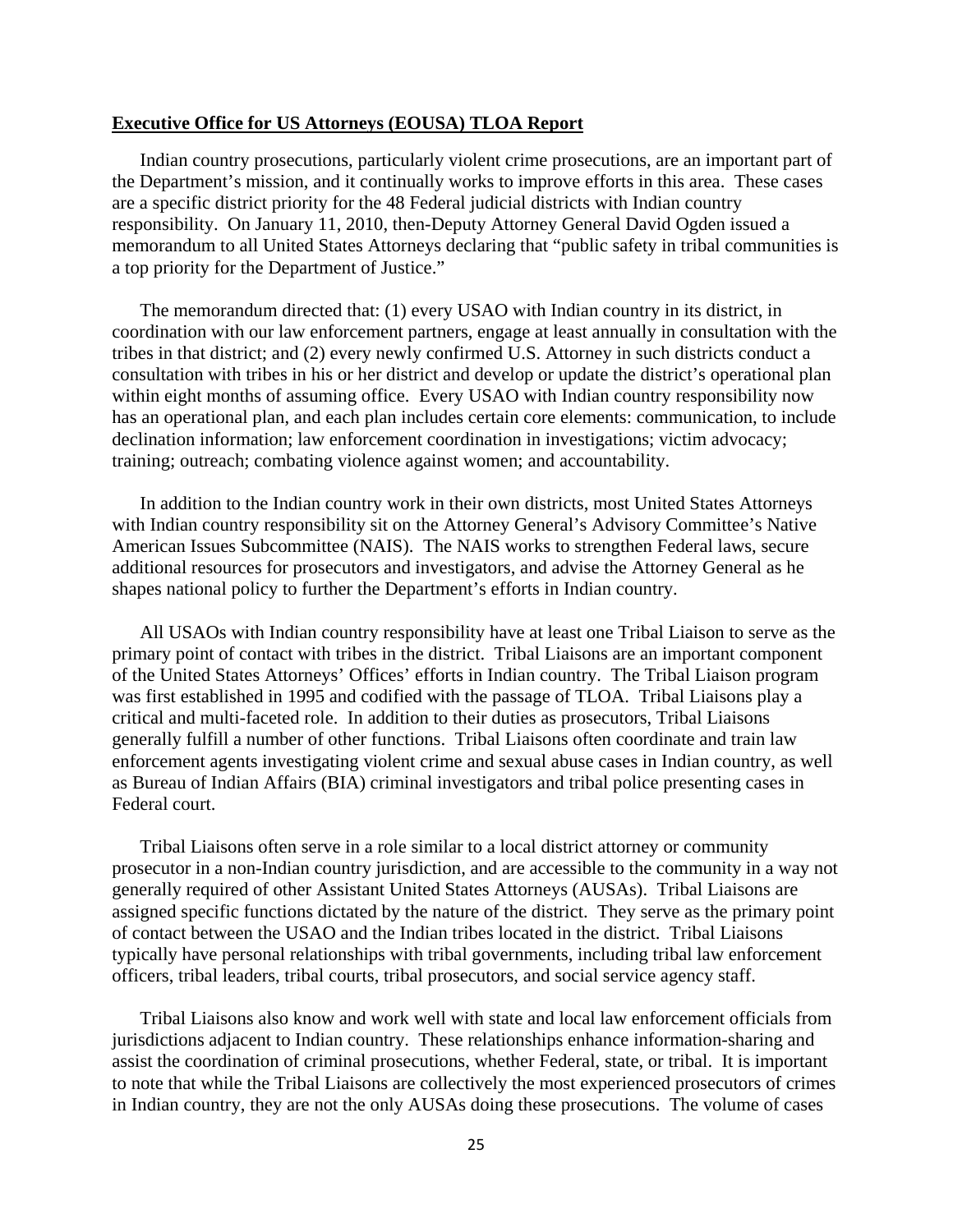#### **Executive Office for US Attorneys (EOUSA) TLOA Report**

Indian country prosecutions, particularly violent crime prosecutions, are an important part of the Department's mission, and it continually works to improve efforts in this area. These cases are a specific district priority for the 48 Federal judicial districts with Indian country responsibility. On January 11, 2010, then-Deputy Attorney General David Ogden issued a memorandum to all United States Attorneys declaring that "public safety in tribal communities is a top priority for the Department of Justice."

The memorandum directed that: (1) every USAO with Indian country in its district, in coordination with our law enforcement partners, engage at least annually in consultation with the tribes in that district; and (2) every newly confirmed U.S. Attorney in such districts conduct a consultation with tribes in his or her district and develop or update the district's operational plan within eight months of assuming office. Every USAO with Indian country responsibility now has an operational plan, and each plan includes certain core elements: communication, to include declination information; law enforcement coordination in investigations; victim advocacy; training; outreach; combating violence against women; and accountability.

In addition to the Indian country work in their own districts, most United States Attorneys with Indian country responsibility sit on the Attorney General's Advisory Committee's Native American Issues Subcommittee (NAIS). The NAIS works to strengthen Federal laws, secure additional resources for prosecutors and investigators, and advise the Attorney General as he shapes national policy to further the Department's efforts in Indian country.

All USAOs with Indian country responsibility have at least one Tribal Liaison to serve as the primary point of contact with tribes in the district. Tribal Liaisons are an important component of the United States Attorneys' Offices' efforts in Indian country. The Tribal Liaison program was first established in 1995 and codified with the passage of TLOA. Tribal Liaisons play a critical and multi-faceted role. In addition to their duties as prosecutors, Tribal Liaisons generally fulfill a number of other functions. Tribal Liaisons often coordinate and train law enforcement agents investigating violent crime and sexual abuse cases in Indian country, as well as Bureau of Indian Affairs (BIA) criminal investigators and tribal police presenting cases in Federal court.

Tribal Liaisons often serve in a role similar to a local district attorney or community prosecutor in a non-Indian country jurisdiction, and are accessible to the community in a way not generally required of other Assistant United States Attorneys (AUSAs). Tribal Liaisons are assigned specific functions dictated by the nature of the district. They serve as the primary point of contact between the USAO and the Indian tribes located in the district. Tribal Liaisons typically have personal relationships with tribal governments, including tribal law enforcement officers, tribal leaders, tribal courts, tribal prosecutors, and social service agency staff.

Tribal Liaisons also know and work well with state and local law enforcement officials from jurisdictions adjacent to Indian country. These relationships enhance information-sharing and assist the coordination of criminal prosecutions, whether Federal, state, or tribal. It is important to note that while the Tribal Liaisons are collectively the most experienced prosecutors of crimes in Indian country, they are not the only AUSAs doing these prosecutions. The volume of cases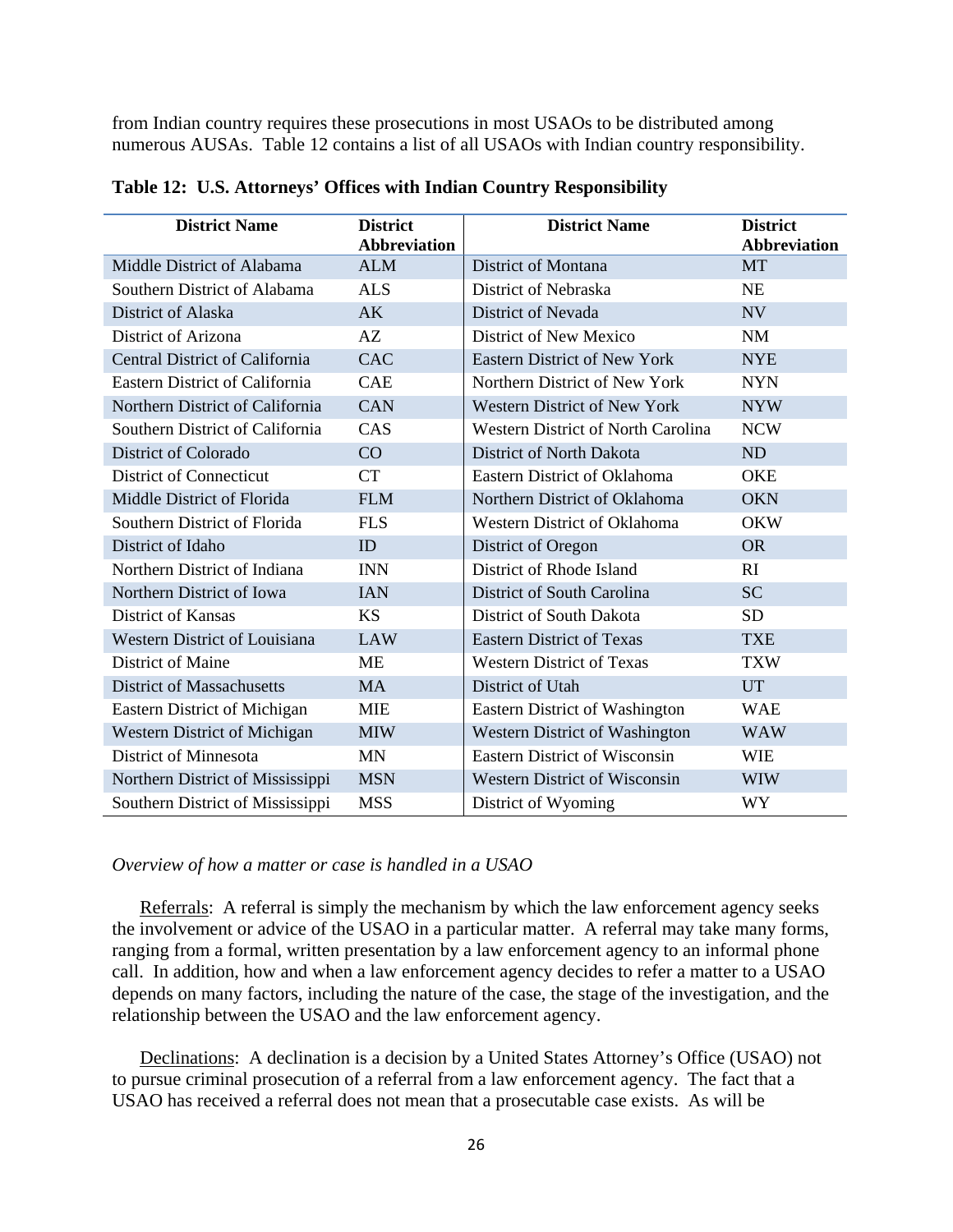from Indian country requires these prosecutions in most USAOs to be distributed among numerous AUSAs. Table 12 contains a list of all USAOs with Indian country responsibility.

| <b>District Name</b>                  | <b>District</b><br><b>Abbreviation</b> | <b>District Name</b>                      | <b>District</b><br><b>Abbreviation</b> |
|---------------------------------------|----------------------------------------|-------------------------------------------|----------------------------------------|
| Middle District of Alabama            | <b>ALM</b>                             | <b>District of Montana</b>                | <b>MT</b>                              |
| Southern District of Alabama          | <b>ALS</b>                             | District of Nebraska                      | NE                                     |
| District of Alaska                    | AK                                     | District of Nevada                        | NV                                     |
| District of Arizona                   | AZ                                     | District of New Mexico                    | <b>NM</b>                              |
| <b>Central District of California</b> | <b>CAC</b>                             | <b>Eastern District of New York</b>       | <b>NYE</b>                             |
| <b>Eastern District of California</b> | <b>CAE</b>                             | Northern District of New York             | <b>NYN</b>                             |
| Northern District of California       | <b>CAN</b>                             | <b>Western District of New York</b>       | <b>NYW</b>                             |
| Southern District of California       | CAS                                    | <b>Western District of North Carolina</b> | <b>NCW</b>                             |
| District of Colorado                  | CO                                     | District of North Dakota                  | ND                                     |
| <b>District of Connecticut</b>        | <b>CT</b>                              | Eastern District of Oklahoma              | <b>OKE</b>                             |
| Middle District of Florida            | <b>FLM</b>                             | Northern District of Oklahoma             | <b>OKN</b>                             |
| Southern District of Florida          | <b>FLS</b>                             | <b>Western District of Oklahoma</b>       | <b>OKW</b>                             |
| District of Idaho                     | ID                                     | District of Oregon                        | <b>OR</b>                              |
| Northern District of Indiana          | <b>INN</b>                             | District of Rhode Island                  | RI                                     |
| Northern District of Iowa             | <b>IAN</b>                             | District of South Carolina                | <b>SC</b>                              |
| <b>District of Kansas</b>             | <b>KS</b>                              | District of South Dakota                  | <b>SD</b>                              |
| <b>Western District of Louisiana</b>  | <b>LAW</b>                             | <b>Eastern District of Texas</b>          | <b>TXE</b>                             |
| <b>District of Maine</b>              | <b>ME</b>                              | <b>Western District of Texas</b>          | <b>TXW</b>                             |
| <b>District of Massachusetts</b>      | <b>MA</b>                              | District of Utah                          | <b>UT</b>                              |
| Eastern District of Michigan          | <b>MIE</b>                             | Eastern District of Washington            | <b>WAE</b>                             |
| <b>Western District of Michigan</b>   | <b>MIW</b>                             | Western District of Washington            | <b>WAW</b>                             |
| District of Minnesota                 | <b>MN</b>                              | <b>Eastern District of Wisconsin</b>      | <b>WIE</b>                             |
| Northern District of Mississippi      | <b>MSN</b>                             | <b>Western District of Wisconsin</b>      | <b>WIW</b>                             |
| Southern District of Mississippi      | <b>MSS</b>                             | District of Wyoming                       | WY                                     |

**Table 12: U.S. Attorneys' Offices with Indian Country Responsibility**

#### *Overview of how a matter or case is handled in a USAO*

Referrals:A referral is simply the mechanism by which the law enforcement agency seeks the involvement or advice of the USAO in a particular matter. A referral may take many forms, ranging from a formal, written presentation by a law enforcement agency to an informal phone call. In addition, how and when a law enforcement agency decides to refer a matter to a USAO depends on many factors, including the nature of the case, the stage of the investigation, and the relationship between the USAO and the law enforcement agency.

Declinations:A declination is a decision by a United States Attorney's Office (USAO) not to pursue criminal prosecution of a referral from a law enforcement agency. The fact that a USAO has received a referral does not mean that a prosecutable case exists. As will be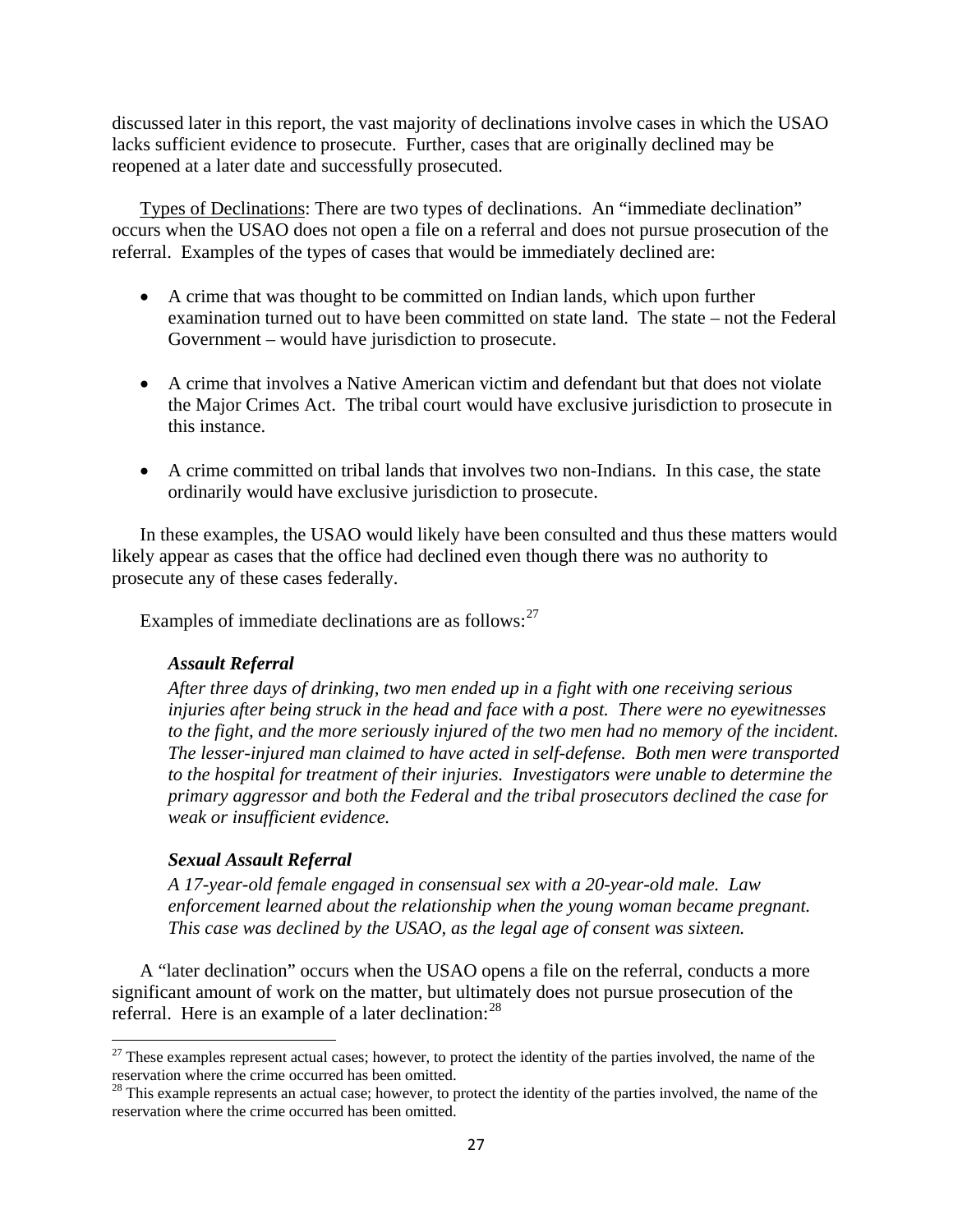discussed later in this report, the vast majority of declinations involve cases in which the USAO lacks sufficient evidence to prosecute. Further, cases that are originally declined may be reopened at a later date and successfully prosecuted.

Types of Declinations: There are two types of declinations. An "immediate declination" occurs when the USAO does not open a file on a referral and does not pursue prosecution of the referral. Examples of the types of cases that would be immediately declined are:

- A crime that was thought to be committed on Indian lands, which upon further examination turned out to have been committed on state land. The state – not the Federal Government – would have jurisdiction to prosecute.
- A crime that involves a Native American victim and defendant but that does not violate the Major Crimes Act. The tribal court would have exclusive jurisdiction to prosecute in this instance.
- A crime committed on tribal lands that involves two non-Indians. In this case, the state ordinarily would have exclusive jurisdiction to prosecute.

In these examples, the USAO would likely have been consulted and thus these matters would likely appear as cases that the office had declined even though there was no authority to prosecute any of these cases federally.

Examples of immediate declinations are as follows:<sup>[27](#page-26-0)</sup>

# *Assault Referral*

*After three days of drinking, two men ended up in a fight with one receiving serious injuries after being struck in the head and face with a post. There were no eyewitnesses to the fight, and the more seriously injured of the two men had no memory of the incident. The lesser-injured man claimed to have acted in self-defense. Both men were transported to the hospital for treatment of their injuries. Investigators were unable to determine the primary aggressor and both the Federal and the tribal prosecutors declined the case for weak or insufficient evidence.*

# *Sexual Assault Referral*

 $\overline{\phantom{a}}$ 

*A 17-year-old female engaged in consensual sex with a 20-year-old male. Law enforcement learned about the relationship when the young woman became pregnant. This case was declined by the USAO, as the legal age of consent was sixteen.* 

A "later declination" occurs when the USAO opens a file on the referral, conducts a more significant amount of work on the matter, but ultimately does not pursue prosecution of the referral. Here is an example of a later declination:<sup>[28](#page-26-1)</sup>

<span id="page-26-0"></span> $27$  These examples represent actual cases; however, to protect the identity of the parties involved, the name of the reservation where the crime occurred has been omitted.

<span id="page-26-1"></span><sup>&</sup>lt;sup>28</sup> This example represents an actual case; however, to protect the identity of the parties involved, the name of the reservation where the crime occurred has been omitted.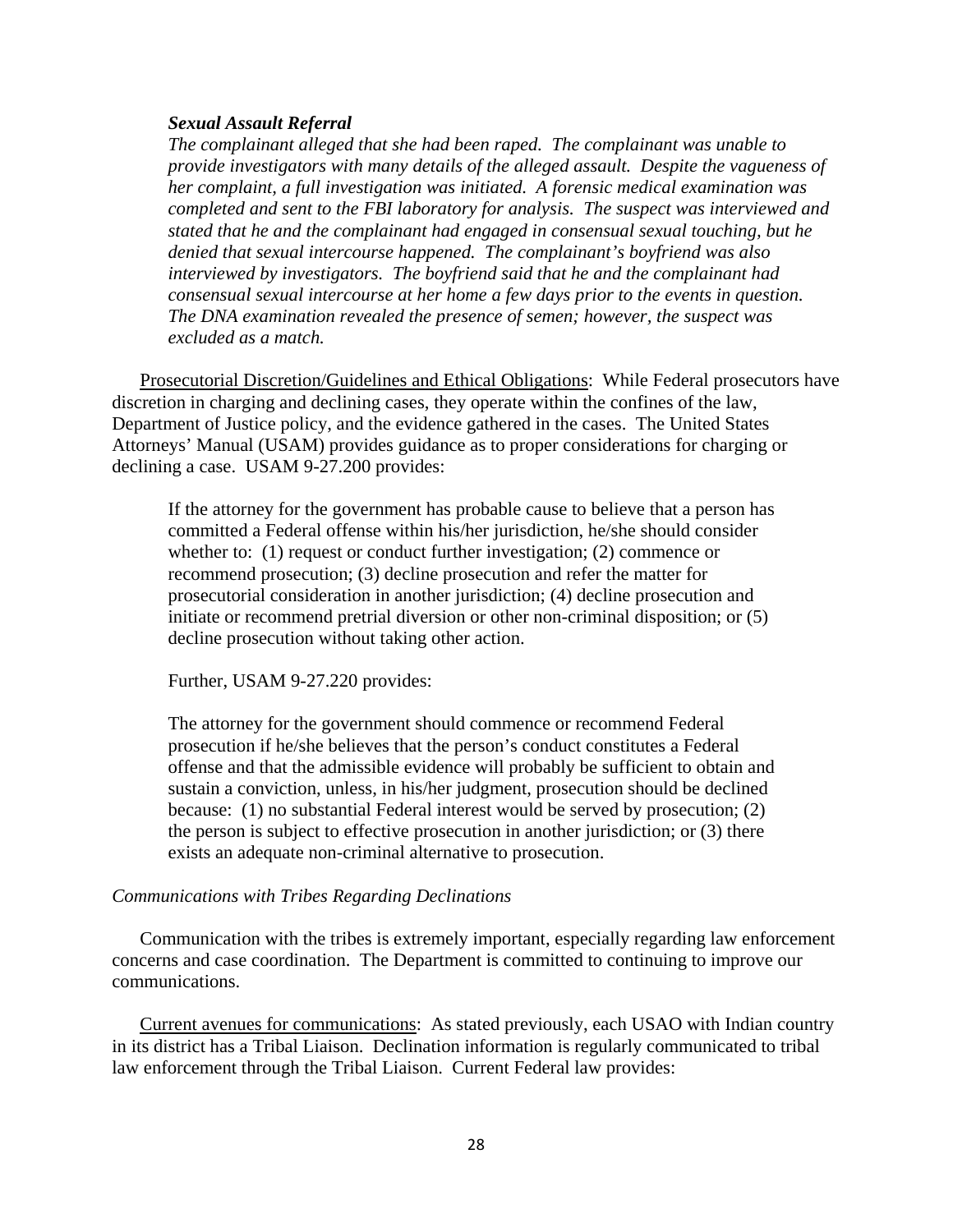#### *Sexual Assault Referral*

*The complainant alleged that she had been raped. The complainant was unable to provide investigators with many details of the alleged assault. Despite the vagueness of her complaint, a full investigation was initiated. A forensic medical examination was completed and sent to the FBI laboratory for analysis. The suspect was interviewed and stated that he and the complainant had engaged in consensual sexual touching, but he denied that sexual intercourse happened. The complainant's boyfriend was also interviewed by investigators. The boyfriend said that he and the complainant had consensual sexual intercourse at her home a few days prior to the events in question. The DNA examination revealed the presence of semen; however, the suspect was excluded as a match.* 

Prosecutorial Discretion/Guidelines and Ethical Obligations: While Federal prosecutors have discretion in charging and declining cases, they operate within the confines of the law, Department of Justice policy, and the evidence gathered in the cases. The United States Attorneys' Manual (USAM) provides guidance as to proper considerations for charging or declining a case. USAM 9-27.200 provides:

If the attorney for the government has probable cause to believe that a person has committed a Federal offense within his/her jurisdiction, he/she should consider whether to: (1) request or conduct further investigation; (2) commence or recommend prosecution; (3) decline prosecution and refer the matter for prosecutorial consideration in another jurisdiction; (4) decline prosecution and initiate or recommend pretrial diversion or other non-criminal disposition; or (5) decline prosecution without taking other action.

Further, USAM 9-27.220 provides:

The attorney for the government should commence or recommend Federal prosecution if he/she believes that the person's conduct constitutes a Federal offense and that the admissible evidence will probably be sufficient to obtain and sustain a conviction, unless, in his/her judgment, prosecution should be declined because: (1) no substantial Federal interest would be served by prosecution; (2) the person is subject to effective prosecution in another jurisdiction; or (3) there exists an adequate non-criminal alternative to prosecution.

#### *Communications with Tribes Regarding Declinations*

Communication with the tribes is extremely important, especially regarding law enforcement concerns and case coordination. The Department is committed to continuing to improve our communications.

Current avenues for communications: As stated previously, each USAO with Indian country in its district has a Tribal Liaison. Declination information is regularly communicated to tribal law enforcement through the Tribal Liaison. Current Federal law provides: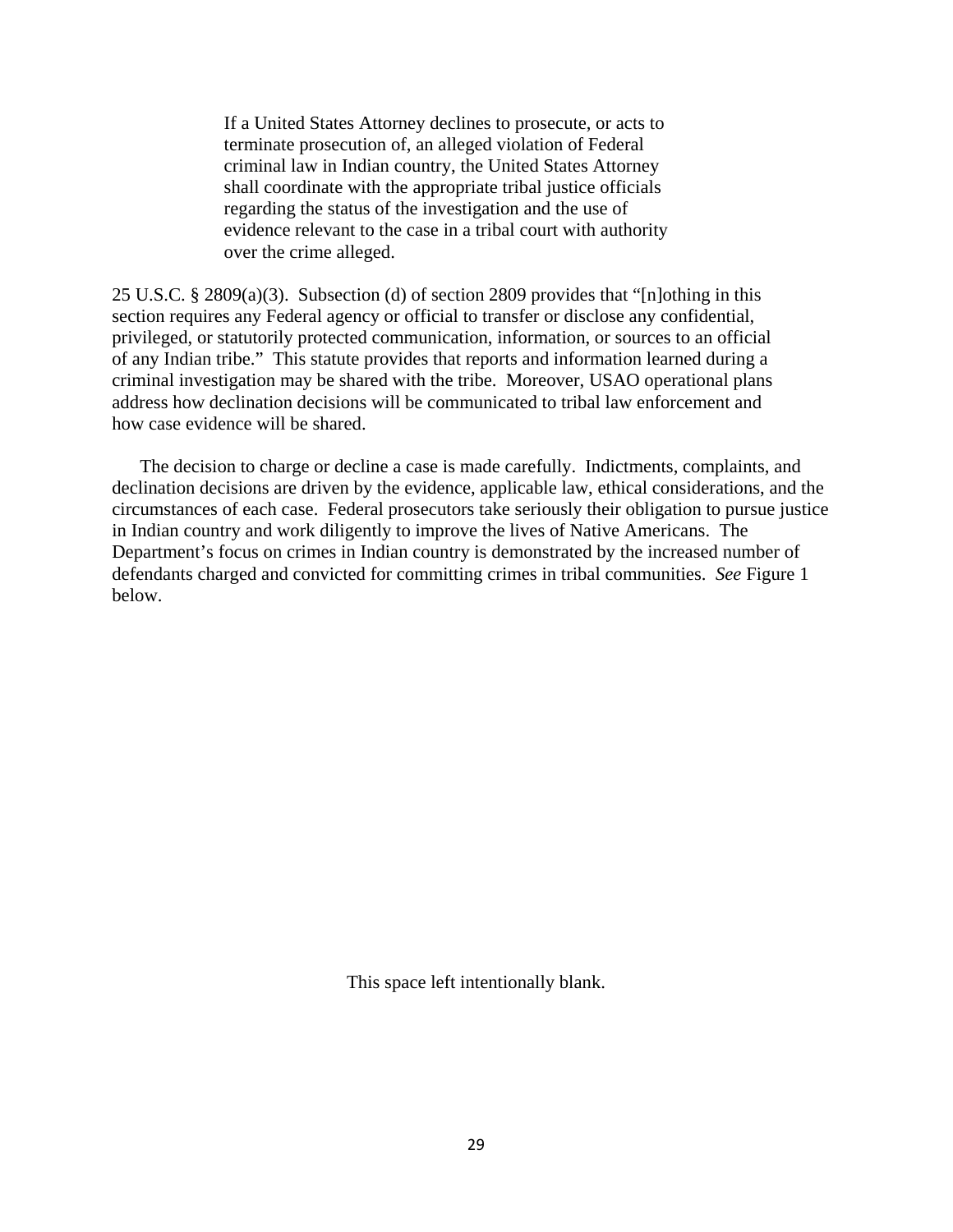If a United States Attorney declines to prosecute, or acts to terminate prosecution of, an alleged violation of Federal criminal law in Indian country, the United States Attorney shall coordinate with the appropriate tribal justice officials regarding the status of the investigation and the use of evidence relevant to the case in a tribal court with authority over the crime alleged.

25 U.S.C. § 2809(a)(3). Subsection (d) of section 2809 provides that "[n]othing in this section requires any Federal agency or official to transfer or disclose any confidential, privileged, or statutorily protected communication, information, or sources to an official of any Indian tribe." This statute provides that reports and information learned during a criminal investigation may be shared with the tribe. Moreover, USAO operational plans address how declination decisions will be communicated to tribal law enforcement and how case evidence will be shared.

The decision to charge or decline a case is made carefully. Indictments, complaints, and declination decisions are driven by the evidence, applicable law, ethical considerations, and the circumstances of each case. Federal prosecutors take seriously their obligation to pursue justice in Indian country and work diligently to improve the lives of Native Americans. The Department's focus on crimes in Indian country is demonstrated by the increased number of defendants charged and convicted for committing crimes in tribal communities. *See* Figure 1 below.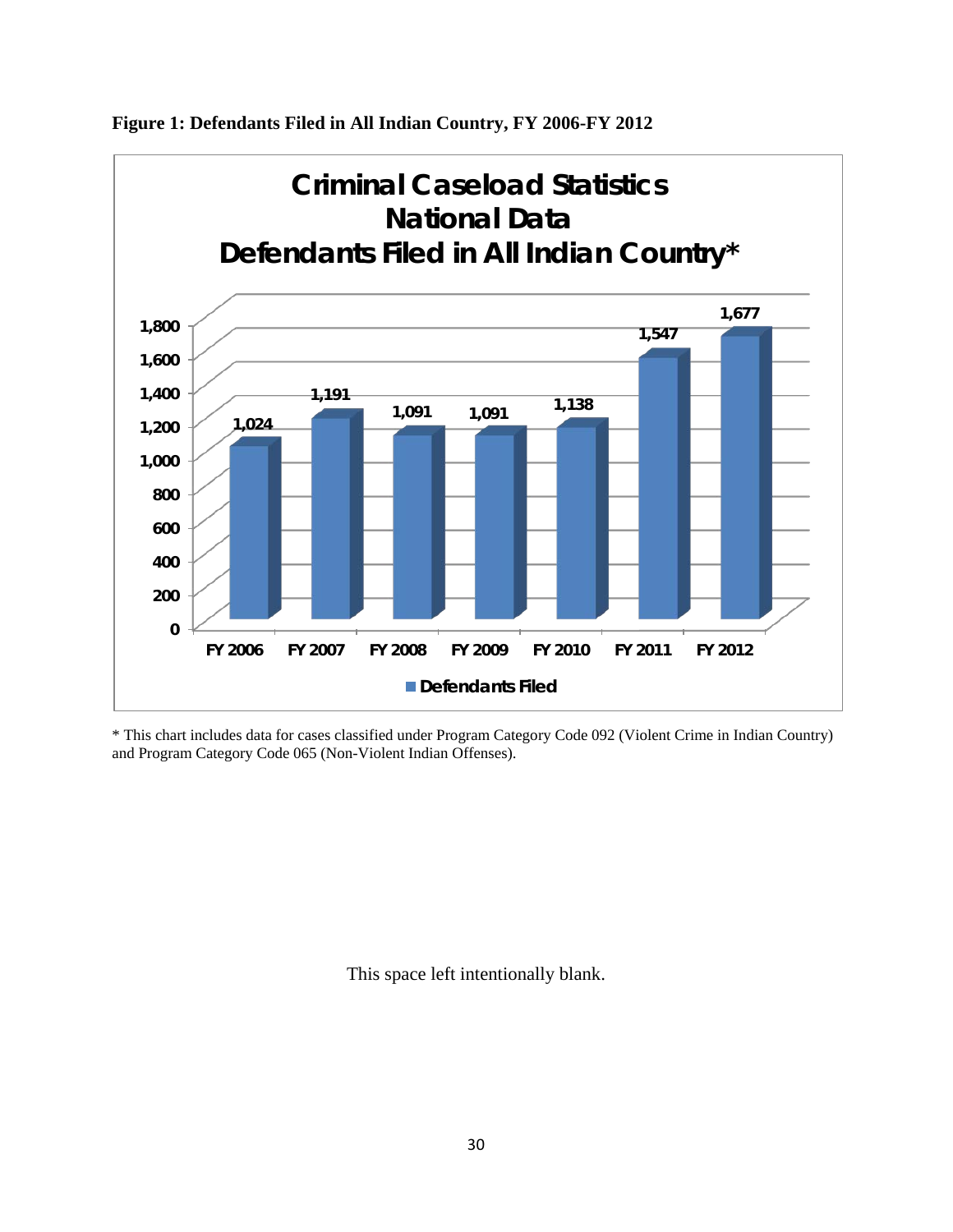

**Figure 1: Defendants Filed in All Indian Country, FY 2006-FY 2012** 

\* This chart includes data for cases classified under Program Category Code 092 (Violent Crime in Indian Country) and Program Category Code 065 (Non-Violent Indian Offenses).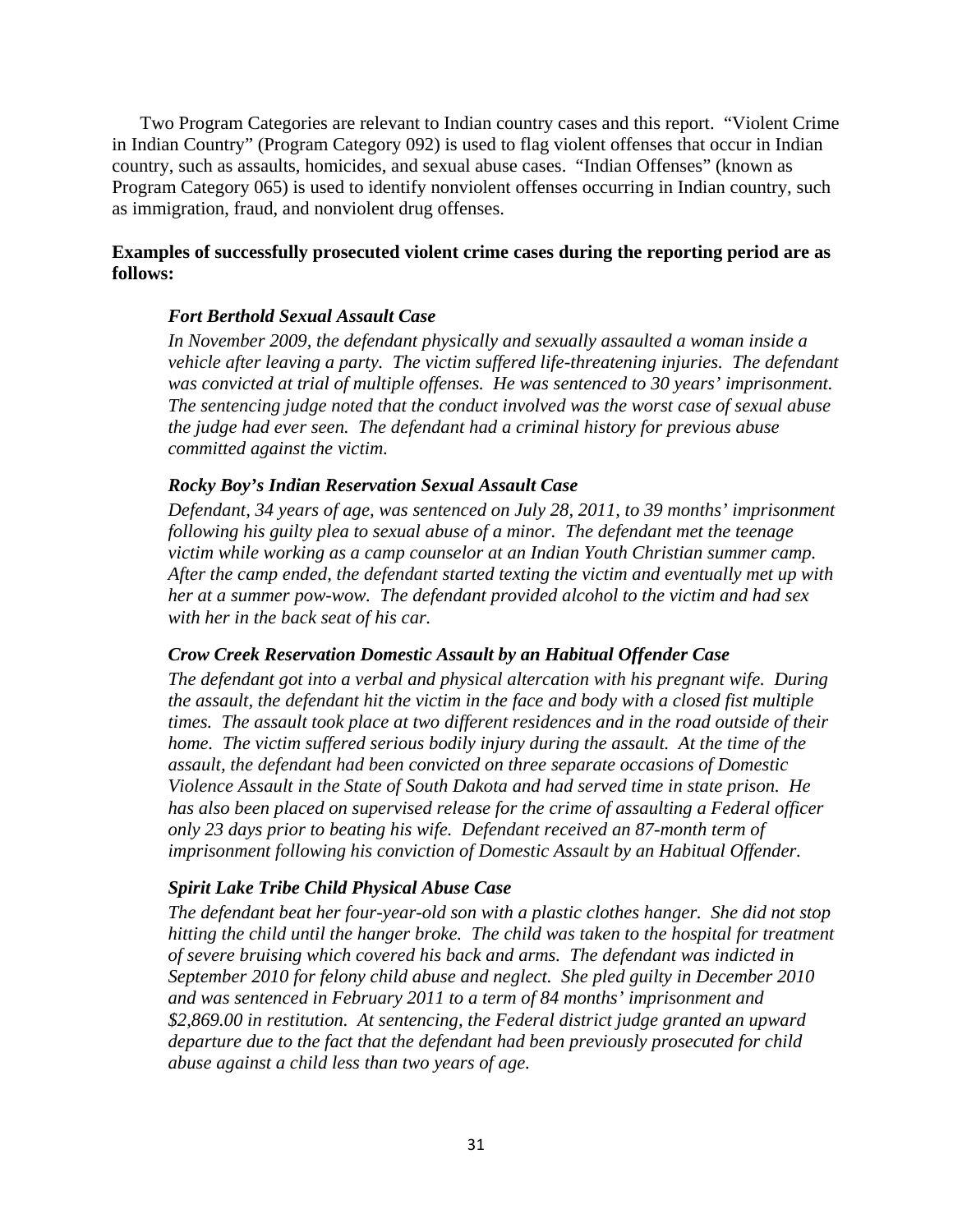Two Program Categories are relevant to Indian country cases and this report. "Violent Crime in Indian Country" (Program Category 092) is used to flag violent offenses that occur in Indian country, such as assaults, homicides, and sexual abuse cases. "Indian Offenses" (known as Program Category 065) is used to identify nonviolent offenses occurring in Indian country, such as immigration, fraud, and nonviolent drug offenses.

# **Examples of successfully prosecuted violent crime cases during the reporting period are as follows:**

# *Fort Berthold Sexual Assault Case*

*In November 2009, the defendant physically and sexually assaulted a woman inside a vehicle after leaving a party. The victim suffered life-threatening injuries. The defendant was convicted at trial of multiple offenses. He was sentenced to 30 years' imprisonment. The sentencing judge noted that the conduct involved was the worst case of sexual abuse the judge had ever seen. The defendant had a criminal history for previous abuse committed against the victim.* 

#### *Rocky Boy's Indian Reservation Sexual Assault Case*

*Defendant, 34 years of age, was sentenced on July 28, 2011, to 39 months' imprisonment following his guilty plea to sexual abuse of a minor. The defendant met the teenage victim while working as a camp counselor at an Indian Youth Christian summer camp. After the camp ended, the defendant started texting the victim and eventually met up with her at a summer pow-wow. The defendant provided alcohol to the victim and had sex with her in the back seat of his car.* 

# *Crow Creek Reservation Domestic Assault by an Habitual Offender Case*

*The defendant got into a verbal and physical altercation with his pregnant wife. During the assault, the defendant hit the victim in the face and body with a closed fist multiple times. The assault took place at two different residences and in the road outside of their home. The victim suffered serious bodily injury during the assault. At the time of the assault, the defendant had been convicted on three separate occasions of Domestic Violence Assault in the State of South Dakota and had served time in state prison. He has also been placed on supervised release for the crime of assaulting a Federal officer only 23 days prior to beating his wife. Defendant received an 87-month term of imprisonment following his conviction of Domestic Assault by an Habitual Offender.* 

#### *Spirit Lake Tribe Child Physical Abuse Case*

*The defendant beat her four-year-old son with a plastic clothes hanger. She did not stop hitting the child until the hanger broke. The child was taken to the hospital for treatment of severe bruising which covered his back and arms. The defendant was indicted in September 2010 for felony child abuse and neglect. She pled guilty in December 2010 and was sentenced in February 2011 to a term of 84 months' imprisonment and \$2,869.00 in restitution. At sentencing, the Federal district judge granted an upward departure due to the fact that the defendant had been previously prosecuted for child abuse against a child less than two years of age.*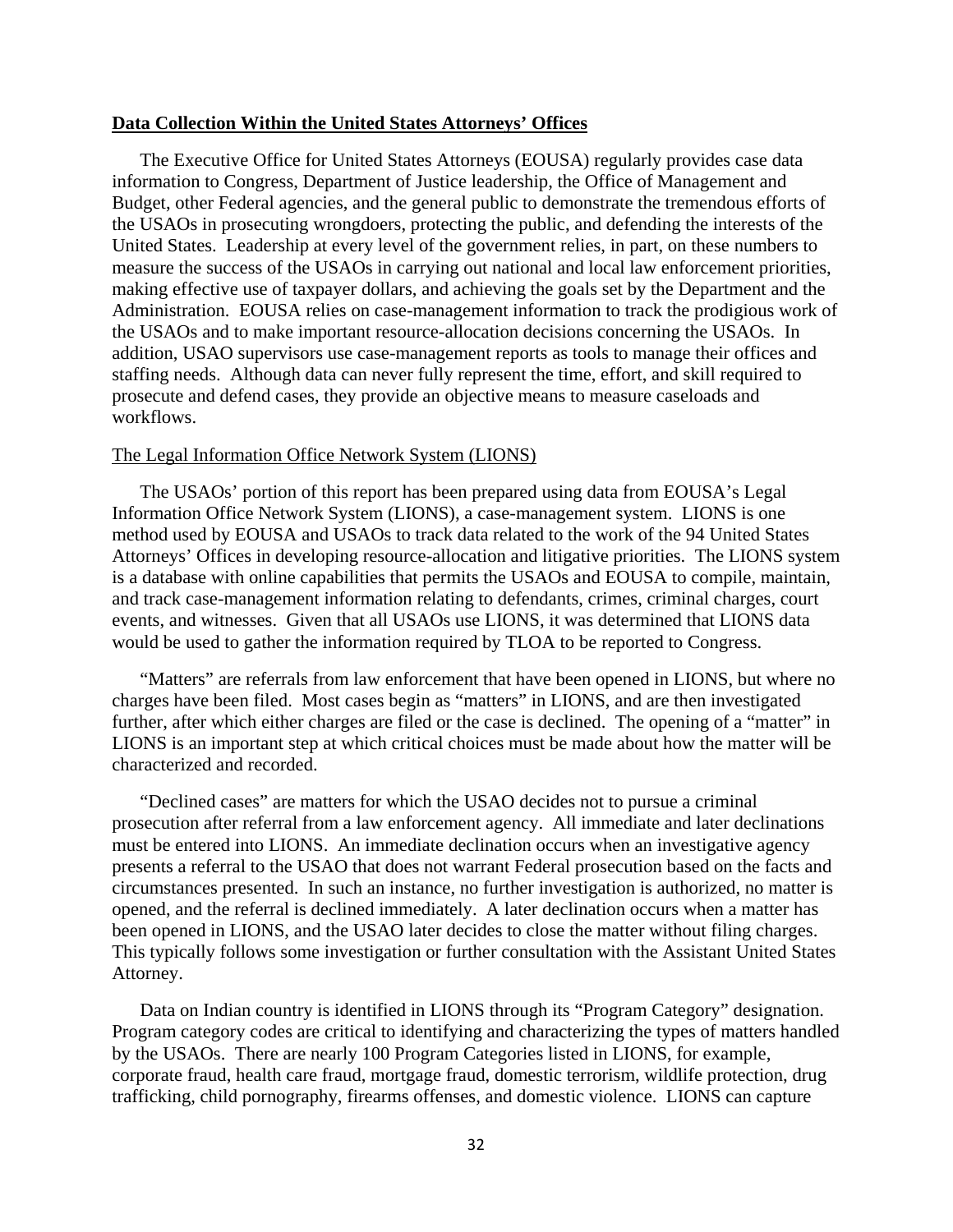#### **Data Collection Within the United States Attorneys' Offices**

The Executive Office for United States Attorneys (EOUSA) regularly provides case data information to Congress, Department of Justice leadership, the Office of Management and Budget, other Federal agencies, and the general public to demonstrate the tremendous efforts of the USAOs in prosecuting wrongdoers, protecting the public, and defending the interests of the United States. Leadership at every level of the government relies, in part, on these numbers to measure the success of the USAOs in carrying out national and local law enforcement priorities, making effective use of taxpayer dollars, and achieving the goals set by the Department and the Administration. EOUSA relies on case-management information to track the prodigious work of the USAOs and to make important resource-allocation decisions concerning the USAOs. In addition, USAO supervisors use case-management reports as tools to manage their offices and staffing needs. Although data can never fully represent the time, effort, and skill required to prosecute and defend cases, they provide an objective means to measure caseloads and workflows.

#### The Legal Information Office Network System (LIONS)

The USAOs' portion of this report has been prepared using data from EOUSA's Legal Information Office Network System (LIONS), a case-management system. LIONS is one method used by EOUSA and USAOs to track data related to the work of the 94 United States Attorneys' Offices in developing resource-allocation and litigative priorities. The LIONS system is a database with online capabilities that permits the USAOs and EOUSA to compile, maintain, and track case-management information relating to defendants, crimes, criminal charges, court events, and witnesses. Given that all USAOs use LIONS, it was determined that LIONS data would be used to gather the information required by TLOA to be reported to Congress.

"Matters" are referrals from law enforcement that have been opened in LIONS, but where no charges have been filed. Most cases begin as "matters" in LIONS, and are then investigated further, after which either charges are filed or the case is declined. The opening of a "matter" in LIONS is an important step at which critical choices must be made about how the matter will be characterized and recorded.

"Declined cases" are matters for which the USAO decides not to pursue a criminal prosecution after referral from a law enforcement agency. All immediate and later declinations must be entered into LIONS. An immediate declination occurs when an investigative agency presents a referral to the USAO that does not warrant Federal prosecution based on the facts and circumstances presented. In such an instance, no further investigation is authorized, no matter is opened, and the referral is declined immediately. A later declination occurs when a matter has been opened in LIONS, and the USAO later decides to close the matter without filing charges. This typically follows some investigation or further consultation with the Assistant United States Attorney.

Data on Indian country is identified in LIONS through its "Program Category" designation. Program category codes are critical to identifying and characterizing the types of matters handled by the USAOs. There are nearly 100 Program Categories listed in LIONS, for example, corporate fraud, health care fraud, mortgage fraud, domestic terrorism, wildlife protection, drug trafficking, child pornography, firearms offenses, and domestic violence. LIONS can capture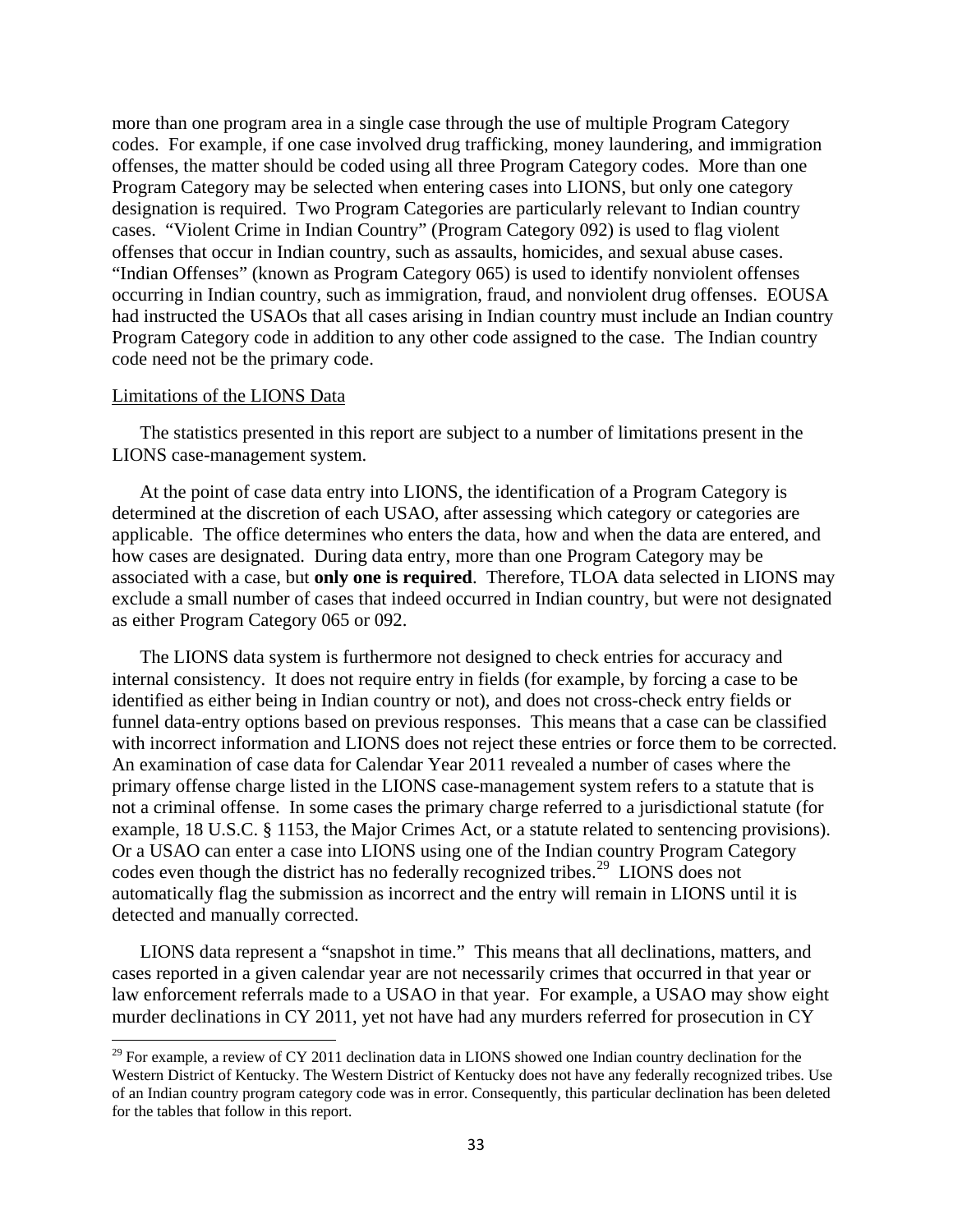more than one program area in a single case through the use of multiple Program Category codes. For example, if one case involved drug trafficking, money laundering, and immigration offenses, the matter should be coded using all three Program Category codes. More than one Program Category may be selected when entering cases into LIONS, but only one category designation is required. Two Program Categories are particularly relevant to Indian country cases. "Violent Crime in Indian Country" (Program Category 092) is used to flag violent offenses that occur in Indian country, such as assaults, homicides, and sexual abuse cases. "Indian Offenses" (known as Program Category 065) is used to identify nonviolent offenses occurring in Indian country, such as immigration, fraud, and nonviolent drug offenses. EOUSA had instructed the USAOs that all cases arising in Indian country must include an Indian country Program Category code in addition to any other code assigned to the case. The Indian country code need not be the primary code.

#### Limitations of the LIONS Data

 $\overline{\phantom{a}}$ 

The statistics presented in this report are subject to a number of limitations present in the LIONS case-management system.

At the point of case data entry into LIONS, the identification of a Program Category is determined at the discretion of each USAO, after assessing which category or categories are applicable. The office determines who enters the data, how and when the data are entered, and how cases are designated. During data entry, more than one Program Category may be associated with a case, but **only one is required**. Therefore, TLOA data selected in LIONS may exclude a small number of cases that indeed occurred in Indian country, but were not designated as either Program Category 065 or 092.

The LIONS data system is furthermore not designed to check entries for accuracy and internal consistency. It does not require entry in fields (for example, by forcing a case to be identified as either being in Indian country or not), and does not cross-check entry fields or funnel data-entry options based on previous responses. This means that a case can be classified with incorrect information and LIONS does not reject these entries or force them to be corrected. An examination of case data for Calendar Year 2011 revealed a number of cases where the primary offense charge listed in the LIONS case-management system refers to a statute that is not a criminal offense. In some cases the primary charge referred to a jurisdictional statute (for example, 18 U.S.C. § 1153, the Major Crimes Act, or a statute related to sentencing provisions). Or a USAO can enter a case into LIONS using one of the Indian country Program Category codes even though the district has no federally recognized tribes.<sup>29</sup> LIONS does not automatically flag the submission as incorrect and the entry will remain in LIONS until it is detected and manually corrected.

LIONS data represent a "snapshot in time." This means that all declinations, matters, and cases reported in a given calendar year are not necessarily crimes that occurred in that year or law enforcement referrals made to a USAO in that year. For example, a USAO may show eight murder declinations in CY 2011, yet not have had any murders referred for prosecution in CY

<span id="page-32-0"></span> $29$  For example, a review of CY 2011 declination data in LIONS showed one Indian country declination for the Western District of Kentucky. The Western District of Kentucky does not have any federally recognized tribes. Use of an Indian country program category code was in error. Consequently, this particular declination has been deleted for the tables that follow in this report.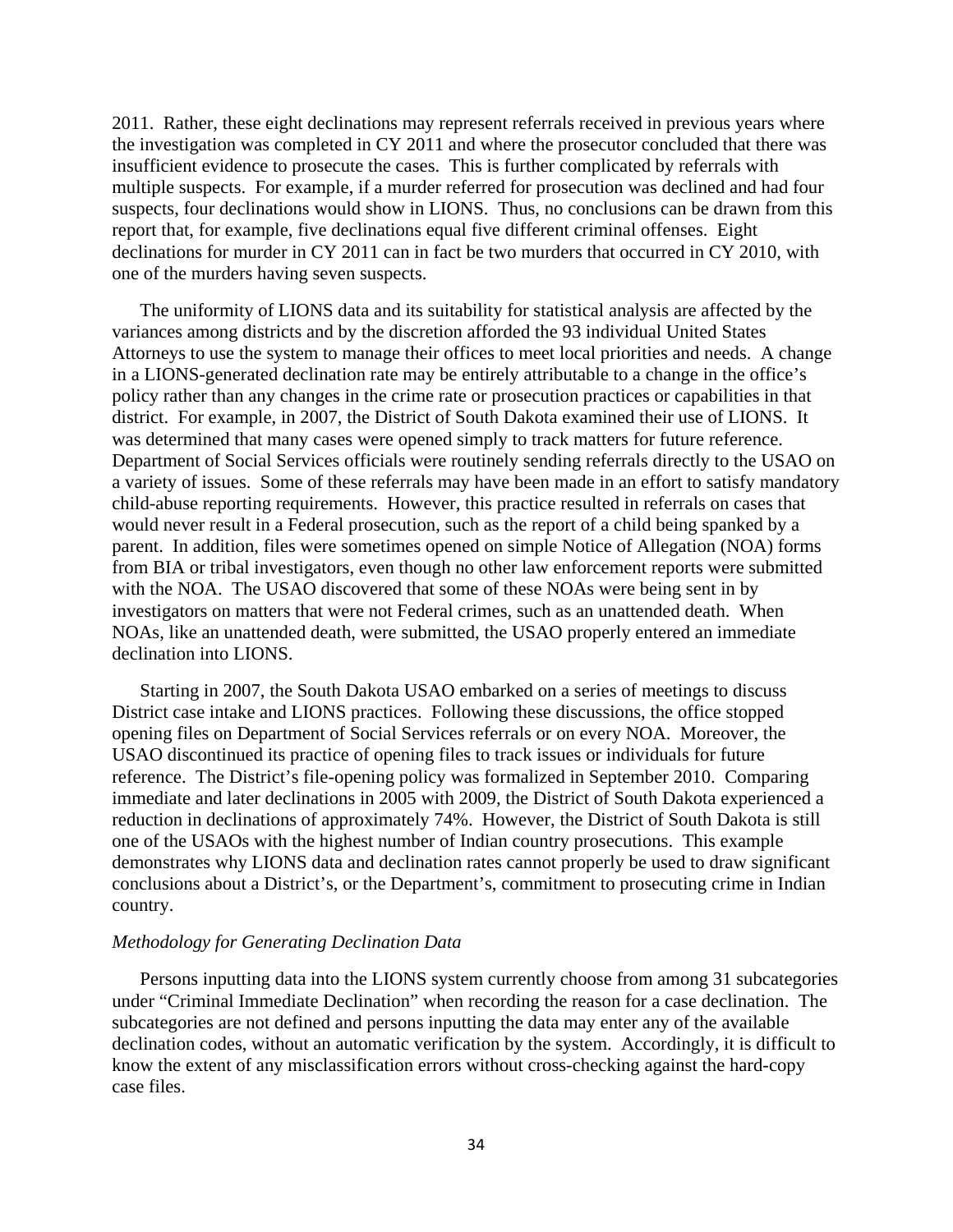2011. Rather, these eight declinations may represent referrals received in previous years where the investigation was completed in CY 2011 and where the prosecutor concluded that there was insufficient evidence to prosecute the cases. This is further complicated by referrals with multiple suspects. For example, if a murder referred for prosecution was declined and had four suspects, four declinations would show in LIONS. Thus, no conclusions can be drawn from this report that, for example, five declinations equal five different criminal offenses. Eight declinations for murder in CY 2011 can in fact be two murders that occurred in CY 2010, with one of the murders having seven suspects.

The uniformity of LIONS data and its suitability for statistical analysis are affected by the variances among districts and by the discretion afforded the 93 individual United States Attorneys to use the system to manage their offices to meet local priorities and needs. A change in a LIONS-generated declination rate may be entirely attributable to a change in the office's policy rather than any changes in the crime rate or prosecution practices or capabilities in that district. For example, in 2007, the District of South Dakota examined their use of LIONS. It was determined that many cases were opened simply to track matters for future reference. Department of Social Services officials were routinely sending referrals directly to the USAO on a variety of issues. Some of these referrals may have been made in an effort to satisfy mandatory child-abuse reporting requirements. However, this practice resulted in referrals on cases that would never result in a Federal prosecution, such as the report of a child being spanked by a parent. In addition, files were sometimes opened on simple Notice of Allegation (NOA) forms from BIA or tribal investigators, even though no other law enforcement reports were submitted with the NOA. The USAO discovered that some of these NOAs were being sent in by investigators on matters that were not Federal crimes, such as an unattended death. When NOAs, like an unattended death, were submitted, the USAO properly entered an immediate declination into LIONS.

Starting in 2007, the South Dakota USAO embarked on a series of meetings to discuss District case intake and LIONS practices. Following these discussions, the office stopped opening files on Department of Social Services referrals or on every NOA. Moreover, the USAO discontinued its practice of opening files to track issues or individuals for future reference. The District's file-opening policy was formalized in September 2010. Comparing immediate and later declinations in 2005 with 2009, the District of South Dakota experienced a reduction in declinations of approximately 74%. However, the District of South Dakota is still one of the USAOs with the highest number of Indian country prosecutions. This example demonstrates why LIONS data and declination rates cannot properly be used to draw significant conclusions about a District's, or the Department's, commitment to prosecuting crime in Indian country.

#### *Methodology for Generating Declination Data*

Persons inputting data into the LIONS system currently choose from among 31 subcategories under "Criminal Immediate Declination" when recording the reason for a case declination. The subcategories are not defined and persons inputting the data may enter any of the available declination codes, without an automatic verification by the system. Accordingly, it is difficult to know the extent of any misclassification errors without cross-checking against the hard-copy case files.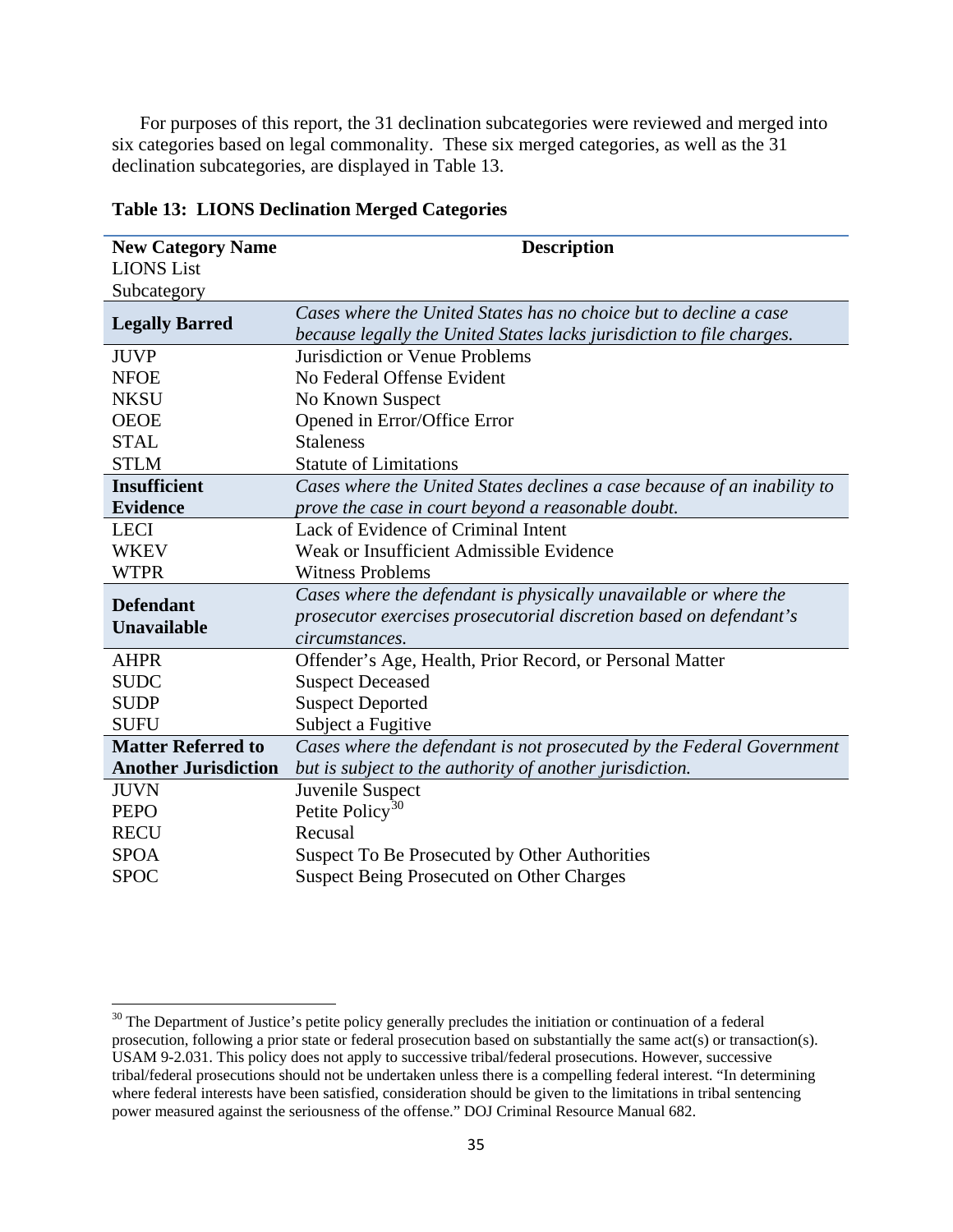For purposes of this report, the 31 declination subcategories were reviewed and merged into six categories based on legal commonality. These six merged categories, as well as the 31 declination subcategories, are displayed in Table 13.

| <b>New Category Name</b>    | <b>Description</b>                                                       |
|-----------------------------|--------------------------------------------------------------------------|
| <b>LIONS</b> List           |                                                                          |
| Subcategory                 |                                                                          |
|                             | Cases where the United States has no choice but to decline a case        |
| <b>Legally Barred</b>       | because legally the United States lacks jurisdiction to file charges.    |
| <b>JUVP</b>                 | Jurisdiction or Venue Problems                                           |
| <b>NFOE</b>                 | No Federal Offense Evident                                               |
| <b>NKSU</b>                 | No Known Suspect                                                         |
| <b>OEOE</b>                 | Opened in Error/Office Error                                             |
| <b>STAL</b>                 | <b>Staleness</b>                                                         |
| <b>STLM</b>                 | <b>Statute of Limitations</b>                                            |
| <b>Insufficient</b>         | Cases where the United States declines a case because of an inability to |
| <b>Evidence</b>             | prove the case in court beyond a reasonable doubt.                       |
| <b>LECI</b>                 | Lack of Evidence of Criminal Intent                                      |
| <b>WKEV</b>                 | Weak or Insufficient Admissible Evidence                                 |
| <b>WTPR</b>                 | <b>Witness Problems</b>                                                  |
| <b>Defendant</b>            | Cases where the defendant is physically unavailable or where the         |
| <b>Unavailable</b>          | prosecutor exercises prosecutorial discretion based on defendant's       |
|                             | circumstances.                                                           |
| <b>AHPR</b>                 | Offender's Age, Health, Prior Record, or Personal Matter                 |
| <b>SUDC</b>                 | <b>Suspect Deceased</b>                                                  |
| <b>SUDP</b>                 | <b>Suspect Deported</b>                                                  |
| <b>SUFU</b>                 | Subject a Fugitive                                                       |
| <b>Matter Referred to</b>   | Cases where the defendant is not prosecuted by the Federal Government    |
| <b>Another Jurisdiction</b> | but is subject to the authority of another jurisdiction.                 |
| <b>JUVN</b>                 | Juvenile Suspect                                                         |
| <b>PEPO</b>                 | Petite Policy <sup>30</sup>                                              |
| <b>RECU</b>                 | Recusal                                                                  |
| <b>SPOA</b>                 | Suspect To Be Prosecuted by Other Authorities                            |
| <b>SPOC</b>                 | <b>Suspect Being Prosecuted on Other Charges</b>                         |

**Table 13: LIONS Declination Merged Categories**

l

<span id="page-34-0"></span><sup>&</sup>lt;sup>30</sup> The Department of Justice's petite policy generally precludes the initiation or continuation of a federal prosecution, following a prior state or federal prosecution based on substantially the same act(s) or transaction(s). USAM 9-2.031. This policy does not apply to successive tribal/federal prosecutions. However, successive tribal/federal prosecutions should not be undertaken unless there is a compelling federal interest. "In determining where federal interests have been satisfied, consideration should be given to the limitations in tribal sentencing power measured against the seriousness of the offense." DOJ Criminal Resource Manual 682.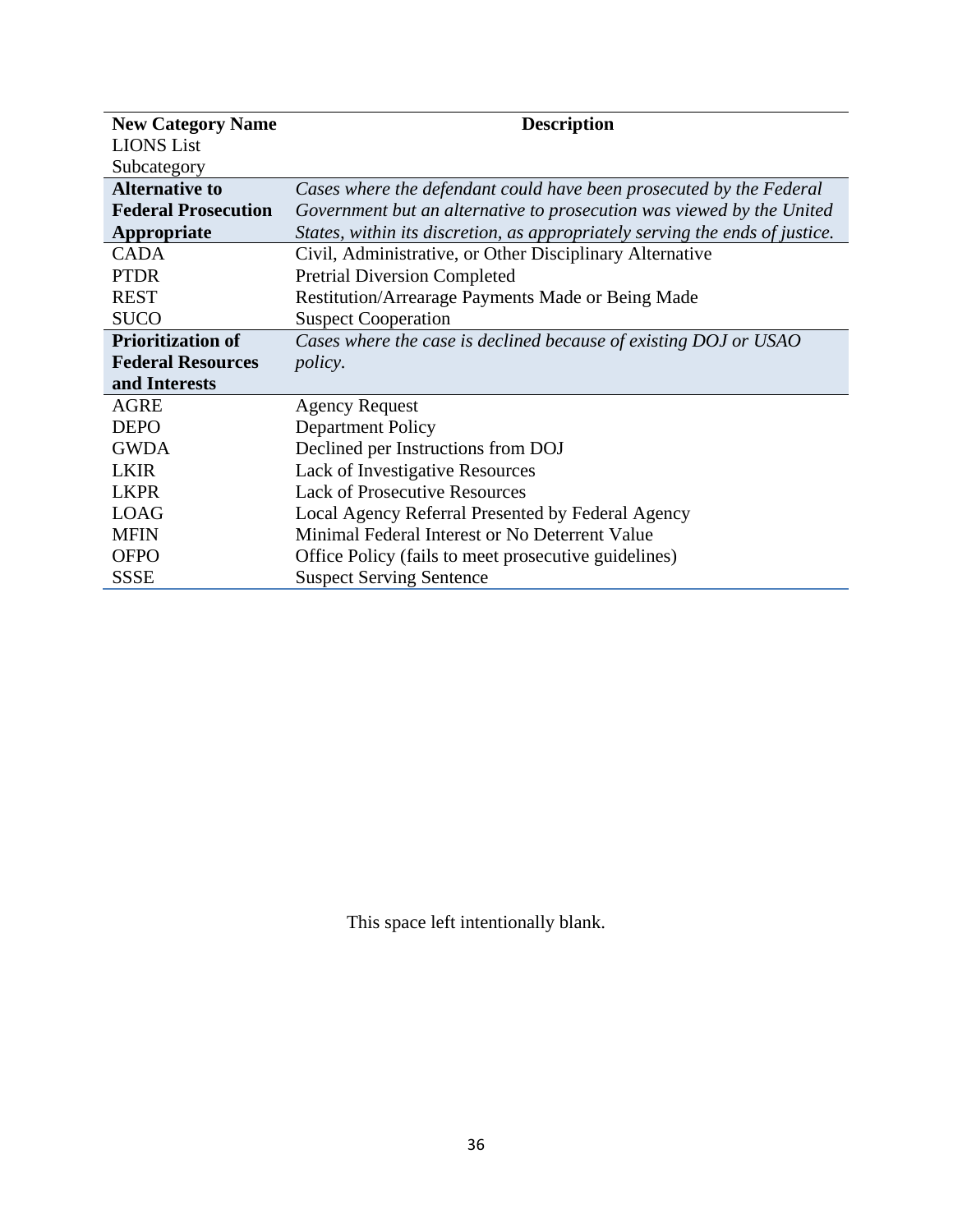| <b>New Category Name</b>   | <b>Description</b>                                                           |
|----------------------------|------------------------------------------------------------------------------|
| <b>LIONS</b> List          |                                                                              |
| Subcategory                |                                                                              |
| <b>Alternative to</b>      | Cases where the defendant could have been prosecuted by the Federal          |
| <b>Federal Prosecution</b> | Government but an alternative to prosecution was viewed by the United        |
| Appropriate                | States, within its discretion, as appropriately serving the ends of justice. |
| <b>CADA</b>                | Civil, Administrative, or Other Disciplinary Alternative                     |
| <b>PTDR</b>                | <b>Pretrial Diversion Completed</b>                                          |
| <b>REST</b>                | Restitution/Arrearage Payments Made or Being Made                            |
| <b>SUCO</b>                | <b>Suspect Cooperation</b>                                                   |
| <b>Prioritization of</b>   | Cases where the case is declined because of existing DOJ or USAO             |
| <b>Federal Resources</b>   | <i>policy.</i>                                                               |
| and Interests              |                                                                              |
| <b>AGRE</b>                | <b>Agency Request</b>                                                        |
| <b>DEPO</b>                | <b>Department Policy</b>                                                     |
| <b>GWDA</b>                | Declined per Instructions from DOJ                                           |
| <b>LKIR</b>                | <b>Lack of Investigative Resources</b>                                       |
| <b>LKPR</b>                | <b>Lack of Prosecutive Resources</b>                                         |
| <b>LOAG</b>                | Local Agency Referral Presented by Federal Agency                            |
| <b>MFIN</b>                | Minimal Federal Interest or No Deterrent Value                               |
| <b>OFPO</b>                | Office Policy (fails to meet prosecutive guidelines)                         |
| <b>SSSE</b>                | <b>Suspect Serving Sentence</b>                                              |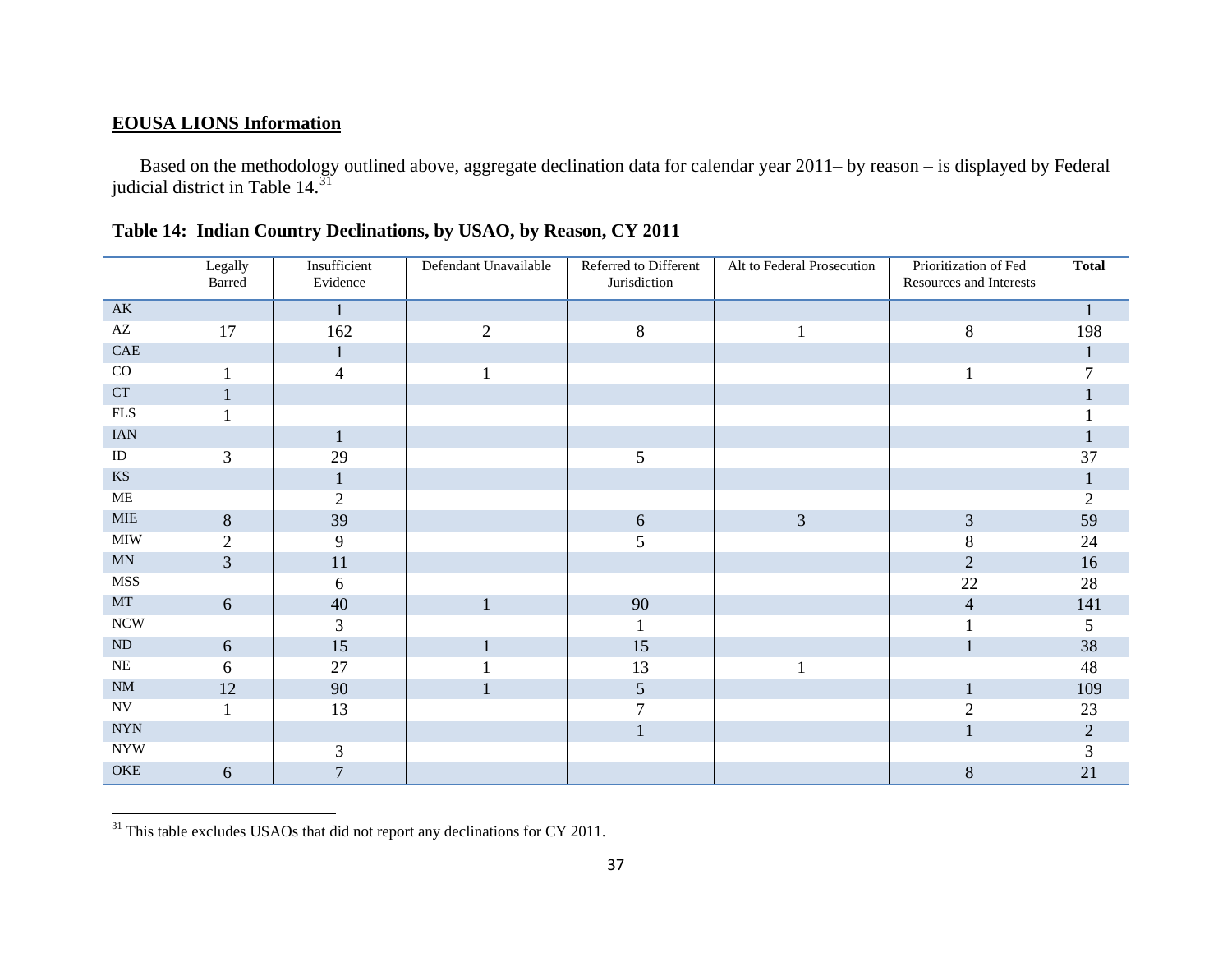# <span id="page-36-0"></span>**EOUSA LIONS Information**

Based on the methodology outlined above, aggregate declination data for calendar year 2011– by reason – is displayed by Federal judicial district in Table  $14.\overline{31}$  $14.\overline{31}$  $14.\overline{31}$ 

|                           | Legally<br>Barred | Insufficient<br>Evidence | Defendant Unavailable | Referred to Different<br>Jurisdiction | Alt to Federal Prosecution | Prioritization of Fed<br>Resources and Interests | <b>Total</b> |
|---------------------------|-------------------|--------------------------|-----------------------|---------------------------------------|----------------------------|--------------------------------------------------|--------------|
| AK                        |                   |                          |                       |                                       |                            |                                                  | $\mathbf{1}$ |
| $\mathbf{A}\mathbf{Z}$    | 17                | 162                      | $\overline{2}$        | $8\,$                                 |                            | $8\,$                                            | 198          |
| ${\rm CAE}$               |                   | 1                        |                       |                                       |                            |                                                  | 1            |
| CO                        |                   | $\overline{\mathcal{A}}$ |                       |                                       |                            | $\blacksquare$                                   | 7            |
| <b>CT</b>                 |                   |                          |                       |                                       |                            |                                                  |              |
| ${\rm FLS}$               |                   |                          |                       |                                       |                            |                                                  |              |
| <b>IAN</b>                |                   |                          |                       |                                       |                            |                                                  |              |
| ID                        | $\overline{3}$    | 29                       |                       | 5                                     |                            |                                                  | 37           |
| $\mathbf{K}\mathbf{S}$    |                   |                          |                       |                                       |                            |                                                  | $\mathbf{1}$ |
| <b>ME</b>                 |                   | $\overline{2}$           |                       |                                       |                            |                                                  | $\sqrt{2}$   |
| <b>MIE</b>                | 8                 | 39                       |                       | $\sqrt{6}$                            | $\mathfrak{Z}$             | $\mathfrak{Z}$                                   | 59           |
| $\text{MIW}$              | $\overline{2}$    | 9                        |                       | 5                                     |                            | 8                                                | 24           |
| MN                        | $\overline{3}$    | 11                       |                       |                                       |                            | $\overline{2}$                                   | 16           |
| <b>MSS</b>                |                   | 6                        |                       |                                       |                            | 22                                               | 28           |
| MT                        | 6                 | 40                       | $\mathbf{1}$          | 90                                    |                            | $\overline{4}$                                   | 141          |
| $\rm NCW$                 |                   | 3                        |                       |                                       |                            |                                                  | 5            |
| ND                        | 6                 | 15                       | $\mathbf{1}$          | 15                                    |                            | $\mathbf{1}$                                     | 38           |
| $\rm NE$                  | 6                 | 27                       |                       | 13                                    |                            |                                                  | 48           |
| $\rm{NM}$                 | 12                | 90                       | 1                     | $\mathfrak{S}$                        |                            | $\mathbf{1}$                                     | 109          |
| $\ensuremath{\text{NV}}$  |                   | 13                       |                       | 7                                     |                            | $\overline{2}$                                   | 23           |
| <b>NYN</b>                |                   |                          |                       | $\mathbf{1}$                          |                            | $\mathbf{1}$                                     | $\sqrt{2}$   |
| $\ensuremath{\text{NYW}}$ |                   | 3                        |                       |                                       |                            |                                                  | 3            |
| OKE                       | 6                 | 7                        |                       |                                       |                            | $\,8\,$                                          | 21           |

|  | Table 14: Indian Country Declinations, by USAO, by Reason, CY 2011 |
|--|--------------------------------------------------------------------|
|--|--------------------------------------------------------------------|

 $31$  This table excludes USAOs that did not report any declinations for CY 2011.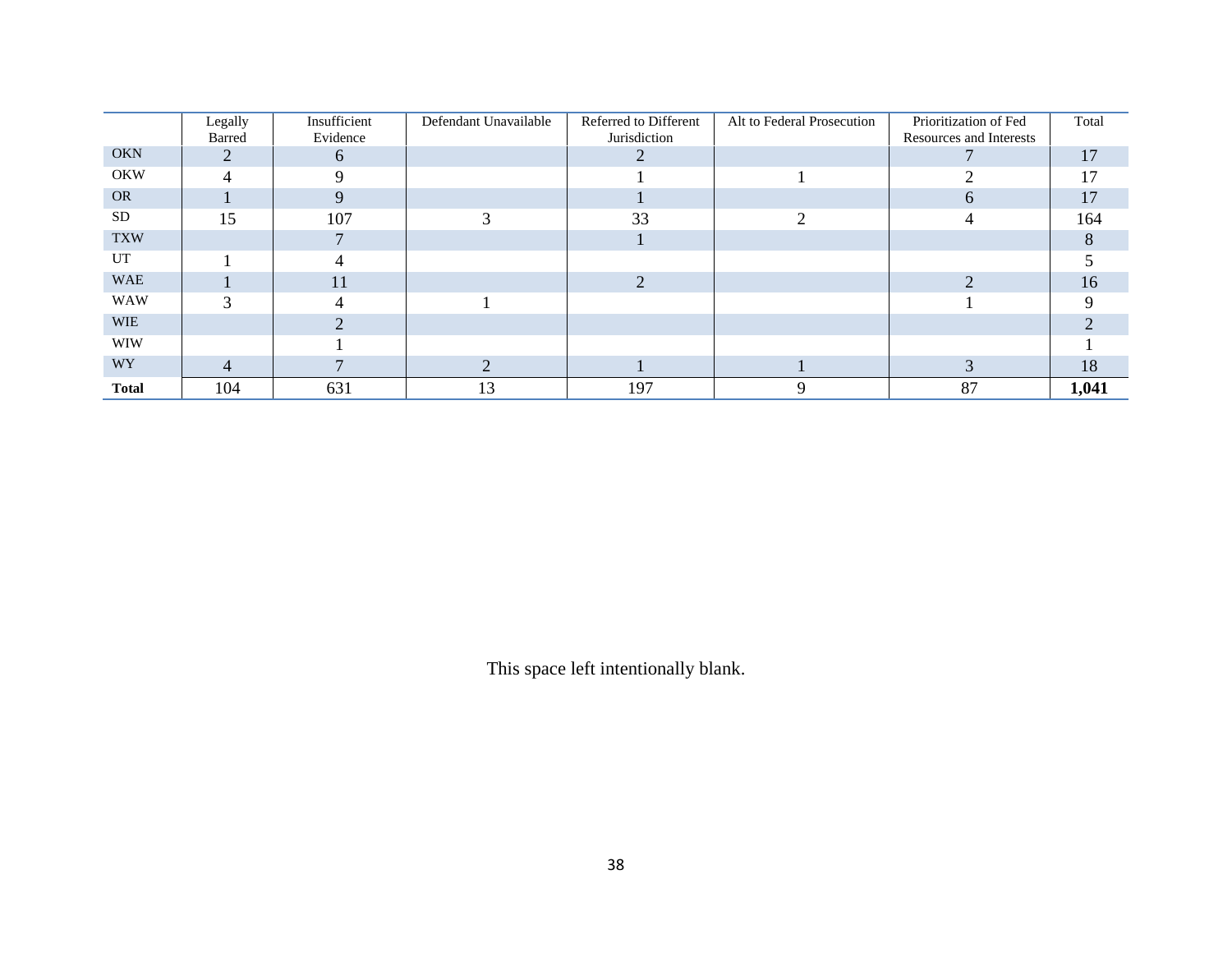|              |         | Insufficient | Defendant Unavailable | Referred to Different | Alt to Federal Prosecution | Prioritization of Fed   | Total |
|--------------|---------|--------------|-----------------------|-----------------------|----------------------------|-------------------------|-------|
|              | Legally |              |                       |                       |                            |                         |       |
|              | Barred  | Evidence     |                       | Jurisdiction          |                            | Resources and Interests |       |
| <b>OKN</b>   |         | $\sigma$     |                       |                       |                            |                         | 17    |
| <b>OKW</b>   | 4       | Q            |                       |                       |                            |                         | 17    |
| <b>OR</b>    |         |              |                       |                       |                            | 6                       | 17    |
| <b>SD</b>    | 15      | 107          | 3                     | 33                    | ◠                          | 4                       | 164   |
| <b>TXW</b>   |         |              |                       |                       |                            |                         |       |
| UT           |         |              |                       |                       |                            |                         |       |
| <b>WAE</b>   |         | 11           |                       |                       |                            |                         | 16    |
| <b>WAW</b>   | 3       |              |                       |                       |                            |                         |       |
| <b>WIE</b>   |         |              |                       |                       |                            |                         |       |
| <b>WIW</b>   |         |              |                       |                       |                            |                         |       |
| <b>WY</b>    | 4       |              |                       |                       |                            |                         | 18    |
| <b>Total</b> | 104     | 631          | 13                    | 197                   |                            | 87                      | 1,041 |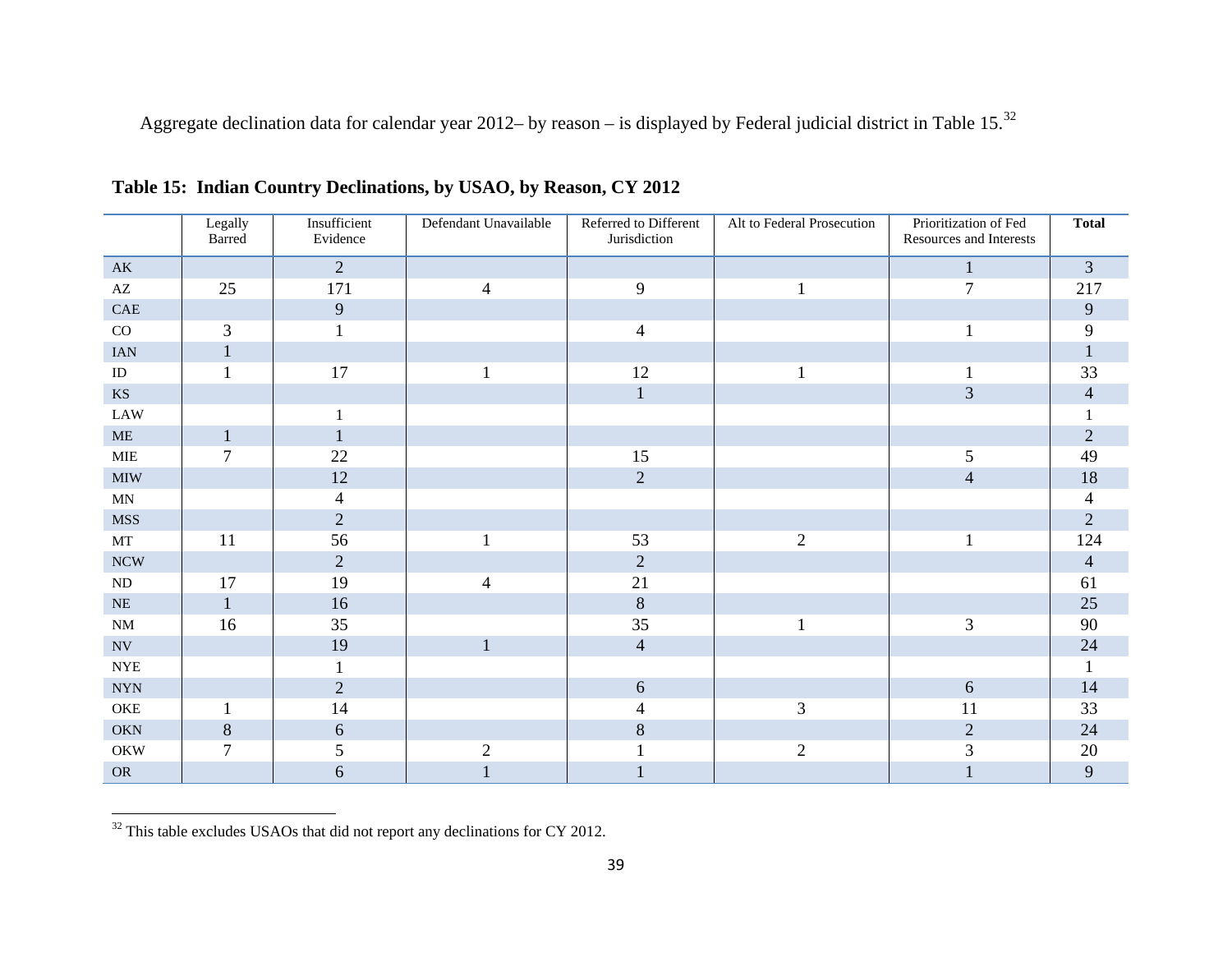<span id="page-38-0"></span>Aggregate declination data for calendar year 2012– by reason – is displayed by Federal judicial district in Table 15.[32](#page-38-0)

|                           | Legally<br>Barred | Insufficient<br>Evidence | Defendant Unavailable | Referred to Different<br>Jurisdiction | Alt to Federal Prosecution | Prioritization of Fed<br>Resources and Interests | <b>Total</b>             |
|---------------------------|-------------------|--------------------------|-----------------------|---------------------------------------|----------------------------|--------------------------------------------------|--------------------------|
| $\mathbf{A}\mathbf{K}$    |                   | $\overline{2}$           |                       |                                       |                            | $\mathbf{1}$                                     | $\mathfrak{Z}$           |
| $\mathbf{A}\mathbf{Z}$    | 25                | 171                      | 4                     | 9                                     |                            | $\tau$                                           | 217                      |
| $\operatorname{CAE}$      |                   | 9                        |                       |                                       |                            |                                                  | 9                        |
| $\rm CO$                  | 3                 |                          |                       | $\overline{4}$                        |                            |                                                  | 9                        |
| <b>IAN</b>                | $\mathbf{1}$      |                          |                       |                                       |                            |                                                  | $\mathbf{1}$             |
| $\rm ID$                  |                   | 17                       |                       | 12                                    |                            |                                                  | 33                       |
| $\mathbf{K}\mathbf{S}$    |                   |                          |                       | $\mathbf{1}$                          |                            | 3                                                | $\overline{4}$           |
| <b>LAW</b>                |                   |                          |                       |                                       |                            |                                                  |                          |
| $\operatorname{ME}$       | 1                 | $\perp$                  |                       |                                       |                            |                                                  | $\sqrt{2}$               |
| <b>MIE</b>                | 7                 | 22                       |                       | 15                                    |                            | $\mathfrak{S}$                                   | 49                       |
| $\mbox{MIW}$              |                   | 12                       |                       | $\overline{2}$                        |                            | $\overline{4}$                                   | 18                       |
| MN                        |                   | $\overline{\mathcal{A}}$ |                       |                                       |                            |                                                  | $\overline{\mathcal{A}}$ |
| <b>MSS</b>                |                   | $\overline{2}$           |                       |                                       |                            |                                                  | $\sqrt{2}$               |
| MT                        | 11                | 56                       |                       | 53                                    | $\mathbf{2}$               | $\mathbf{1}$                                     | 124                      |
| <b>NCW</b>                |                   | $\overline{2}$           |                       | $\overline{2}$                        |                            |                                                  | $\overline{4}$           |
| $\rm ND$                  | 17                | 19                       | $\overline{4}$        | 21                                    |                            |                                                  | 61                       |
| $\rm NE$                  | 1                 | 16                       |                       | 8                                     |                            |                                                  | 25                       |
| $\rm{NM}$                 | 16                | 35                       |                       | 35                                    |                            | $\mathfrak{Z}$                                   | 90                       |
| $\ensuremath{\text{NV}}$  |                   | 19                       |                       | $\overline{4}$                        |                            |                                                  | 24                       |
| <b>NYE</b>                |                   |                          |                       |                                       |                            |                                                  | 1                        |
| $\ensuremath{\text{NYN}}$ |                   | $\overline{2}$           |                       | $\boldsymbol{6}$                      |                            | $\sqrt{6}$                                       | 14                       |
| OKE                       |                   | 14                       |                       | 4                                     | $\mathfrak{Z}$             | 11                                               | 33                       |
| OKN                       | $8\,$             | 6                        |                       | $8\,$                                 |                            | $\sqrt{2}$                                       | 24                       |
| <b>OKW</b>                | 7                 | 5                        | $\overline{2}$        |                                       | $\overline{2}$             | 3                                                | $20\,$                   |
| <b>OR</b>                 |                   | 6                        |                       |                                       |                            |                                                  | 9                        |

**Table 15: Indian Country Declinations, by USAO, by Reason, CY 2012** 

 $32$  This table excludes USAOs that did not report any declinations for CY 2012.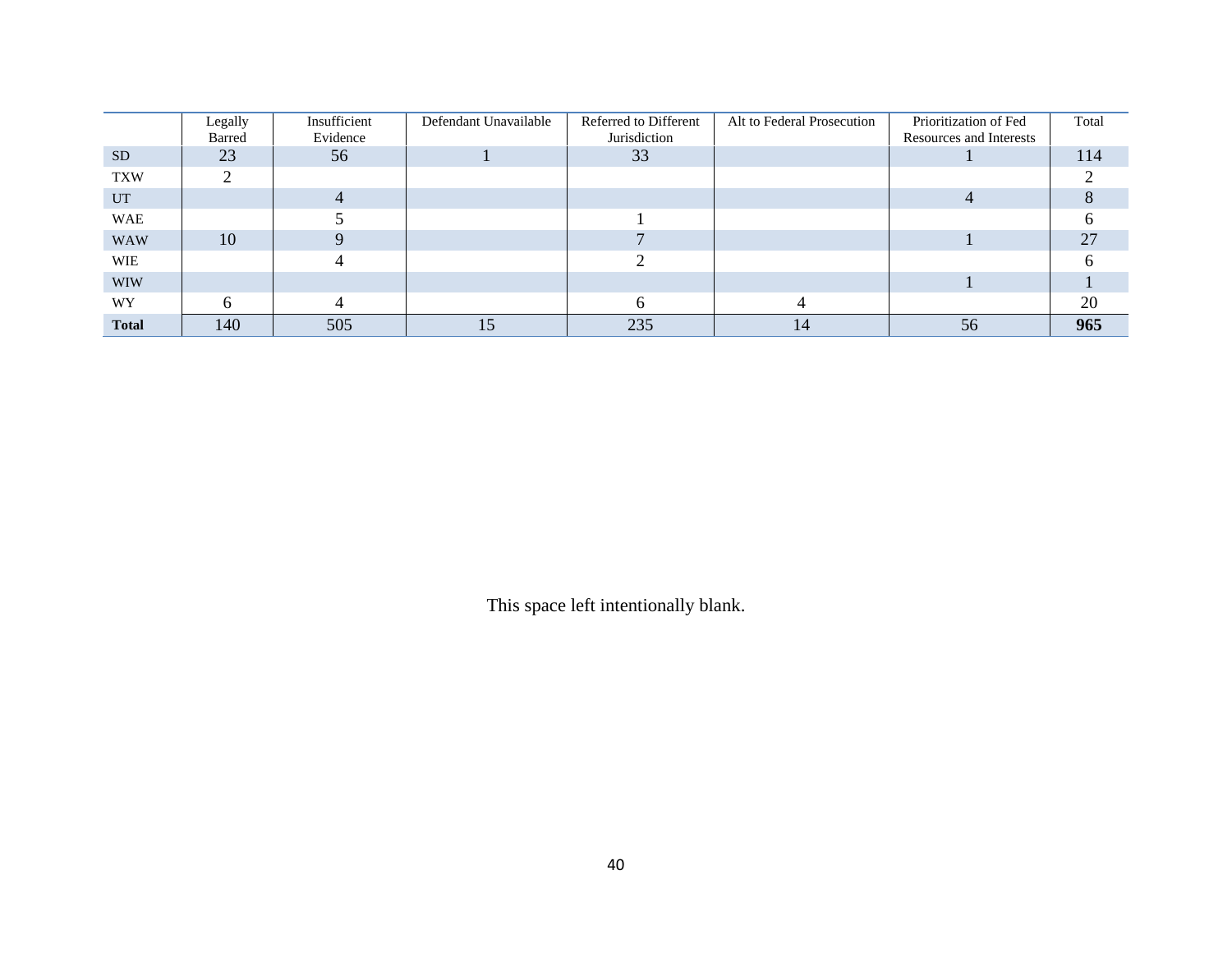|              | Legally | Insufficient | Defendant Unavailable | Referred to Different | Alt to Federal Prosecution | Prioritization of Fed   | Total |
|--------------|---------|--------------|-----------------------|-----------------------|----------------------------|-------------------------|-------|
|              | Barred  | Evidence     |                       | Jurisdiction          |                            | Resources and Interests |       |
| SD           | 23      | 56           |                       | 33                    |                            |                         | 114   |
| <b>TXW</b>   |         |              |                       |                       |                            |                         |       |
| <b>UT</b>    |         |              |                       |                       |                            |                         |       |
| <b>WAE</b>   |         |              |                       |                       |                            |                         |       |
| <b>WAW</b>   | 10      |              |                       |                       |                            |                         | 27    |
| WIE          |         |              |                       |                       |                            |                         |       |
| <b>WIW</b>   |         |              |                       |                       |                            |                         |       |
| <b>WY</b>    |         |              |                       |                       |                            |                         | 20    |
| <b>Total</b> | 140     | 505          |                       | 235                   |                            | 56                      | 965   |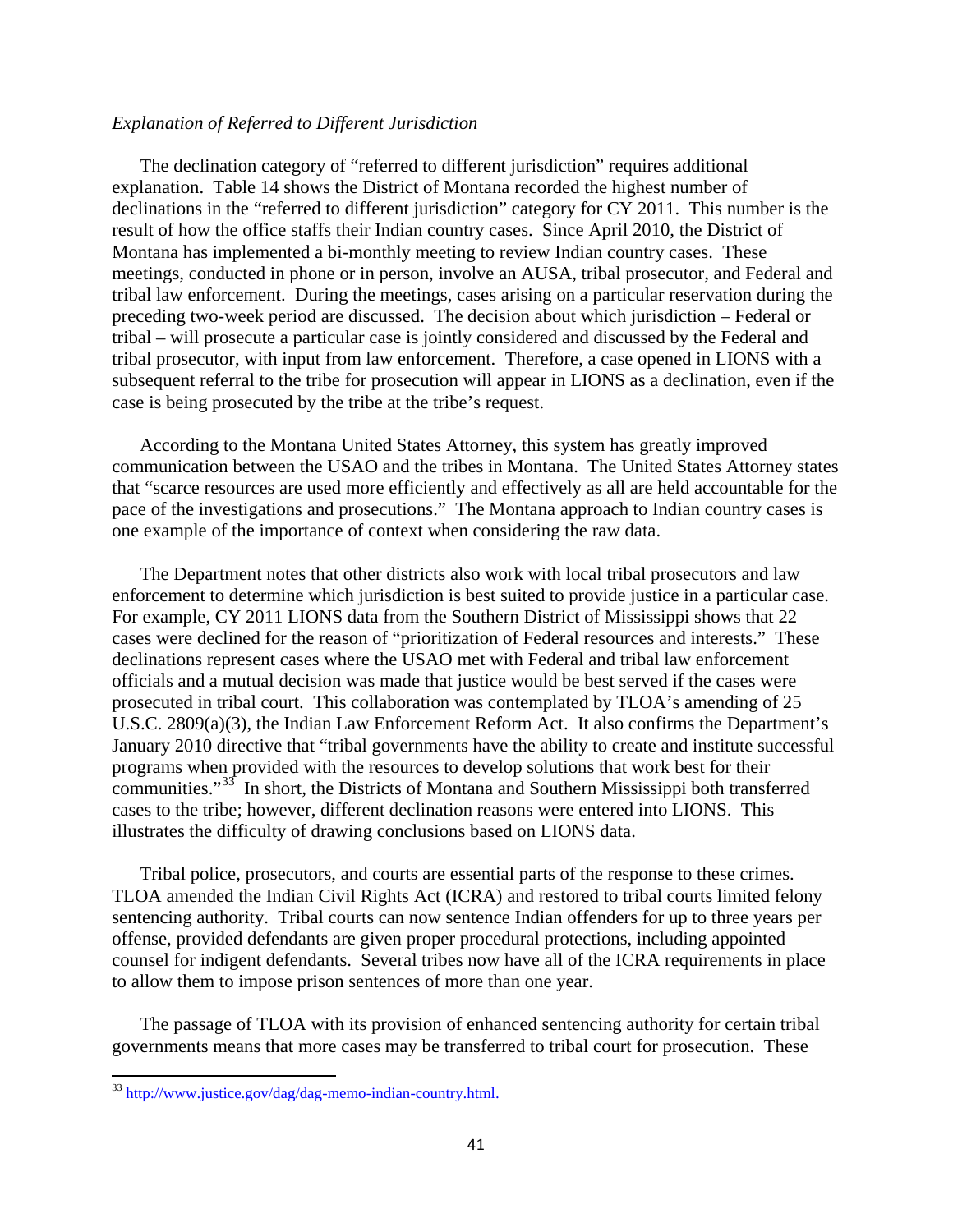#### *Explanation of Referred to Different Jurisdiction*

The declination category of "referred to different jurisdiction" requires additional explanation. Table 14 shows the District of Montana recorded the highest number of declinations in the "referred to different jurisdiction" category for CY 2011. This number is the result of how the office staffs their Indian country cases. Since April 2010, the District of Montana has implemented a bi-monthly meeting to review Indian country cases. These meetings, conducted in phone or in person, involve an AUSA, tribal prosecutor, and Federal and tribal law enforcement. During the meetings, cases arising on a particular reservation during the preceding two-week period are discussed. The decision about which jurisdiction – Federal or tribal – will prosecute a particular case is jointly considered and discussed by the Federal and tribal prosecutor, with input from law enforcement. Therefore, a case opened in LIONS with a subsequent referral to the tribe for prosecution will appear in LIONS as a declination, even if the case is being prosecuted by the tribe at the tribe's request.

According to the Montana United States Attorney, this system has greatly improved communication between the USAO and the tribes in Montana. The United States Attorney states that "scarce resources are used more efficiently and effectively as all are held accountable for the pace of the investigations and prosecutions." The Montana approach to Indian country cases is one example of the importance of context when considering the raw data.

The Department notes that other districts also work with local tribal prosecutors and law enforcement to determine which jurisdiction is best suited to provide justice in a particular case. For example, CY 2011 LIONS data from the Southern District of Mississippi shows that 22 cases were declined for the reason of "prioritization of Federal resources and interests." These declinations represent cases where the USAO met with Federal and tribal law enforcement officials and a mutual decision was made that justice would be best served if the cases were prosecuted in tribal court. This collaboration was contemplated by TLOA's amending of 25 U.S.C. 2809(a)(3), the Indian Law Enforcement Reform Act. It also confirms the Department's January 2010 directive that "tribal governments have the ability to create and institute successful programs when provided with the resources to develop solutions that work best for their communities."[33](#page-40-0) In short, the Districts of Montana and Southern Mississippi both transferred cases to the tribe; however, different declination reasons were entered into LIONS. This illustrates the difficulty of drawing conclusions based on LIONS data.

Tribal police, prosecutors, and courts are essential parts of the response to these crimes. TLOA amended the Indian Civil Rights Act (ICRA) and restored to tribal courts limited felony sentencing authority. Tribal courts can now sentence Indian offenders for up to three years per offense, provided defendants are given proper procedural protections, including appointed counsel for indigent defendants. Several tribes now have all of the ICRA requirements in place to allow them to impose prison sentences of more than one year.

The passage of TLOA with its provision of enhanced sentencing authority for certain tribal governments means that more cases may be transferred to tribal court for prosecution. These

<span id="page-40-0"></span><sup>&</sup>lt;sup>33</sup> [http://www.justice.gov/dag/dag-memo-indian-country.html.](http://www.justice.gov/dag/dag-memo-indian-country.html)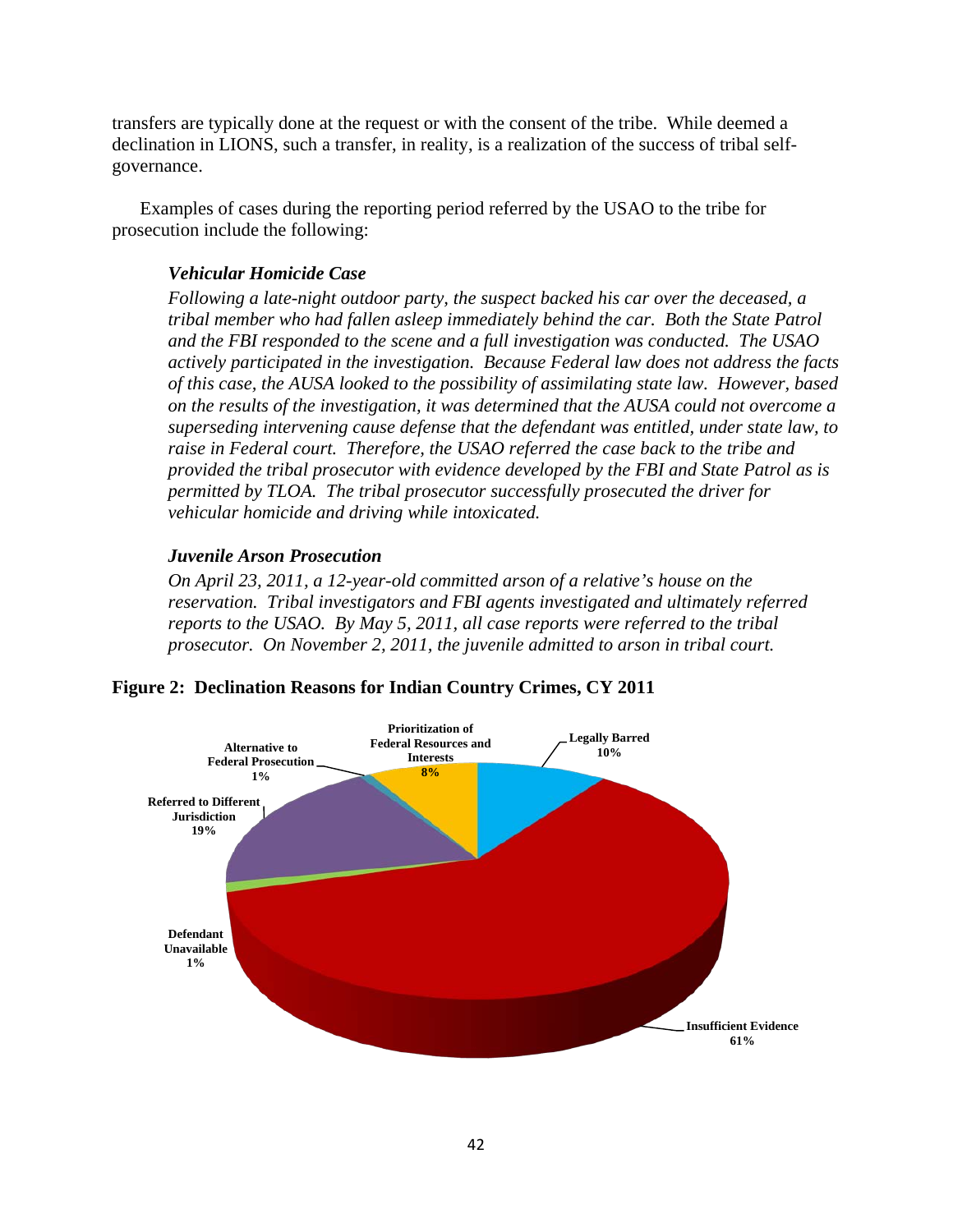transfers are typically done at the request or with the consent of the tribe. While deemed a declination in LIONS, such a transfer, in reality, is a realization of the success of tribal selfgovernance.

Examples of cases during the reporting period referred by the USAO to the tribe for prosecution include the following:

# *Vehicular Homicide Case*

*Following a late-night outdoor party, the suspect backed his car over the deceased, a tribal member who had fallen asleep immediately behind the car. Both the State Patrol and the FBI responded to the scene and a full investigation was conducted. The USAO actively participated in the investigation. Because Federal law does not address the facts of this case, the AUSA looked to the possibility of assimilating state law. However, based on the results of the investigation, it was determined that the AUSA could not overcome a superseding intervening cause defense that the defendant was entitled, under state law, to raise in Federal court. Therefore, the USAO referred the case back to the tribe and provided the tribal prosecutor with evidence developed by the FBI and State Patrol as is permitted by TLOA. The tribal prosecutor successfully prosecuted the driver for vehicular homicide and driving while intoxicated.* 

# *Juvenile Arson Prosecution*

*On April 23, 2011, a 12-year-old committed arson of a relative's house on the reservation. Tribal investigators and FBI agents investigated and ultimately referred reports to the USAO. By May 5, 2011, all case reports were referred to the tribal prosecutor. On November 2, 2011, the juvenile admitted to arson in tribal court.* 



**Figure 2: Declination Reasons for Indian Country Crimes, CY 2011**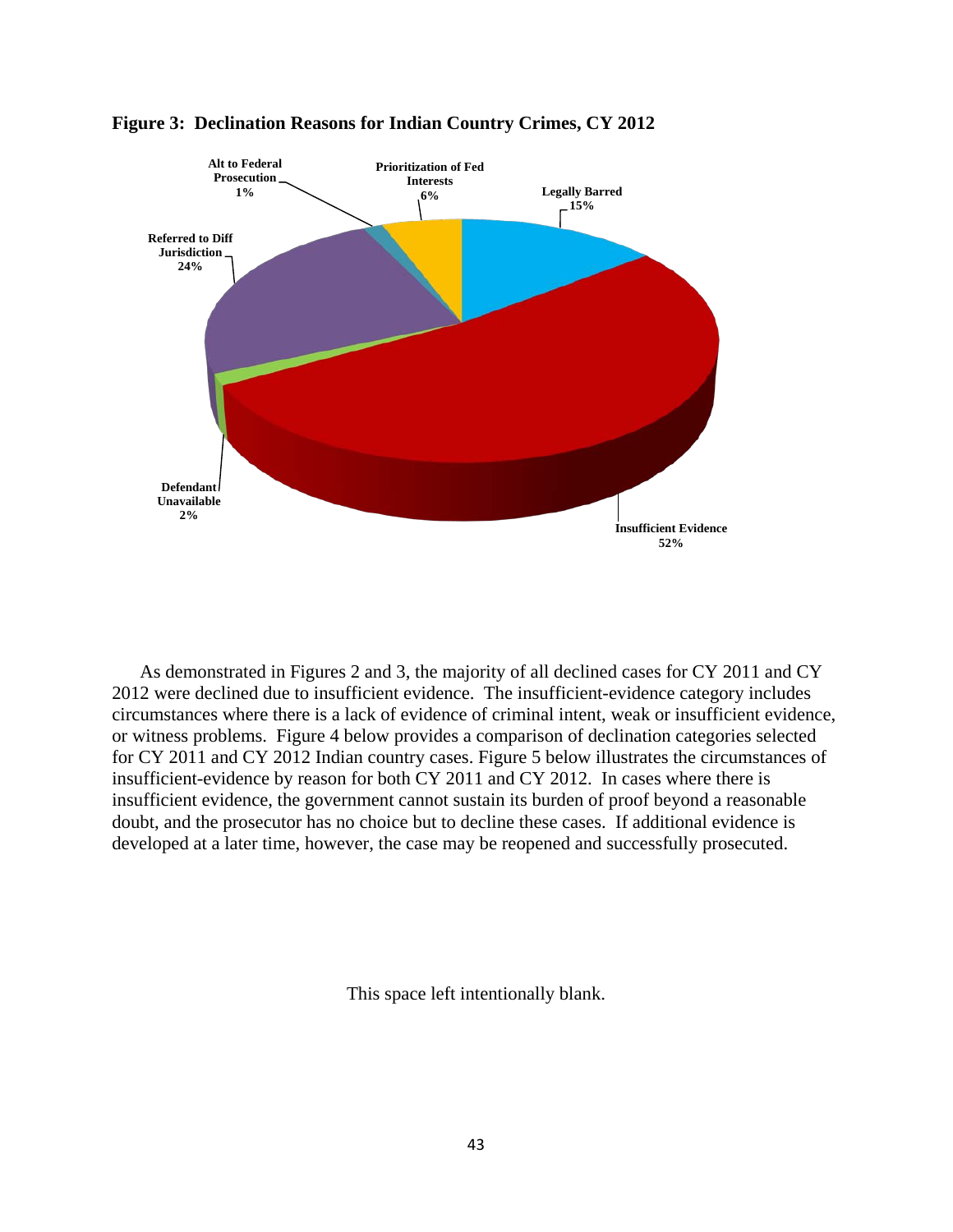



As demonstrated in Figures 2 and 3, the majority of all declined cases for CY 2011 and CY 2012 were declined due to insufficient evidence. The insufficient-evidence category includes circumstances where there is a lack of evidence of criminal intent, weak or insufficient evidence, or witness problems. Figure 4 below provides a comparison of declination categories selected for CY 2011 and CY 2012 Indian country cases. Figure 5 below illustrates the circumstances of insufficient-evidence by reason for both CY 2011 and CY 2012. In cases where there is insufficient evidence, the government cannot sustain its burden of proof beyond a reasonable doubt, and the prosecutor has no choice but to decline these cases. If additional evidence is developed at a later time, however, the case may be reopened and successfully prosecuted.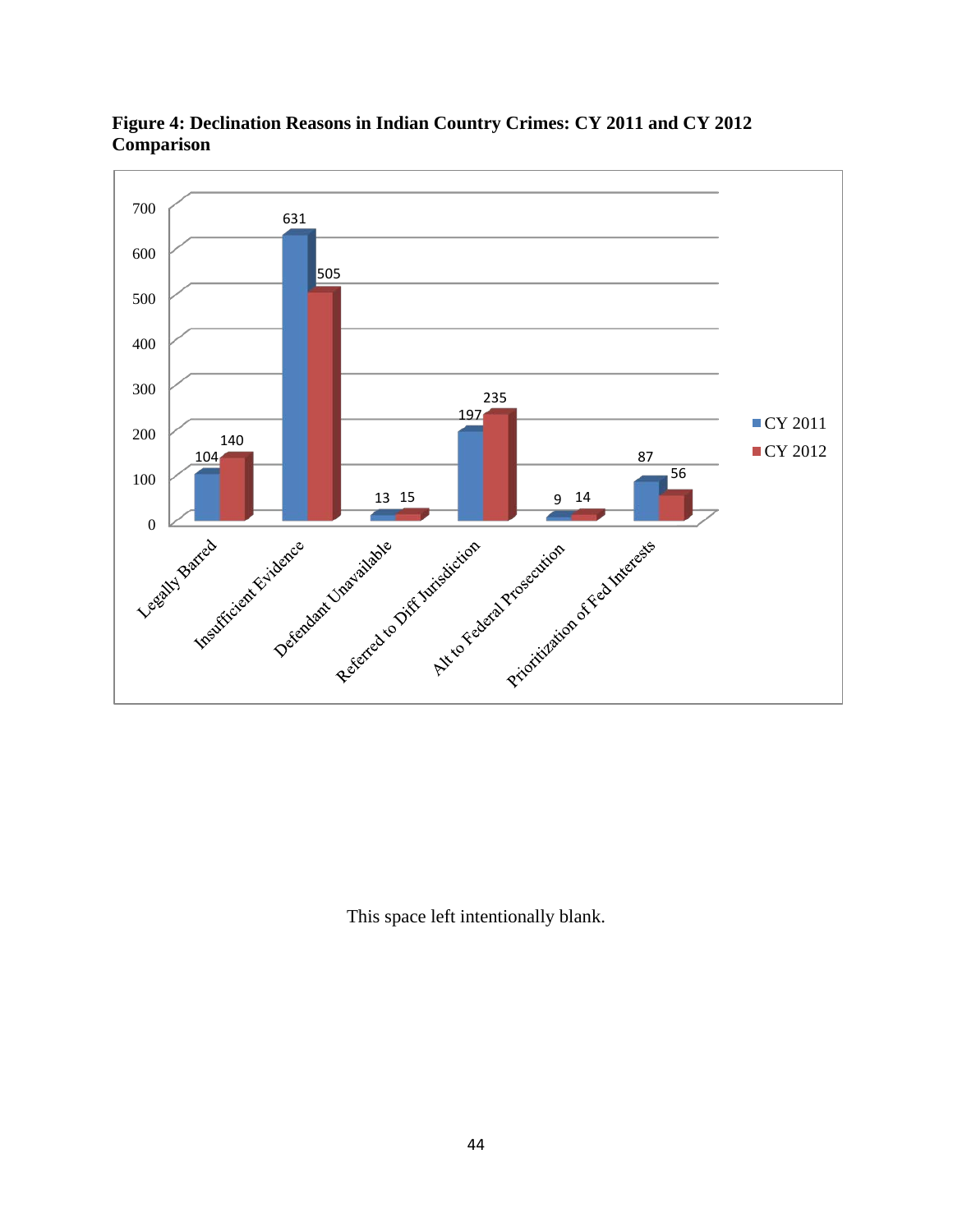

**Figure 4: Declination Reasons in Indian Country Crimes: CY 2011 and CY 2012 Comparison**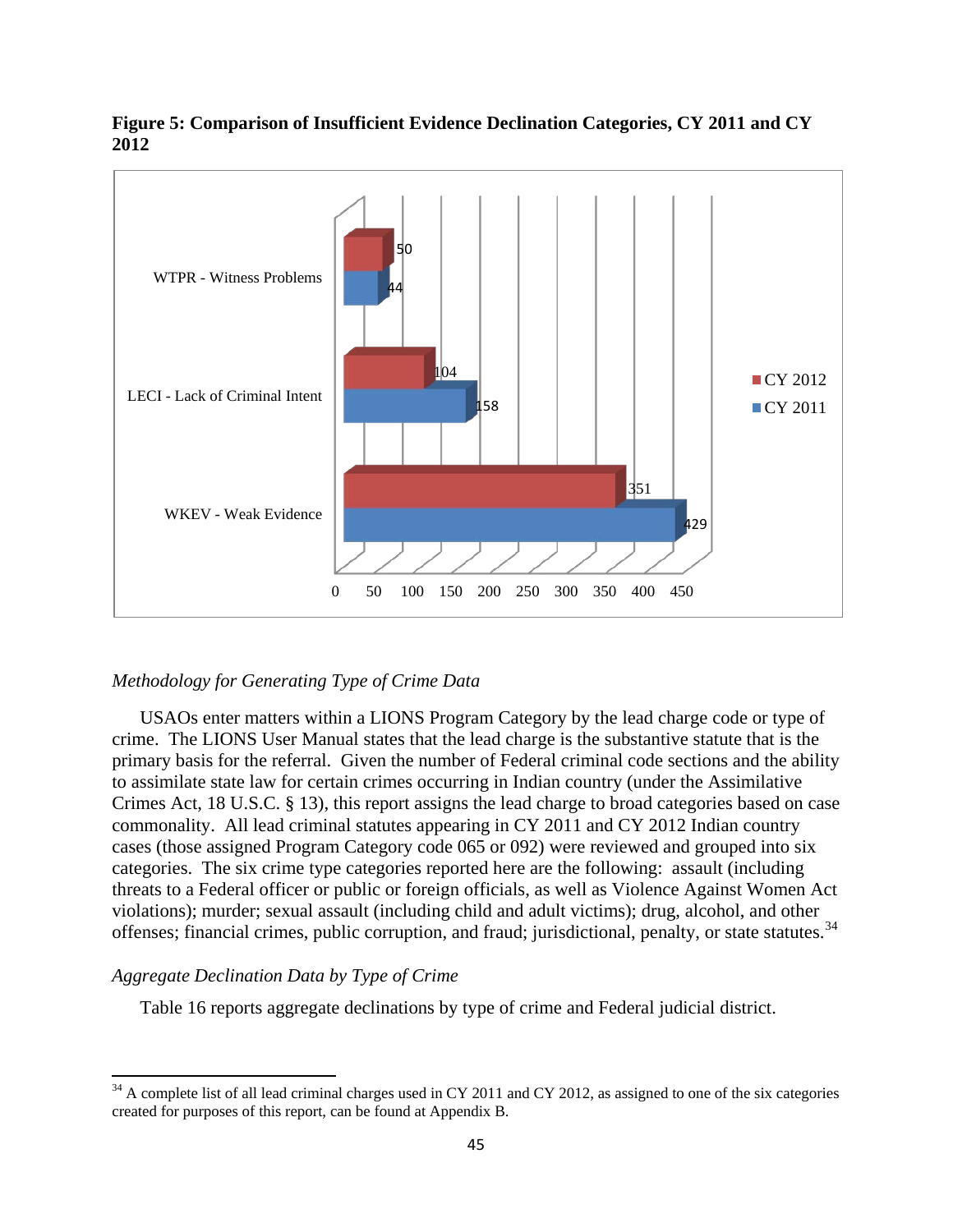

# **Figure 5: Comparison of Insufficient Evidence Declination Categories, CY 2011 and CY 2012**

# *Methodology for Generating Type of Crime Data*

USAOs enter matters within a LIONS Program Category by the lead charge code or type of crime. The LIONS User Manual states that the lead charge is the substantive statute that is the primary basis for the referral. Given the number of Federal criminal code sections and the ability to assimilate state law for certain crimes occurring in Indian country (under the Assimilative Crimes Act, 18 U.S.C. § 13), this report assigns the lead charge to broad categories based on case commonality. All lead criminal statutes appearing in CY 2011 and CY 2012 Indian country cases (those assigned Program Category code 065 or 092) were reviewed and grouped into six categories. The six crime type categories reported here are the following: assault (including threats to a Federal officer or public or foreign officials, as well as Violence Against Women Act violations); murder; sexual assault (including child and adult victims); drug, alcohol, and other offenses; financial crimes, public corruption, and fraud; jurisdictional, penalty, or state statutes. [34](#page-44-0)

#### *Aggregate Declination Data by Type of Crime*

 $\overline{\phantom{a}}$ 

Table 16 reports aggregate declinations by type of crime and Federal judicial district.

<span id="page-44-0"></span> $34$  A complete list of all lead criminal charges used in CY 2011 and CY 2012, as assigned to one of the six categories created for purposes of this report, can be found at Appendix B.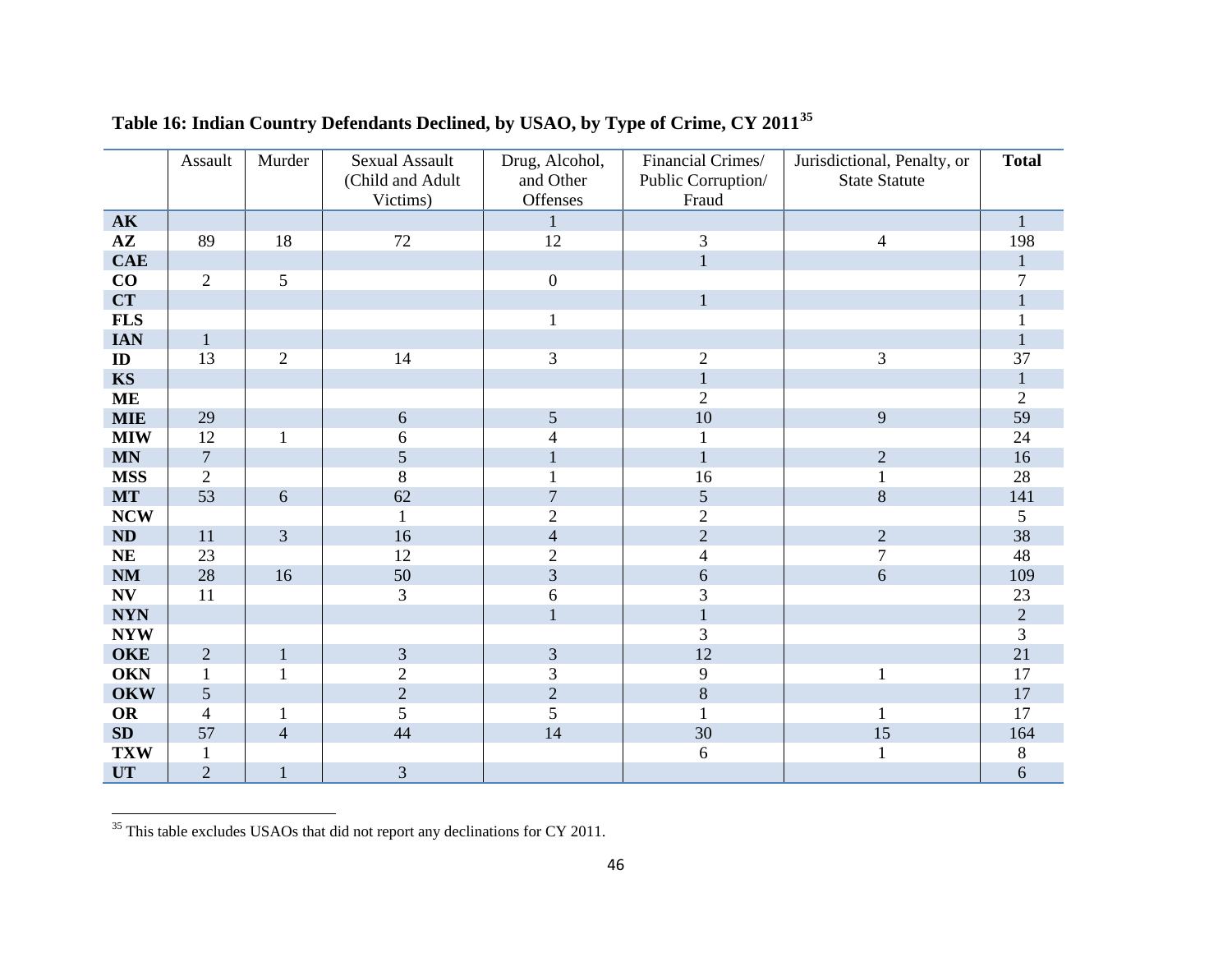|                        | Assault        | Murder                  | <b>Sexual Assault</b> | Drug, Alcohol, | Financial Crimes/           | Jurisdictional, Penalty, or | <b>Total</b>   |
|------------------------|----------------|-------------------------|-----------------------|----------------|-----------------------------|-----------------------------|----------------|
|                        |                |                         | (Child and Adult      | and Other      | Public Corruption/          | <b>State Statute</b>        |                |
|                        |                |                         | Victims)              | Offenses       | Fraud                       |                             |                |
| $\mathbf{AK}$          |                |                         |                       | $\mathbf{1}$   |                             |                             | $\mathbf{1}$   |
| $A\mathbf{Z}$          | 89             | 18                      | $72\,$                | 12             | $\ensuremath{\mathfrak{Z}}$ | 4                           | 198            |
| CAE                    |                |                         |                       |                | $\mathbf{1}$                |                             | $\mathbf{1}$   |
| CO                     | $\overline{2}$ | 5                       |                       | $\mathbf{0}$   |                             |                             | 7              |
| CT                     |                |                         |                       |                | $\mathbf{1}$                |                             | $\mathbf{1}$   |
| <b>FLS</b>             |                |                         |                       |                |                             |                             |                |
| <b>IAN</b>             | $\mathbf{1}$   |                         |                       |                |                             |                             | $\mathbf{1}$   |
| ID                     | 13             | $\overline{2}$          | 14                    | $\overline{3}$ | $\sqrt{2}$                  | 3                           | 37             |
| <b>KS</b>              |                |                         |                       |                | $\mathbf{1}$                |                             | $\mathbf{1}$   |
| <b>ME</b>              |                |                         |                       |                | $\overline{2}$              |                             | $\overline{2}$ |
| <b>MIE</b>             | 29             |                         | 6                     | 5              | 10                          | 9                           | 59             |
| <b>MIW</b>             | 12             | $\mathbf{1}$            | 6                     | $\overline{4}$ | $\mathbf{1}$                |                             | 24             |
| $\mathbf{MN}$          | $\overline{7}$ |                         | 5                     |                | $\mathbf{1}$                | $\overline{2}$              | 16             |
| <b>MSS</b>             | $\mathbf{2}$   |                         | 8                     |                | 16                          | $\mathbf{1}$                | 28             |
| <b>MT</b>              | 53             | 6                       | 62                    | $\overline{7}$ | 5                           | 8                           | 141            |
| <b>NCW</b>             |                |                         | 1                     | $\overline{2}$ | $\overline{2}$              |                             | $\mathfrak{S}$ |
| ND                     | 11             | 3                       | 16                    | $\overline{4}$ | $\overline{2}$              | $\overline{2}$              | 38             |
| NE                     | 23             |                         | 12                    | $\overline{2}$ | 4                           | $\overline{7}$              | 48             |
| $\mathbf{N}\mathbf{M}$ | 28             | 16                      | 50                    | 3              | 6                           | 6                           | 109            |
| N V                    | 11             |                         | 3                     | 6              | 3                           |                             | 23             |
| <b>NYN</b>             |                |                         |                       | $\mathbf{1}$   | $\mathbf{1}$                |                             | $\overline{2}$ |
| <b>NYW</b>             |                |                         |                       |                | 3                           |                             | $\overline{3}$ |
| <b>OKE</b>             | $\overline{2}$ | $\mathbf{1}$            | 3                     | 3              | 12                          |                             | 21             |
| <b>OKN</b>             | $\mathbf{1}$   | $\mathbf{1}$            | $\overline{2}$        | 3              | 9                           | $\mathbf{1}$                | 17             |
| <b>OKW</b>             | 5              |                         | $\overline{2}$        | $\overline{2}$ | 8                           |                             | 17             |
| <b>OR</b>              | $\overline{4}$ | 1                       | 5                     | 5              | $\mathbf{1}$                | 1                           | 17             |
| $\bf SD$               | 57             | $\overline{\mathbf{4}}$ | 44                    | 14             | 30                          | 15                          | 164            |
| <b>TXW</b>             | $\mathbf{1}$   |                         |                       |                | 6                           | $\mathbf{1}$                | $8\phantom{1}$ |
| <b>UT</b>              | $\overline{2}$ | $\mathbf{1}$            | 3                     |                |                             |                             | 6              |

# <span id="page-45-0"></span>**Table 16: Indian Country Defendants Declined, by USAO, by Type of Crime, CY 2011[35](#page-45-0)**

<u> 1989 - Johann Barbara, martin a</u>

 $35$  This table excludes USAOs that did not report any declinations for CY 2011.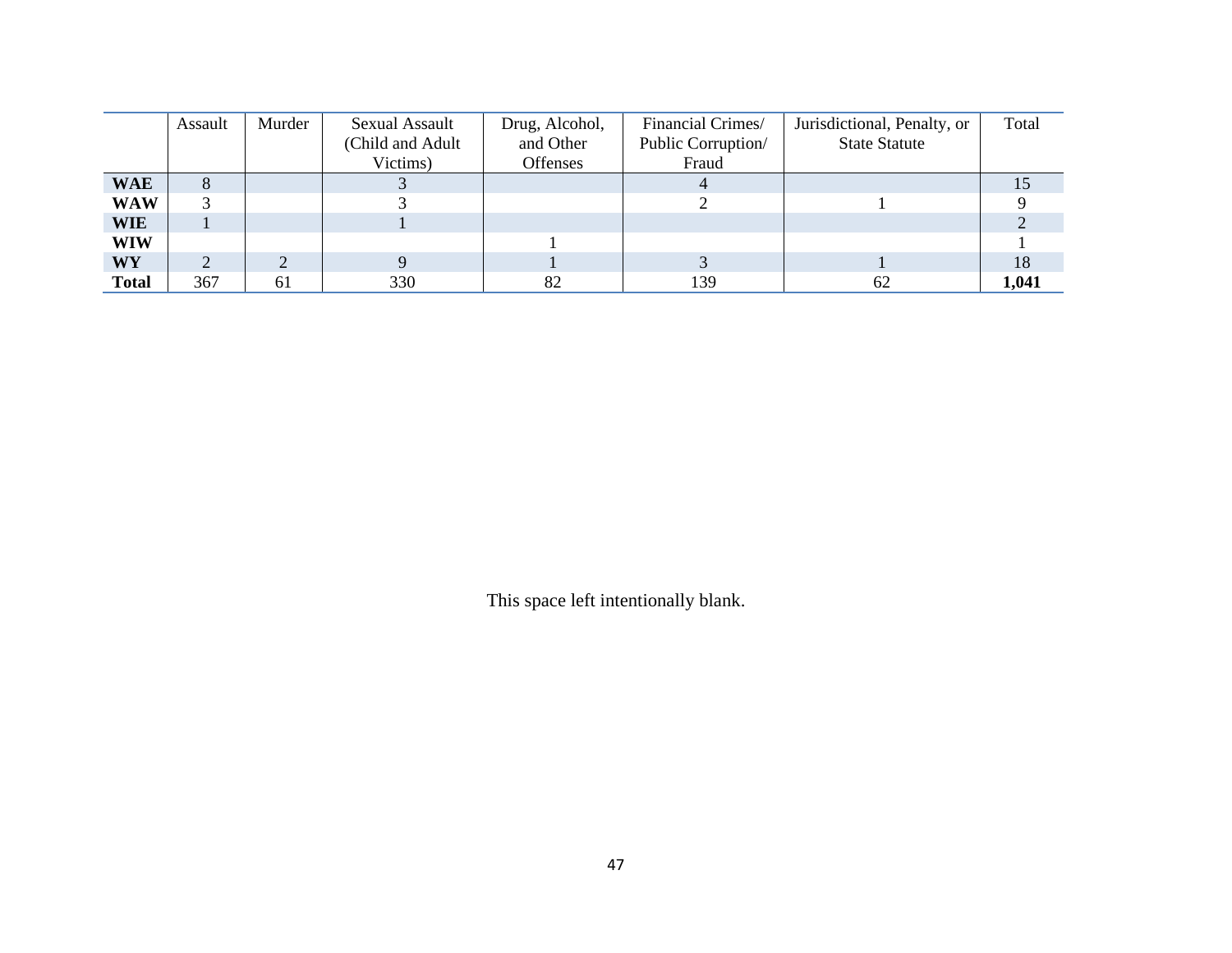|              | Assault | Murder | Sexual Assault   | Drug, Alcohol,  | Financial Crimes/  | Jurisdictional, Penalty, or | Total |
|--------------|---------|--------|------------------|-----------------|--------------------|-----------------------------|-------|
|              |         |        | (Child and Adult | and Other       | Public Corruption/ | <b>State Statute</b>        |       |
|              |         |        | Victims)         | <b>Offenses</b> | Fraud              |                             |       |
| <b>WAE</b>   | ð       |        |                  |                 |                    |                             |       |
| <b>WAW</b>   |         |        |                  |                 |                    |                             |       |
| <b>WIE</b>   |         |        |                  |                 |                    |                             |       |
| WIW          |         |        |                  |                 |                    |                             |       |
| WY           |         |        |                  |                 |                    |                             | 18    |
| <b>Total</b> | 367     | 61     | 330              | 82              | 139                | 62                          | 1,041 |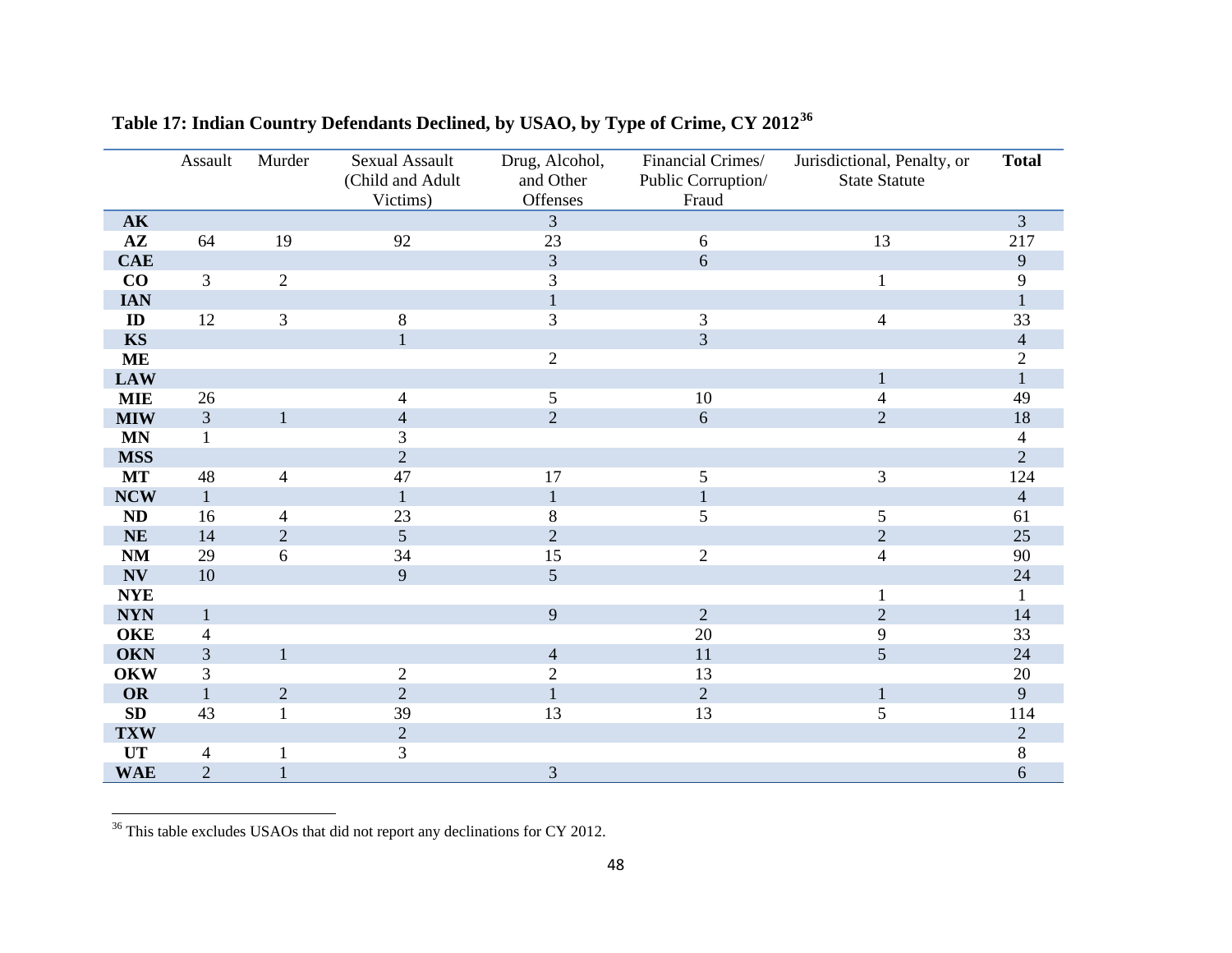|                             | Assault        | Murder         | <b>Sexual Assault</b> | Drug, Alcohol, | Financial Crimes/  | Jurisdictional, Penalty, or | <b>Total</b>   |
|-----------------------------|----------------|----------------|-----------------------|----------------|--------------------|-----------------------------|----------------|
|                             |                |                | (Child and Adult      | and Other      | Public Corruption/ | <b>State Statute</b>        |                |
|                             |                |                | Victims)              | Offenses       | Fraud              |                             |                |
| <b>AK</b>                   |                |                |                       | $\overline{3}$ |                    |                             | $\overline{3}$ |
| $A\mathbf{Z}$               | 64             | 19             | 92                    | 23             | $6\,$              | 13                          | 217            |
| <b>CAE</b>                  |                |                |                       | 3              | 6                  |                             | 9              |
| CO                          | 3              | $\overline{2}$ |                       | $\overline{3}$ |                    | $\mathbf{1}$                | 9              |
| <b>IAN</b>                  |                |                |                       | $\mathbf{1}$   |                    |                             | $\mathbf{1}$   |
| ID                          | 12             | 3              | 8                     | 3              | $\overline{3}$     | $\overline{4}$              | 33             |
| <b>KS</b>                   |                |                | $\mathbf 1$           |                | $\overline{3}$     |                             | $\overline{4}$ |
| <b>ME</b>                   |                |                |                       | $\overline{2}$ |                    |                             | $\overline{c}$ |
| <b>LAW</b>                  |                |                |                       |                |                    | $\mathbf{1}$                | $\mathbf{1}$   |
| <b>MIE</b>                  | 26             |                | $\overline{4}$        | $\mathfrak{S}$ | 10                 | $\overline{4}$              | 49             |
| <b>MIW</b>                  | 3              |                | $\overline{4}$        | $\overline{2}$ | 6                  | $\overline{2}$              | 18             |
| <b>MN</b>                   | $\mathbf{1}$   |                | 3                     |                |                    |                             | $\overline{4}$ |
| <b>MSS</b>                  |                |                | $\overline{2}$        |                |                    |                             | $\overline{2}$ |
| <b>MT</b>                   | 48             | $\overline{4}$ | 47                    | 17             | $\mathfrak{S}$     | $\mathfrak{Z}$              | 124            |
| <b>NCW</b>                  | $\mathbf{1}$   |                | $\mathbf{1}$          | $\mathbf{1}$   | $\mathbf{1}$       |                             | $\overline{4}$ |
| ND                          | 16             | $\overline{4}$ | 23                    | $8\,$          | 5                  | 5                           | 61             |
| <b>NE</b>                   | 14             | $\overline{2}$ | 5                     | $\overline{2}$ |                    | $\overline{2}$              | 25             |
| <b>NM</b>                   | 29             | 6              | 34                    | 15             | $\overline{2}$     | $\overline{4}$              | 90             |
| <b>NV</b>                   | $10\,$         |                | 9                     | $\overline{5}$ |                    |                             | 24             |
| $\ensuremath{\mathbf{NYE}}$ |                |                |                       |                |                    | 1                           | $\mathbf{1}$   |
| <b>NYN</b>                  | $\mathbf{1}$   |                |                       | 9              | $\overline{2}$     | $\overline{2}$              | 14             |
| <b>OKE</b>                  | $\overline{4}$ |                |                       |                | $20\,$             | 9                           | 33             |
| <b>OKN</b>                  | $\mathfrak{Z}$ | $\mathbf{1}$   |                       | $\overline{4}$ | 11                 | 5                           | 24             |
| <b>OKW</b>                  | 3              |                | $\mathbf{2}$          | $\sqrt{2}$     | 13                 |                             | $20\,$         |
| OR                          | $\mathbf{1}$   | $\overline{2}$ | $\overline{2}$        | $\mathbf{1}$   | $\overline{2}$     | $\mathbf{1}$                | 9              |
| ${\bf SD}$                  | 43             | $\mathbf{1}$   | 39                    | 13             | 13                 | 5                           | 114            |
| <b>TXW</b>                  |                |                | $\overline{2}$        |                |                    |                             | $\overline{2}$ |
| $\ensuremath{\mathbf{UT}}$  | $\overline{4}$ |                | 3                     |                |                    |                             | $8\,$          |
| <b>WAE</b>                  | $\overline{2}$ |                |                       | 3              |                    |                             | 6              |

<span id="page-47-0"></span>**Table 17: Indian Country Defendants Declined, by USAO, by Type of Crime, CY 2012[36](#page-47-0)**

 $36$  This table excludes USAOs that did not report any declinations for CY 2012.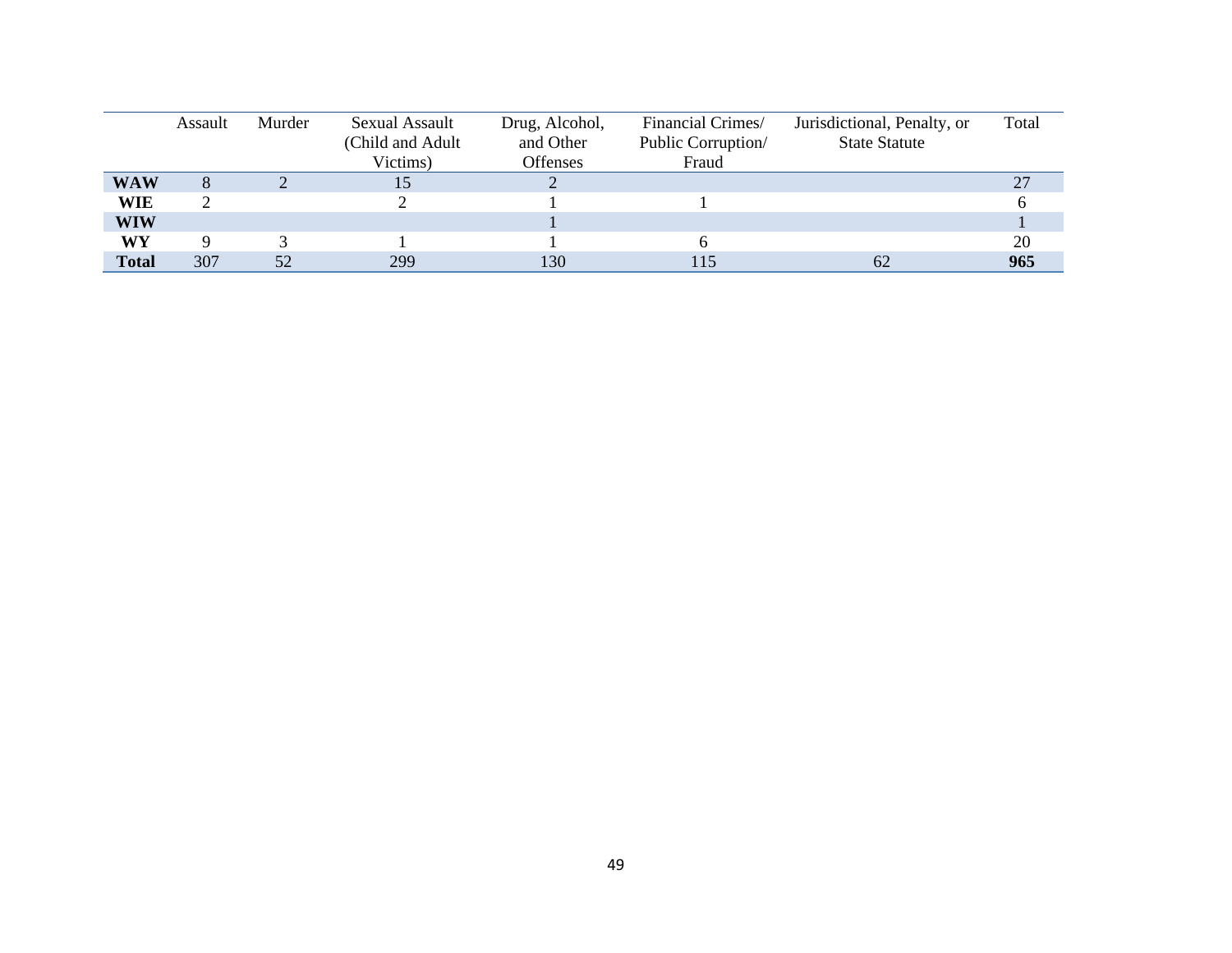|              | Assault | Murder | Sexual Assault    | Drug, Alcohol,  | Financial Crimes/  | Jurisdictional, Penalty, or | Total |
|--------------|---------|--------|-------------------|-----------------|--------------------|-----------------------------|-------|
|              |         |        | (Child and Adult) | and Other       | Public Corruption/ | <b>State Statute</b>        |       |
|              |         |        | Victims)          | <b>Offenses</b> | Fraud              |                             |       |
| <b>WAW</b>   |         |        |                   |                 |                    |                             | 27    |
| <b>WIE</b>   |         |        |                   |                 |                    |                             |       |
| <b>WIW</b>   |         |        |                   |                 |                    |                             |       |
| WY           |         |        |                   |                 |                    |                             | 20    |
| <b>Total</b> | 307     | 52     | 299               | 130             | 115                | 62                          | 965   |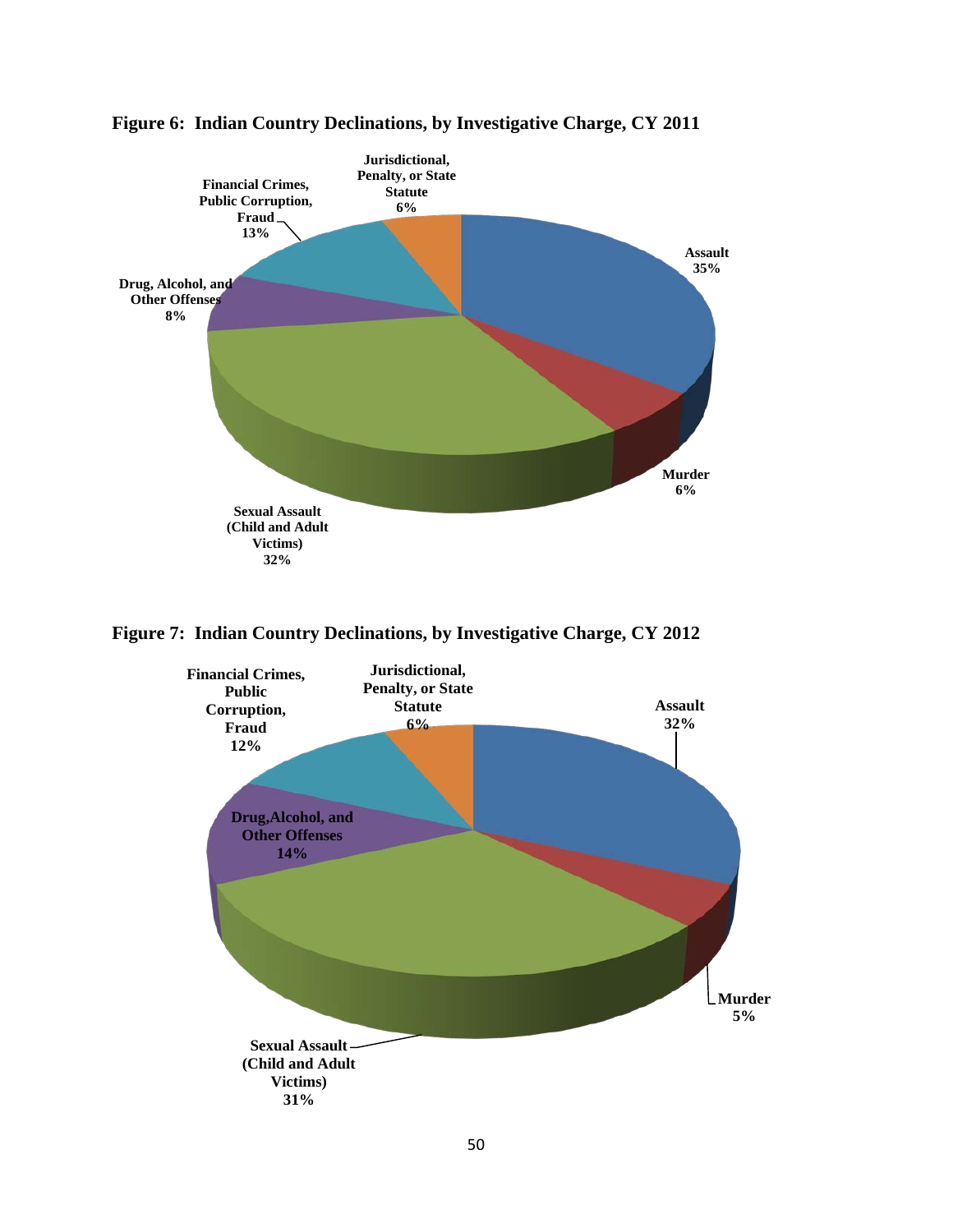



**Figure 7: Indian Country Declinations, by Investigative Charge, CY 2012** 

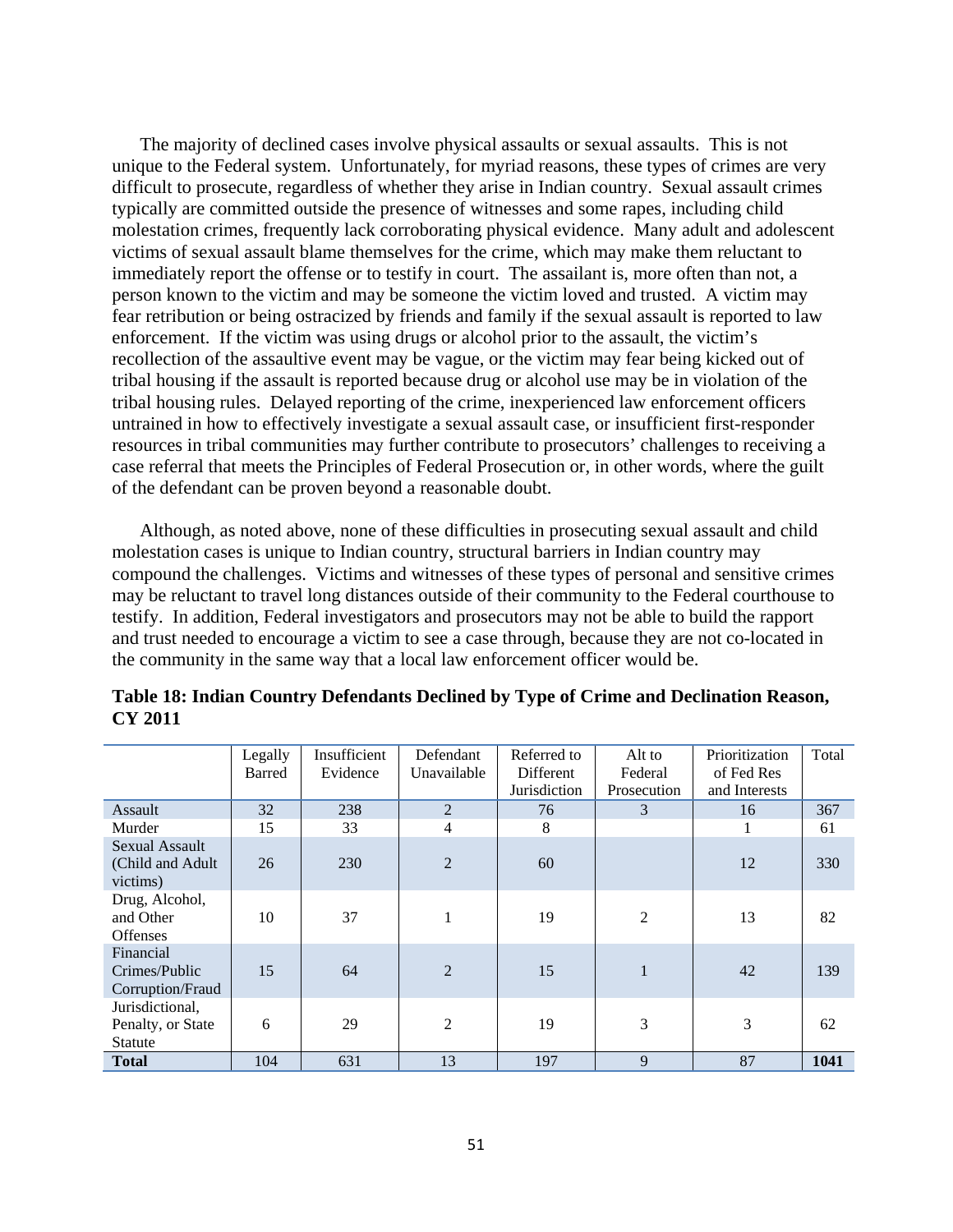The majority of declined cases involve physical assaults or sexual assaults. This is not unique to the Federal system. Unfortunately, for myriad reasons, these types of crimes are very difficult to prosecute, regardless of whether they arise in Indian country. Sexual assault crimes typically are committed outside the presence of witnesses and some rapes, including child molestation crimes, frequently lack corroborating physical evidence. Many adult and adolescent victims of sexual assault blame themselves for the crime, which may make them reluctant to immediately report the offense or to testify in court. The assailant is, more often than not, a person known to the victim and may be someone the victim loved and trusted. A victim may fear retribution or being ostracized by friends and family if the sexual assault is reported to law enforcement. If the victim was using drugs or alcohol prior to the assault, the victim's recollection of the assaultive event may be vague, or the victim may fear being kicked out of tribal housing if the assault is reported because drug or alcohol use may be in violation of the tribal housing rules. Delayed reporting of the crime, inexperienced law enforcement officers untrained in how to effectively investigate a sexual assault case, or insufficient first-responder resources in tribal communities may further contribute to prosecutors' challenges to receiving a case referral that meets the Principles of Federal Prosecution or, in other words, where the guilt of the defendant can be proven beyond a reasonable doubt.

Although, as noted above, none of these difficulties in prosecuting sexual assault and child molestation cases is unique to Indian country, structural barriers in Indian country may compound the challenges. Victims and witnesses of these types of personal and sensitive crimes may be reluctant to travel long distances outside of their community to the Federal courthouse to testify. In addition, Federal investigators and prosecutors may not be able to build the rapport and trust needed to encourage a victim to see a case through, because they are not co-located in the community in the same way that a local law enforcement officer would be.

|                                                        | Legally | Insufficient | Defendant      | Referred to  | Alt to         | Prioritization | Total |
|--------------------------------------------------------|---------|--------------|----------------|--------------|----------------|----------------|-------|
|                                                        | Barred  | Evidence     | Unavailable    | Different    | Federal        | of Fed Res     |       |
|                                                        |         |              |                | Jurisdiction | Prosecution    | and Interests  |       |
| Assault                                                | 32      | 238          | 2              | 76           | 3              | 16             | 367   |
| Murder                                                 | 15      | 33           | $\overline{4}$ | 8            |                |                | 61    |
| <b>Sexual Assault</b><br>(Child and Adult)<br>victims) | 26      | 230          | $\overline{2}$ | 60           |                | 12             | 330   |
| Drug, Alcohol,<br>and Other<br><b>Offenses</b>         | 10      | 37           |                | 19           | $\overline{2}$ | 13             | 82    |
| Financial<br>Crimes/Public<br>Corruption/Fraud         | 15      | 64           | $\overline{2}$ | 15           | $\mathbf{1}$   | 42             | 139   |
| Jurisdictional,<br>Penalty, or State<br>Statute        | 6       | 29           | 2              | 19           | 3              | 3              | 62    |
| <b>Total</b>                                           | 104     | 631          | 13             | 197          | 9              | 87             | 1041  |

**Table 18: Indian Country Defendants Declined by Type of Crime and Declination Reason, CY 2011**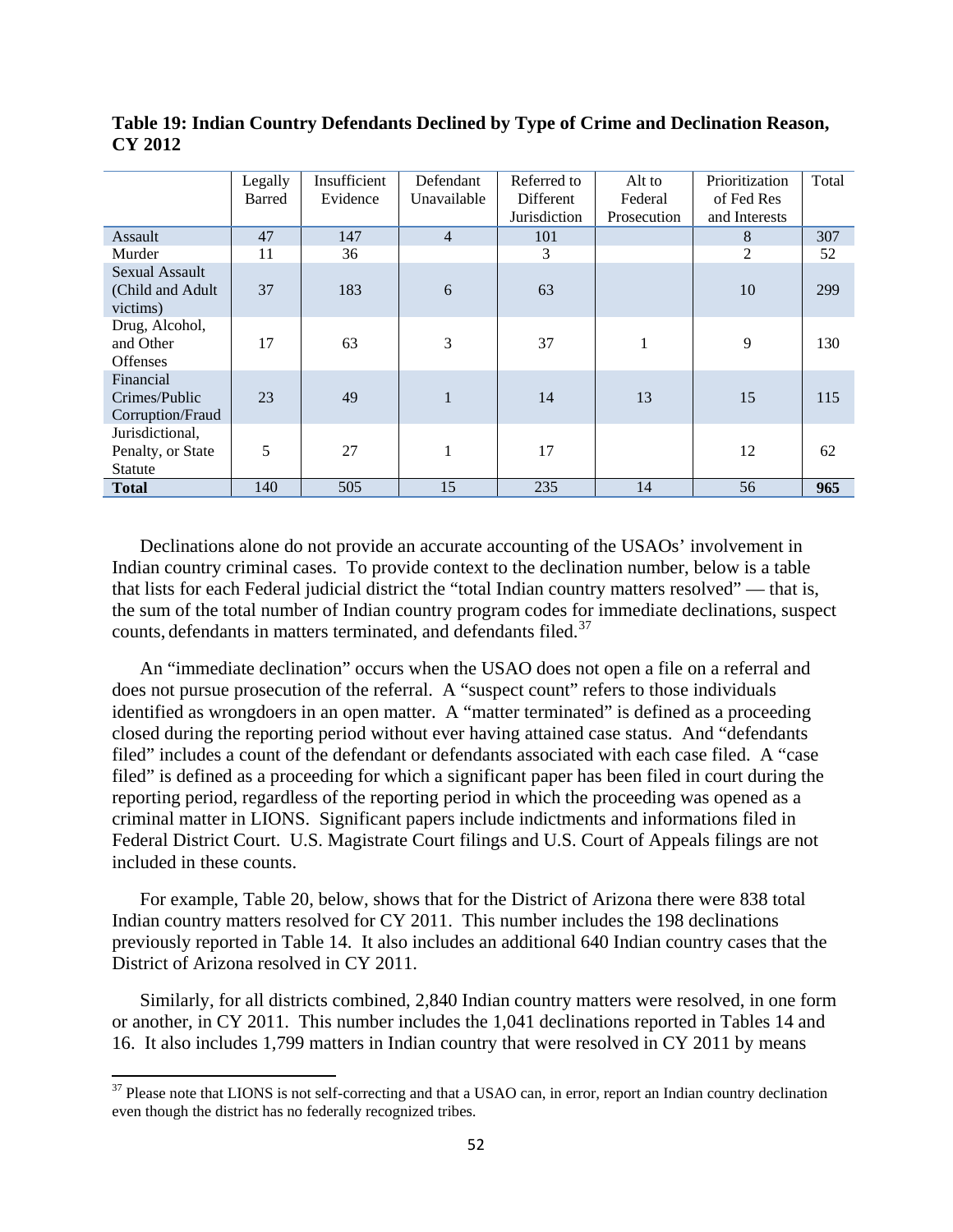|                                                        | Legally | Insufficient | Defendant      | Referred to  | Alt to      | Prioritization | Total |
|--------------------------------------------------------|---------|--------------|----------------|--------------|-------------|----------------|-------|
|                                                        | Barred  | Evidence     | Unavailable    | Different    | Federal     | of Fed Res     |       |
|                                                        |         |              |                | Jurisdiction | Prosecution | and Interests  |       |
| Assault                                                | 47      | 147          | $\overline{4}$ | 101          |             | 8              | 307   |
| Murder                                                 | 11      | 36           |                | 3            |             | 2              | 52    |
| <b>Sexual Assault</b><br>(Child and Adult)<br>victims) | 37      | 183          | $6\,$          | 63           |             | 10             | 299   |
| Drug, Alcohol,<br>and Other<br><b>Offenses</b>         | 17      | 63           | 3              | 37           | 1           | 9              | 130   |
| Financial<br>Crimes/Public<br>Corruption/Fraud         | 23      | 49           | $\mathbf{1}$   | 14           | 13          | 15             | 115   |
| Jurisdictional,<br>Penalty, or State<br>Statute        | 5       | 27           | $\mathbf{1}$   | 17           |             | 12             | 62    |
| <b>Total</b>                                           | 140     | 505          | 15             | 235          | 14          | 56             | 965   |

**Table 19: Indian Country Defendants Declined by Type of Crime and Declination Reason, CY 2012**

Declinations alone do not provide an accurate accounting of the USAOs' involvement in Indian country criminal cases. To provide context to the declination number, below is a table that lists for each Federal judicial district the "total Indian country matters resolved" — that is, the sum of the total number of Indian country program codes for immediate declinations, suspect counts, defendants in matters terminated, and defendants filed.<sup>[37](#page-51-0)</sup>

An "immediate declination" occurs when the USAO does not open a file on a referral and does not pursue prosecution of the referral. A "suspect count" refers to those individuals identified as wrongdoers in an open matter. A "matter terminated" is defined as a proceeding closed during the reporting period without ever having attained case status. And "defendants filed" includes a count of the defendant or defendants associated with each case filed. A "case filed" is defined as a proceeding for which a significant paper has been filed in court during the reporting period, regardless of the reporting period in which the proceeding was opened as a criminal matter in LIONS. Significant papers include indictments and informations filed in Federal District Court. U.S. Magistrate Court filings and U.S. Court of Appeals filings are not included in these counts.

For example, Table 20, below, shows that for the District of Arizona there were 838 total Indian country matters resolved for CY 2011. This number includes the 198 declinations previously reported in Table 14. It also includes an additional 640 Indian country cases that the District of Arizona resolved in CY 2011.

Similarly, for all districts combined, 2,840 Indian country matters were resolved, in one form or another, in CY 2011. This number includes the 1,041 declinations reported in Tables 14 and 16. It also includes 1,799 matters in Indian country that were resolved in CY 2011 by means

<span id="page-51-0"></span> $37$  Please note that LIONS is not self-correcting and that a USAO can, in error, report an Indian country declination even though the district has no federally recognized tribes.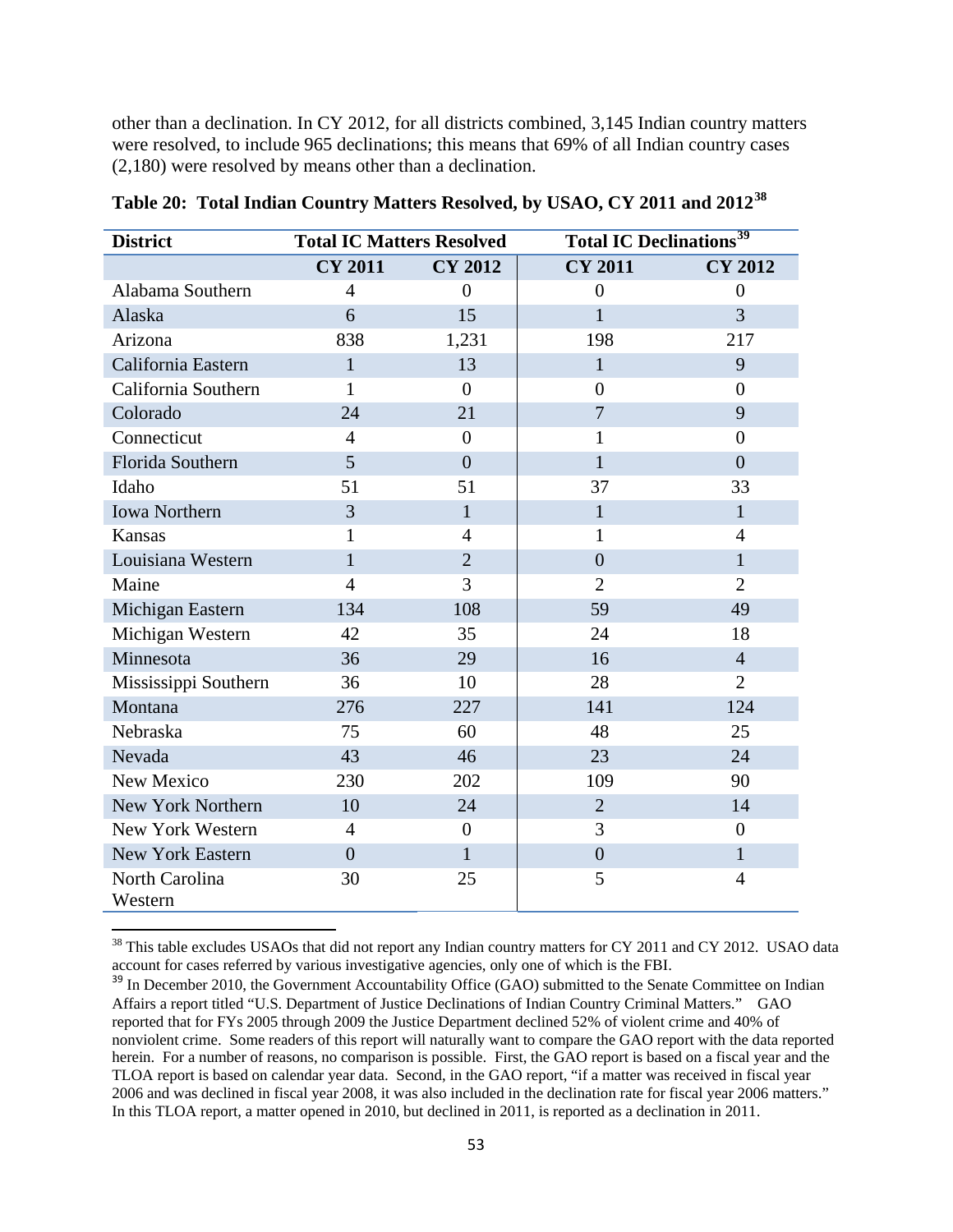other than a declination. In CY 2012, for all districts combined, 3,145 Indian country matters were resolved, to include 965 declinations; this means that 69% of all Indian country cases (2,180) were resolved by means other than a declination.

| <b>District</b>           | <b>Total IC Matters Resolved</b> |                | <b>Total IC Declinations</b> <sup>39</sup> |                |  |
|---------------------------|----------------------------------|----------------|--------------------------------------------|----------------|--|
|                           | <b>CY 2011</b>                   | <b>CY 2012</b> | <b>CY 2011</b>                             | <b>CY 2012</b> |  |
| Alabama Southern          | 4                                | $\overline{0}$ | $\overline{0}$                             | $\overline{0}$ |  |
| Alaska                    | 6                                | 15             | $\mathbf{1}$                               | 3              |  |
| Arizona                   | 838                              | 1,231          | 198                                        | 217            |  |
| California Eastern        | $\mathbf{1}$                     | 13             | $\mathbf{1}$                               | 9              |  |
| California Southern       | 1                                | $\Omega$       | $\overline{0}$                             | $\overline{0}$ |  |
| Colorado                  | 24                               | 21             | $\overline{7}$                             | 9              |  |
| Connecticut               | $\overline{4}$                   | $\overline{0}$ | $\mathbf{1}$                               | $\overline{0}$ |  |
| Florida Southern          | 5                                | $\overline{0}$ | $\mathbf{1}$                               | $\overline{0}$ |  |
| Idaho                     | 51                               | 51             | 37                                         | 33             |  |
| <b>Iowa Northern</b>      | 3                                | $\mathbf{1}$   | $\mathbf{1}$                               | $\mathbf{1}$   |  |
| Kansas                    | 1                                | $\overline{4}$ | 1                                          | $\overline{4}$ |  |
| Louisiana Western         | $\mathbf{1}$                     | $\overline{2}$ | $\overline{0}$                             | $\mathbf{1}$   |  |
| Maine                     | $\overline{4}$                   | $\overline{3}$ | $\overline{2}$                             | $\overline{2}$ |  |
| Michigan Eastern          | 134                              | 108            | 59                                         | 49             |  |
| Michigan Western          | 42                               | 35             | 24                                         | 18             |  |
| Minnesota                 | 36                               | 29             | 16                                         | $\overline{4}$ |  |
| Mississippi Southern      | 36                               | 10             | 28                                         | $\overline{2}$ |  |
| Montana                   | 276                              | 227            | 141                                        | 124            |  |
| Nebraska                  | 75                               | 60             | 48                                         | 25             |  |
| Nevada                    | 43                               | 46             | 23                                         | 24             |  |
| New Mexico                | 230                              | 202            | 109                                        | 90             |  |
| New York Northern         | 10                               | 24             | $\overline{2}$                             | 14             |  |
| New York Western          | $\overline{4}$                   | $\overline{0}$ | 3                                          | $\overline{0}$ |  |
| <b>New York Eastern</b>   | $\overline{0}$                   | $\mathbf{1}$   | $\overline{0}$                             | $\mathbf{1}$   |  |
| North Carolina<br>Western | 30                               | 25             | 5                                          | $\overline{4}$ |  |

**Table 20: Total Indian Country Matters Resolved, by USAO, CY 2011 and 2012[38](#page-52-0)**

<span id="page-52-0"></span> $38$  This table excludes USAOs that did not report any Indian country matters for CY 2011 and CY 2012. USAO data account for cases referred by various investigative agencies, only one of which is the FBI.

<span id="page-52-1"></span><sup>&</sup>lt;sup>39</sup> In December 2010, the Government Accountability Office (GAO) submitted to the Senate Committee on Indian Affairs a report titled "U.S. Department of Justice Declinations of Indian Country Criminal Matters." GAO reported that for FYs 2005 through 2009 the Justice Department declined 52% of violent crime and 40% of nonviolent crime. Some readers of this report will naturally want to compare the GAO report with the data reported herein. For a number of reasons, no comparison is possible. First, the GAO report is based on a fiscal year and the TLOA report is based on calendar year data. Second, in the GAO report, "if a matter was received in fiscal year 2006 and was declined in fiscal year 2008, it was also included in the declination rate for fiscal year 2006 matters." In this TLOA report, a matter opened in 2010, but declined in 2011, is reported as a declination in 2011.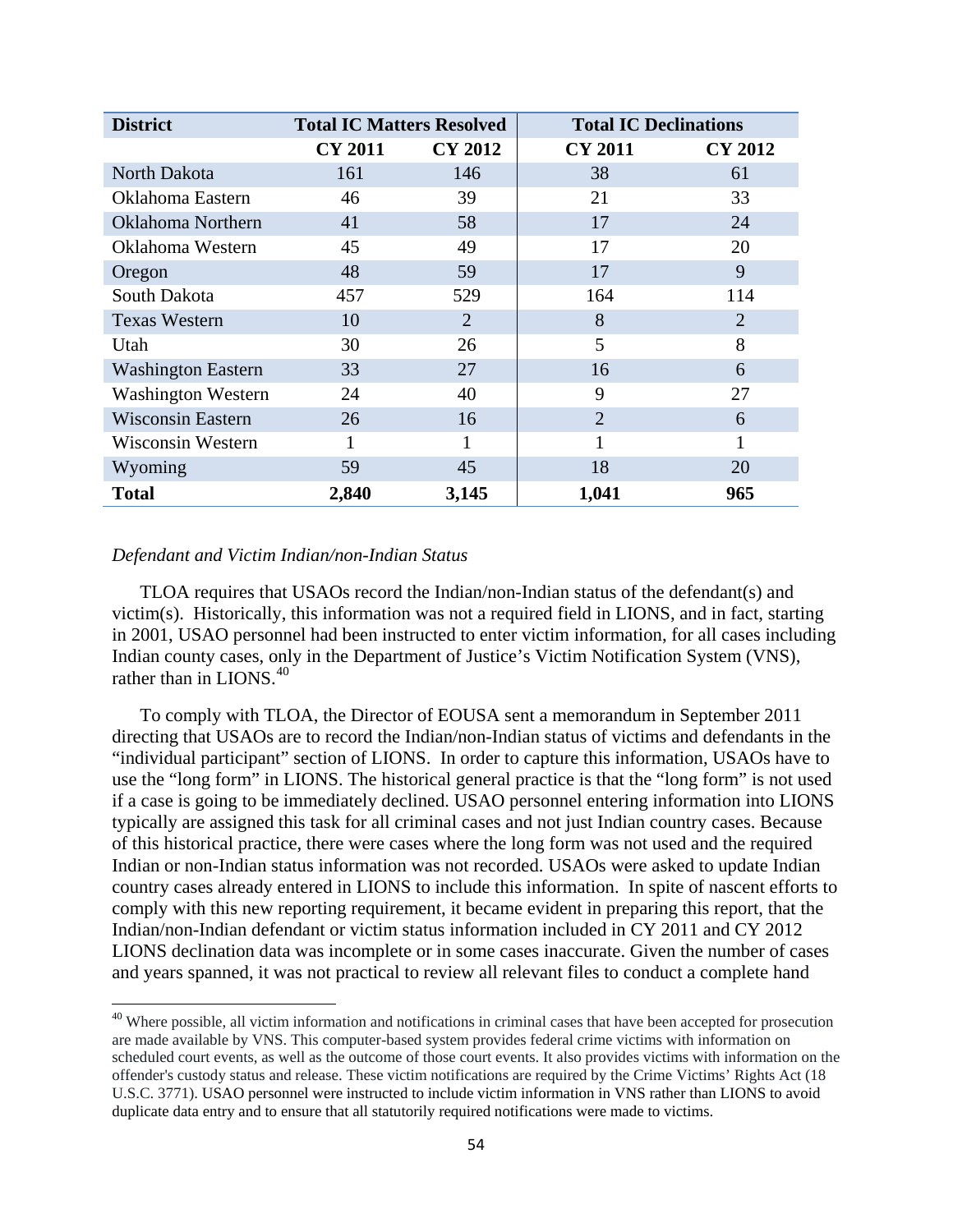| <b>District</b>           | <b>Total IC Matters Resolved</b> |                | <b>Total IC Declinations</b> |                |
|---------------------------|----------------------------------|----------------|------------------------------|----------------|
|                           | <b>CY 2011</b>                   | <b>CY 2012</b> | <b>CY 2011</b>               | <b>CY 2012</b> |
| North Dakota              | 161                              | 146            | 38                           | 61             |
| Oklahoma Eastern          | 46                               | 39             | 21                           | 33             |
| Oklahoma Northern         | 41                               | 58             | 17                           | 24             |
| Oklahoma Western          | 45                               | 49             | 17                           | 20             |
| Oregon                    | 48                               | 59             | 17                           | 9              |
| South Dakota              | 457                              | 529            | 164                          | 114            |
| <b>Texas Western</b>      | 10                               | 2              | 8                            | $\overline{2}$ |
| Utah                      | 30                               | 26             | 5                            | 8              |
| <b>Washington Eastern</b> | 33                               | 27             | 16                           | 6              |
| <b>Washington Western</b> | 24                               | 40             | 9                            | 27             |
| <b>Wisconsin Eastern</b>  | 26                               | 16             | $\overline{2}$               | 6              |
| Wisconsin Western         | 1                                |                |                              | 1              |
| Wyoming                   | 59                               | 45             | 18                           | 20             |
| <b>Total</b>              | 2,840                            | 3,145          | 1,041                        | 965            |

#### *Defendant and Victim Indian/non-Indian Status*

l

TLOA requires that USAOs record the Indian/non-Indian status of the defendant(s) and victim(s). Historically, this information was not a required field in LIONS, and in fact, starting in 2001, USAO personnel had been instructed to enter victim information, for all cases including Indian county cases, only in the Department of Justice's Victim Notification System (VNS), rather than in LIONS $40$ 

To comply with TLOA, the Director of EOUSA sent a memorandum in September 2011 directing that USAOs are to record the Indian/non-Indian status of victims and defendants in the "individual participant" section of LIONS. In order to capture this information, USAOs have to use the "long form" in LIONS. The historical general practice is that the "long form" is not used if a case is going to be immediately declined. USAO personnel entering information into LIONS typically are assigned this task for all criminal cases and not just Indian country cases. Because of this historical practice, there were cases where the long form was not used and the required Indian or non-Indian status information was not recorded. USAOs were asked to update Indian country cases already entered in LIONS to include this information. In spite of nascent efforts to comply with this new reporting requirement, it became evident in preparing this report, that the Indian/non-Indian defendant or victim status information included in CY 2011 and CY 2012 LIONS declination data was incomplete or in some cases inaccurate. Given the number of cases and years spanned, it was not practical to review all relevant files to conduct a complete hand

<span id="page-53-0"></span><sup>&</sup>lt;sup>40</sup> Where possible, all victim information and notifications in criminal cases that have been accepted for prosecution are made available by VNS. This computer-based system provides federal crime victims with information on scheduled court events, as well as the outcome of those court events. It also provides victims with information on the offender's custody status and release. These victim notifications are required by the Crime Victims' Rights Act (18 U.S.C. 3771). USAO personnel were instructed to include victim information in VNS rather than LIONS to avoid duplicate data entry and to ensure that all statutorily required notifications were made to victims.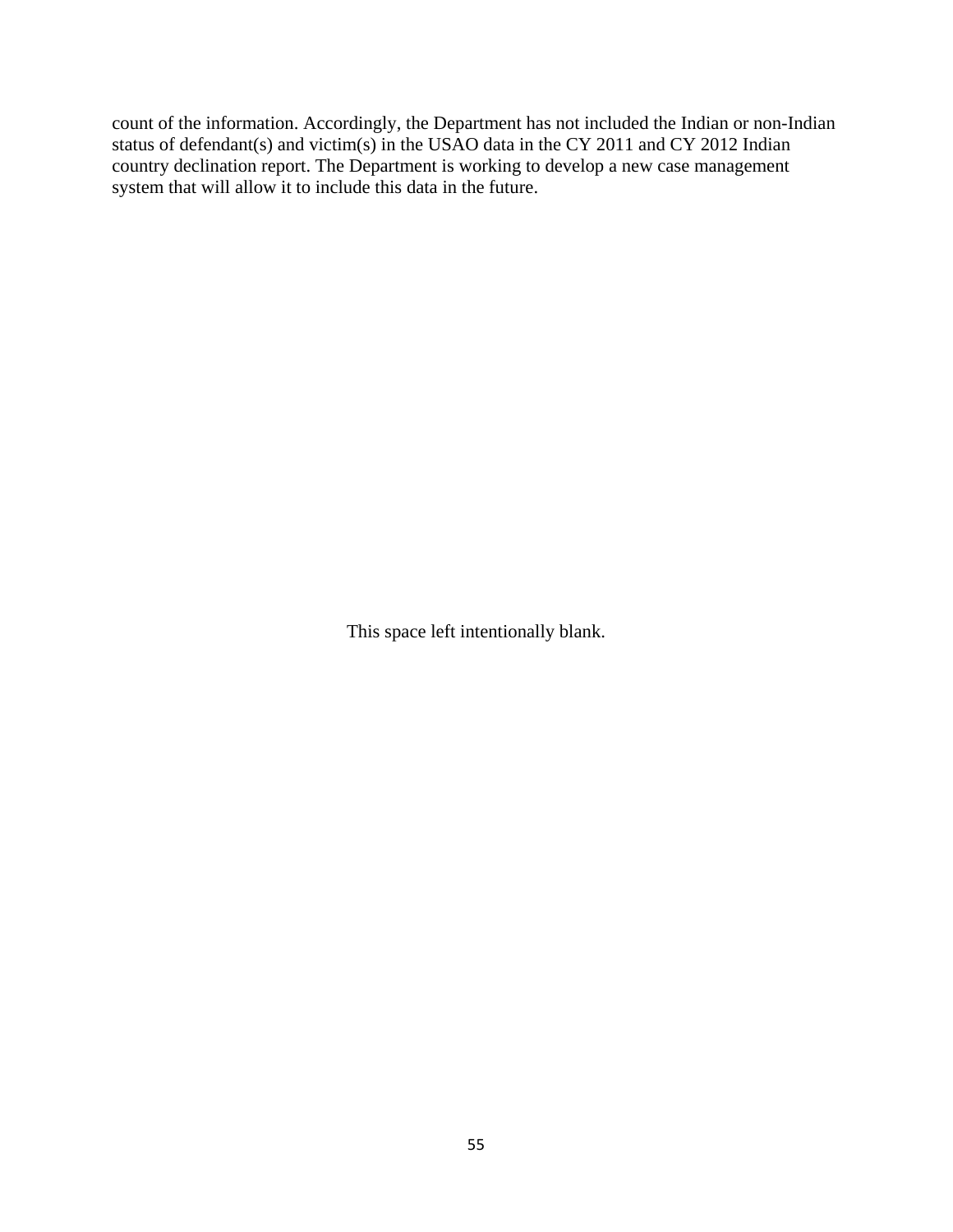count of the information. Accordingly, the Department has not included the Indian or non-Indian status of defendant(s) and victim(s) in the USAO data in the CY 2011 and CY 2012 Indian country declination report. The Department is working to develop a new case management system that will allow it to include this data in the future.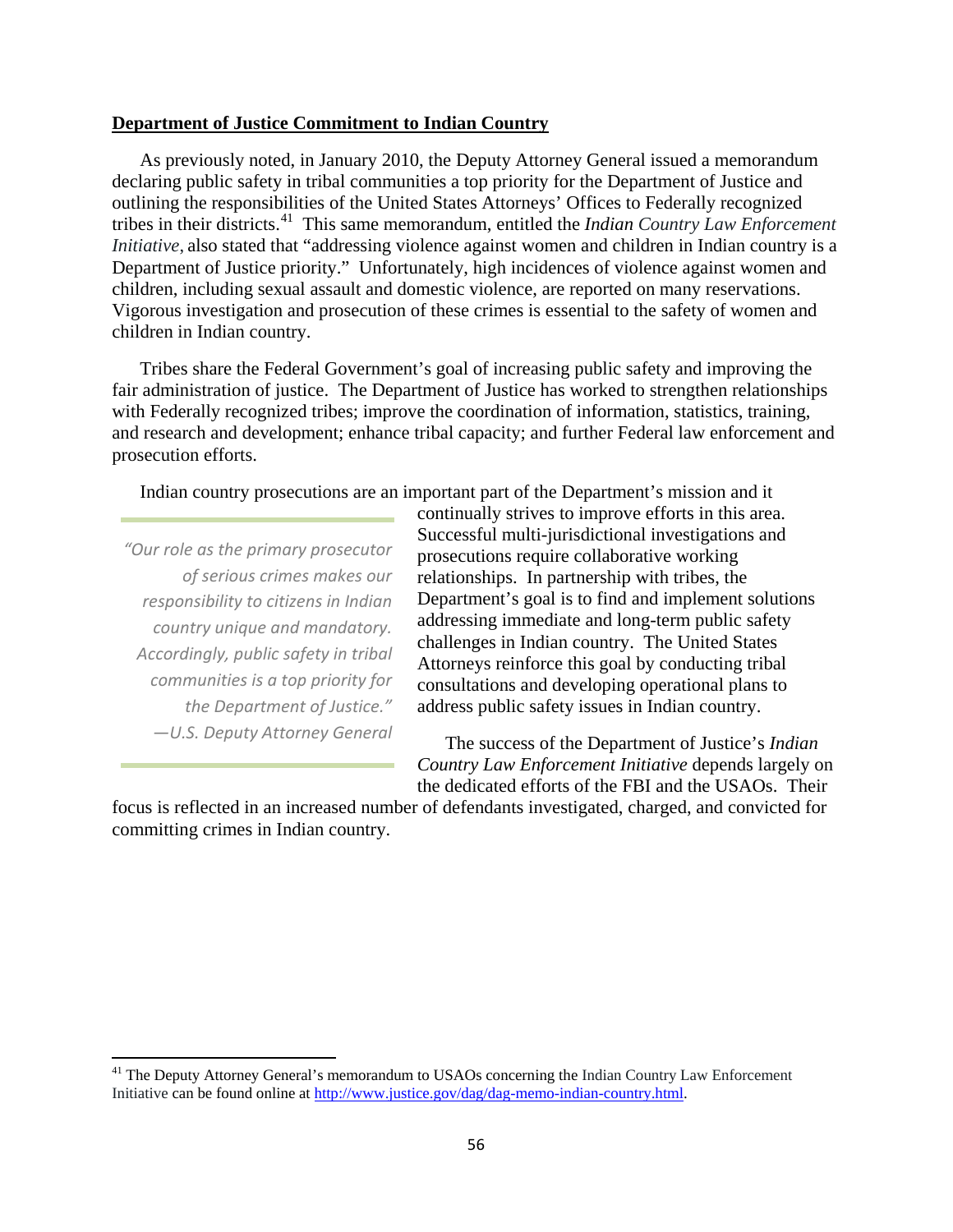#### **Department of Justice Commitment to Indian Country**

As previously noted, in January 2010, the Deputy Attorney General issued a memorandum declaring public safety in tribal communities a top priority for the Department of Justice and outlining the responsibilities of the United States Attorneys' Offices to Federally recognized tribes in their districts. [41](#page-55-0) This same memorandum, entitled the *Indian Country Law Enforcement Initiative*, also stated that "addressing violence against women and children in Indian country is a Department of Justice priority." Unfortunately, high incidences of violence against women and children, including sexual assault and domestic violence, are reported on many reservations. Vigorous investigation and prosecution of these crimes is essential to the safety of women and children in Indian country.

Tribes share the Federal Government's goal of increasing public safety and improving the fair administration of justice. The Department of Justice has worked to strengthen relationships with Federally recognized tribes; improve the coordination of information, statistics, training, and research and development; enhance tribal capacity; and further Federal law enforcement and prosecution efforts.

Indian country prosecutions are an important part of the Department's mission and it

*"Our role as the primary prosecutor of serious crimes makes our responsibility to citizens in Indian country unique and mandatory. Accordingly, public safety in tribal communities is a top priority for the Department of Justice." —U.S. Deputy Attorney General* 

l

continually strives to improve efforts in this area. Successful multi-jurisdictional investigations and prosecutions require collaborative working relationships. In partnership with tribes, the Department's goal is to find and implement solutions addressing immediate and long-term public safety challenges in Indian country. The United States Attorneys reinforce this goal by conducting tribal consultations and developing operational plans to address public safety issues in Indian country.

The success of the Department of Justice's *Indian Country Law Enforcement Initiative* depends largely on the dedicated efforts of the FBI and the USAOs. Their

focus is reflected in an increased number of defendants investigated, charged, and convicted for committing crimes in Indian country.

<span id="page-55-0"></span><sup>&</sup>lt;sup>41</sup> The Deputy Attorney General's memorandum to USAOs concerning the Indian Country Law Enforcement Initiative can be found online at [http://www.justice.gov/dag/dag-memo-indian-country.html.](http://www.justice.gov/dag/dag-memo-indian-country.html)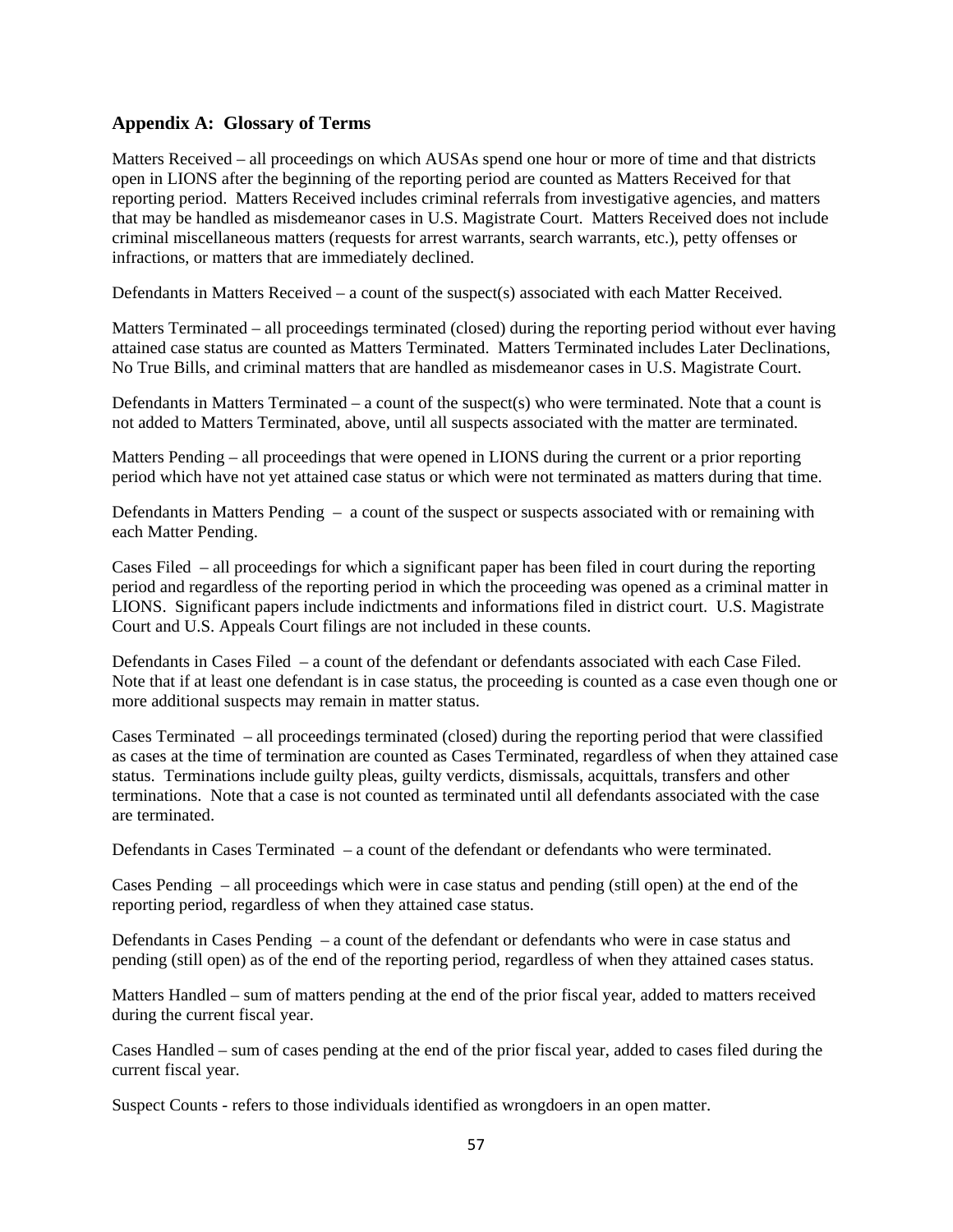# **Appendix A: Glossary of Terms**

Matters Received – all proceedings on which AUSAs spend one hour or more of time and that districts open in LIONS after the beginning of the reporting period are counted as Matters Received for that reporting period. Matters Received includes criminal referrals from investigative agencies, and matters that may be handled as misdemeanor cases in U.S. Magistrate Court. Matters Received does not include criminal miscellaneous matters (requests for arrest warrants, search warrants, etc.), petty offenses or infractions, or matters that are immediately declined.

Defendants in Matters Received – a count of the suspect(s) associated with each Matter Received.

Matters Terminated – all proceedings terminated (closed) during the reporting period without ever having attained case status are counted as Matters Terminated. Matters Terminated includes Later Declinations, No True Bills, and criminal matters that are handled as misdemeanor cases in U.S. Magistrate Court.

Defendants in Matters Terminated – a count of the suspect(s) who were terminated. Note that a count is not added to Matters Terminated, above, until all suspects associated with the matter are terminated.

Matters Pending – all proceedings that were opened in LIONS during the current or a prior reporting period which have not yet attained case status or which were not terminated as matters during that time.

Defendants in Matters Pending – a count of the suspect or suspects associated with or remaining with each Matter Pending.

Cases Filed – all proceedings for which a significant paper has been filed in court during the reporting period and regardless of the reporting period in which the proceeding was opened as a criminal matter in LIONS. Significant papers include indictments and informations filed in district court. U.S. Magistrate Court and U.S. Appeals Court filings are not included in these counts.

Defendants in Cases Filed – a count of the defendant or defendants associated with each Case Filed. Note that if at least one defendant is in case status, the proceeding is counted as a case even though one or more additional suspects may remain in matter status.

Cases Terminated – all proceedings terminated (closed) during the reporting period that were classified as cases at the time of termination are counted as Cases Terminated, regardless of when they attained case status. Terminations include guilty pleas, guilty verdicts, dismissals, acquittals, transfers and other terminations. Note that a case is not counted as terminated until all defendants associated with the case are terminated.

Defendants in Cases Terminated – a count of the defendant or defendants who were terminated.

Cases Pending – all proceedings which were in case status and pending (still open) at the end of the reporting period, regardless of when they attained case status.

Defendants in Cases Pending – a count of the defendant or defendants who were in case status and pending (still open) as of the end of the reporting period, regardless of when they attained cases status.

Matters Handled – sum of matters pending at the end of the prior fiscal year, added to matters received during the current fiscal year.

Cases Handled – sum of cases pending at the end of the prior fiscal year, added to cases filed during the current fiscal year.

Suspect Counts - refers to those individuals identified as wrongdoers in an open matter.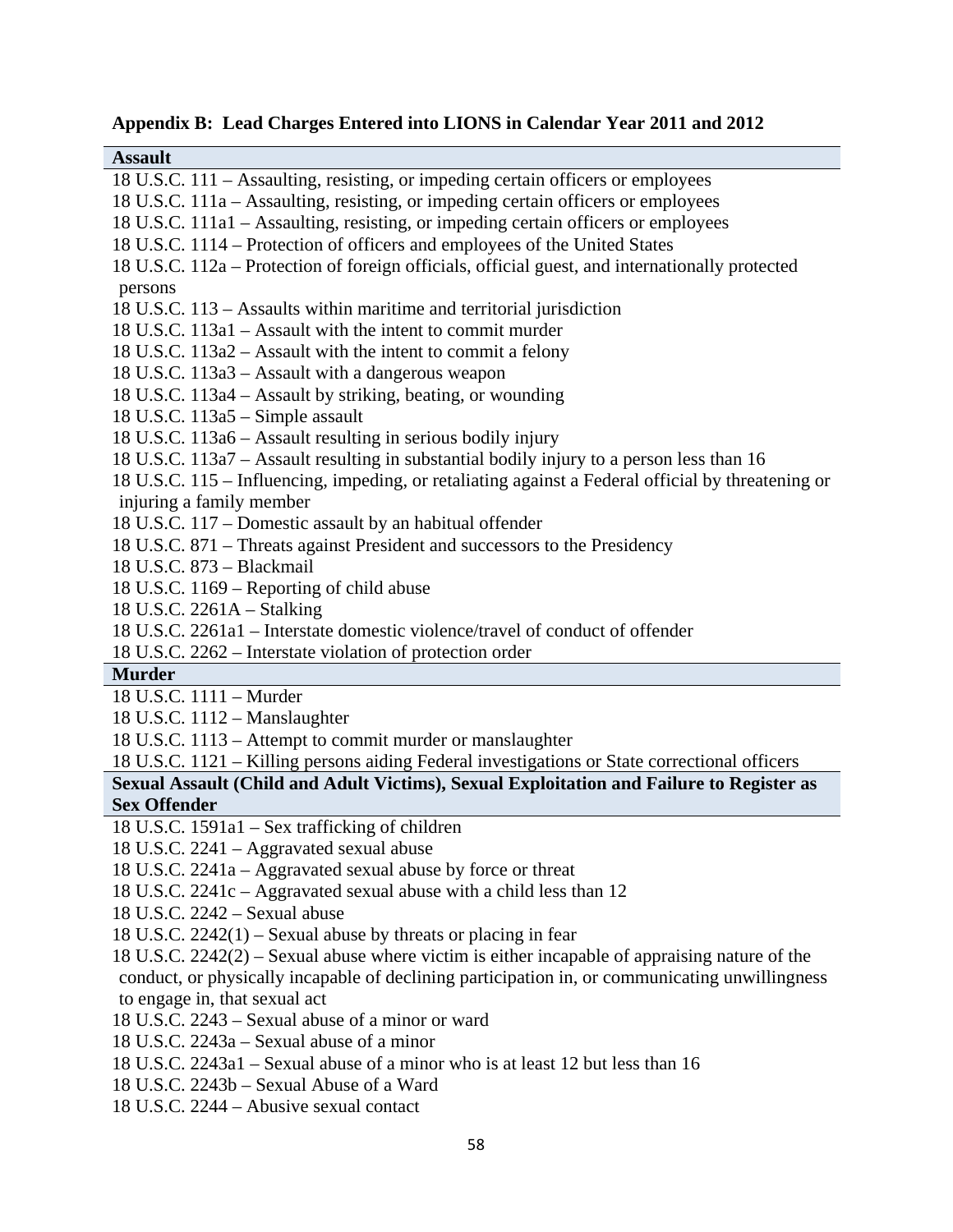| <b>Assault</b>                                                                                     |
|----------------------------------------------------------------------------------------------------|
| 18 U.S.C. 111 – Assaulting, resisting, or impeding certain officers or employees                   |
| 18 U.S.C. 111a – Assaulting, resisting, or impeding certain officers or employees                  |
| 18 U.S.C. 111a1 - Assaulting, resisting, or impeding certain officers or employees                 |
| 18 U.S.C. 1114 – Protection of officers and employees of the United States                         |
| 18 U.S.C. 112a – Protection of foreign officials, official guest, and internationally protected    |
| persons                                                                                            |
| 18 U.S.C. 113 – Assaults within maritime and territorial jurisdiction                              |
| 18 U.S.C. 113a1 – Assault with the intent to commit murder                                         |
| 18 U.S.C. 113a2 – Assault with the intent to commit a felony                                       |
| 18 U.S.C. 113a3 – Assault with a dangerous weapon                                                  |
| 18 U.S.C. 113a4 - Assault by striking, beating, or wounding                                        |
| $18$ U.S.C. $113a5 -$ Simple assault                                                               |
| 18 U.S.C. 113a6 - Assault resulting in serious bodily injury                                       |
| 18 U.S.C. 113a7 – Assault resulting in substantial bodily injury to a person less than 16          |
| 18 U.S.C. 115 – Influencing, impeding, or retaliating against a Federal official by threatening or |
| injuring a family member                                                                           |
| 18 U.S.C. 117 - Domestic assault by an habitual offender                                           |
| 18 U.S.C. 871 – Threats against President and successors to the Presidency                         |
| 18 U.S.C. 873 - Blackmail                                                                          |
| 18 U.S.C. 1169 – Reporting of child abuse                                                          |
| 18 U.S.C. 2261A - Stalking                                                                         |
| 18 U.S.C. 2261a1 – Interstate domestic violence/travel of conduct of offender                      |
| 18 U.S.C. 2262 – Interstate violation of protection order                                          |
| <b>Murder</b>                                                                                      |
| 18 U.S.C. 1111 - Murder                                                                            |
| 18 U.S.C. 1112 - Manslaughter                                                                      |
| 18 U.S.C. 1113 - Attempt to commit murder or manslaughter                                          |
| 18 U.S.C. 1121 - Killing persons aiding Federal investigations or State correctional officers      |
| Sexual Assault (Child and Adult Victims), Sexual Exploitation and Failure to Register as           |
| <b>Sex Offender</b>                                                                                |
| 18 U.S.C. 1591a1 – Sex trafficking of children                                                     |
| 18 U.S.C. 2241 – Aggravated sexual abuse                                                           |
| 18 U.S.C. 2241a - Aggravated sexual abuse by force or threat                                       |
| 18 U.S.C. 2241c – Aggravated sexual abuse with a child less than 12                                |
| 18 U.S.C. 2242 - Sexual abuse                                                                      |
| 18 U.S.C. $2242(1)$ – Sexual abuse by threats or placing in fear                                   |
| 18 U.S.C. 2242(2) – Sexual abuse where victim is either incapable of appraising nature of the      |
| conduct, or physically incapable of declining participation in, or communicating unwillingness     |
| to engage in, that sexual act                                                                      |

**Appendix B: Lead Charges Entered into LIONS in Calendar Year 2011 and 2012**

18 U.S.C. 2243 – Sexual abuse of a minor or ward

18 U.S.C. 2243a – Sexual abuse of a minor

18 U.S.C. 2243a1 – Sexual abuse of a minor who is at least 12 but less than 16

18 U.S.C. 2243b – Sexual Abuse of a Ward

18 U.S.C. 2244 – Abusive sexual contact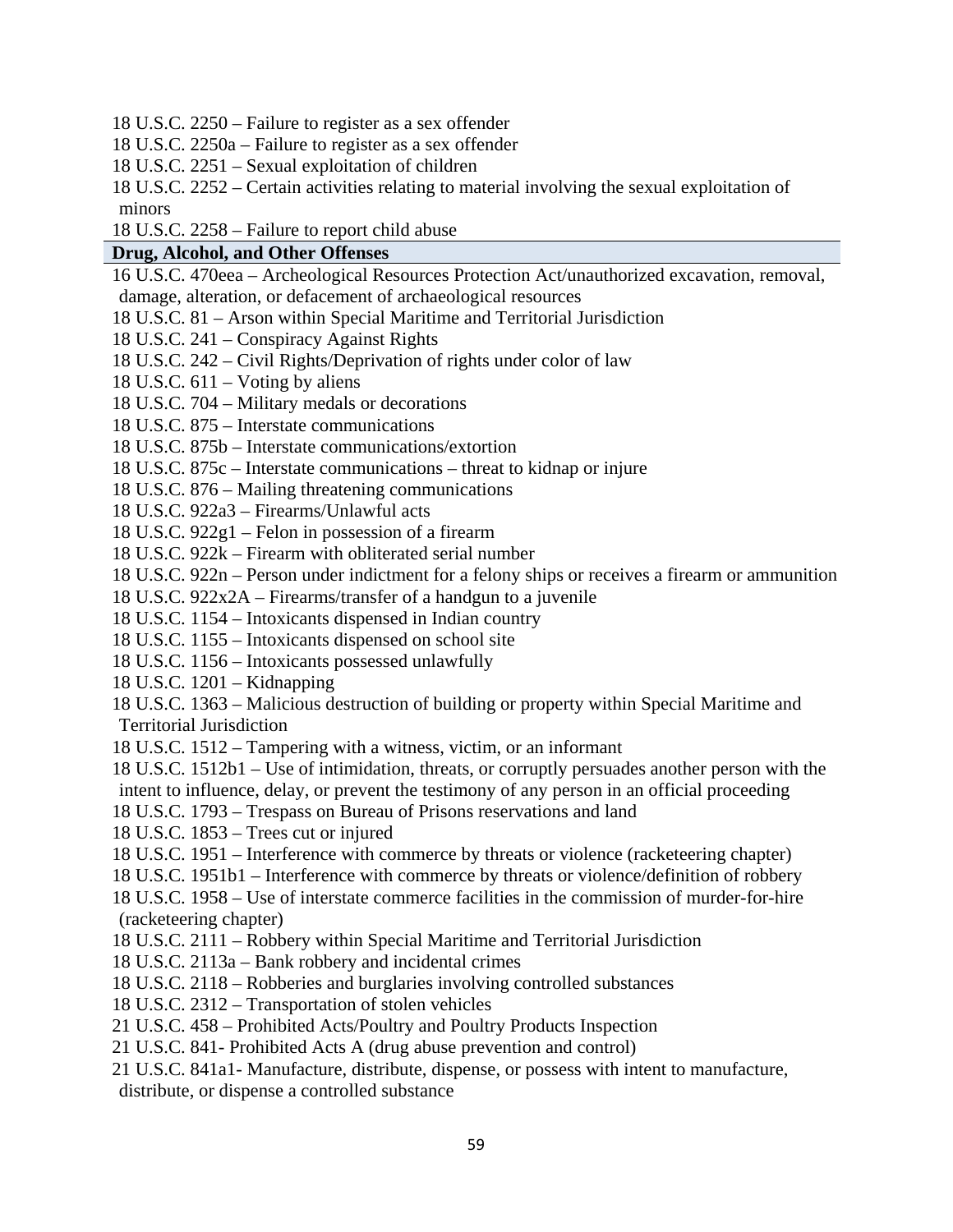18 U.S.C. 2250 – Failure to register as a sex offender

18 U.S.C. 2250a – Failure to register as a sex offender

- 18 U.S.C. 2251 Sexual exploitation of children
- 18 U.S.C. 2252 Certain activities relating to material involving the sexual exploitation of minors
- 18 U.S.C. 2258 Failure to report child abuse

## **Drug, Alcohol, and Other Offenses**

16 U.S.C. 470eea – Archeological Resources Protection Act/unauthorized excavation, removal, damage, alteration, or defacement of archaeological resources

- 18 U.S.C. 81 Arson within Special Maritime and Territorial Jurisdiction
- 18 U.S.C. 241 Conspiracy Against Rights
- 18 U.S.C. 242 Civil Rights/Deprivation of rights under color of law
- 18 U.S.C. 611 Voting by aliens
- 18 U.S.C. 704 Military medals or decorations
- 18 U.S.C. 875 Interstate communications
- 18 U.S.C. 875b Interstate communications/extortion
- 18 U.S.C. 875c Interstate communications threat to kidnap or injure
- 18 U.S.C. 876 Mailing threatening communications
- 18 U.S.C. 922a3 Firearms/Unlawful acts
- 18 U.S.C. 922g1 Felon in possession of a firearm
- 18 U.S.C. 922k Firearm with obliterated serial number
- 18 U.S.C. 922n Person under indictment for a felony ships or receives a firearm or ammunition
- 18 U.S.C. 922x2A Firearms/transfer of a handgun to a juvenile
- 18 U.S.C. 1154 Intoxicants dispensed in Indian country
- 18 U.S.C. 1155 Intoxicants dispensed on school site
- 18 U.S.C. 1156 Intoxicants possessed unlawfully
- 18 U.S.C. 1201 Kidnapping
- 18 U.S.C. 1363 Malicious destruction of building or property within Special Maritime and Territorial Jurisdiction
- 18 U.S.C. 1512 Tampering with a witness, victim, or an informant
- 18 U.S.C. 1512b1 Use of intimidation, threats, or corruptly persuades another person with the intent to influence, delay, or prevent the testimony of any person in an official proceeding
- 18 U.S.C. 1793 Trespass on Bureau of Prisons reservations and land
- 18 U.S.C. 1853 Trees cut or injured
- 18 U.S.C. 1951 Interference with commerce by threats or violence (racketeering chapter)
- 18 U.S.C. 1951b1 Interference with commerce by threats or violence/definition of robbery
- 18 U.S.C. 1958 Use of interstate commerce facilities in the commission of murder-for-hire (racketeering chapter)
- 18 U.S.C. 2111 Robbery within Special Maritime and Territorial Jurisdiction
- 18 U.S.C. 2113a Bank robbery and incidental crimes
- 18 U.S.C. 2118 Robberies and burglaries involving controlled substances
- 18 U.S.C. 2312 Transportation of stolen vehicles
- 21 U.S.C. 458 Prohibited Acts/Poultry and Poultry Products Inspection
- 21 U.S.C. 841- Prohibited Acts A (drug abuse prevention and control)
- 21 U.S.C. 841a1- Manufacture, distribute, dispense, or possess with intent to manufacture, distribute, or dispense a controlled substance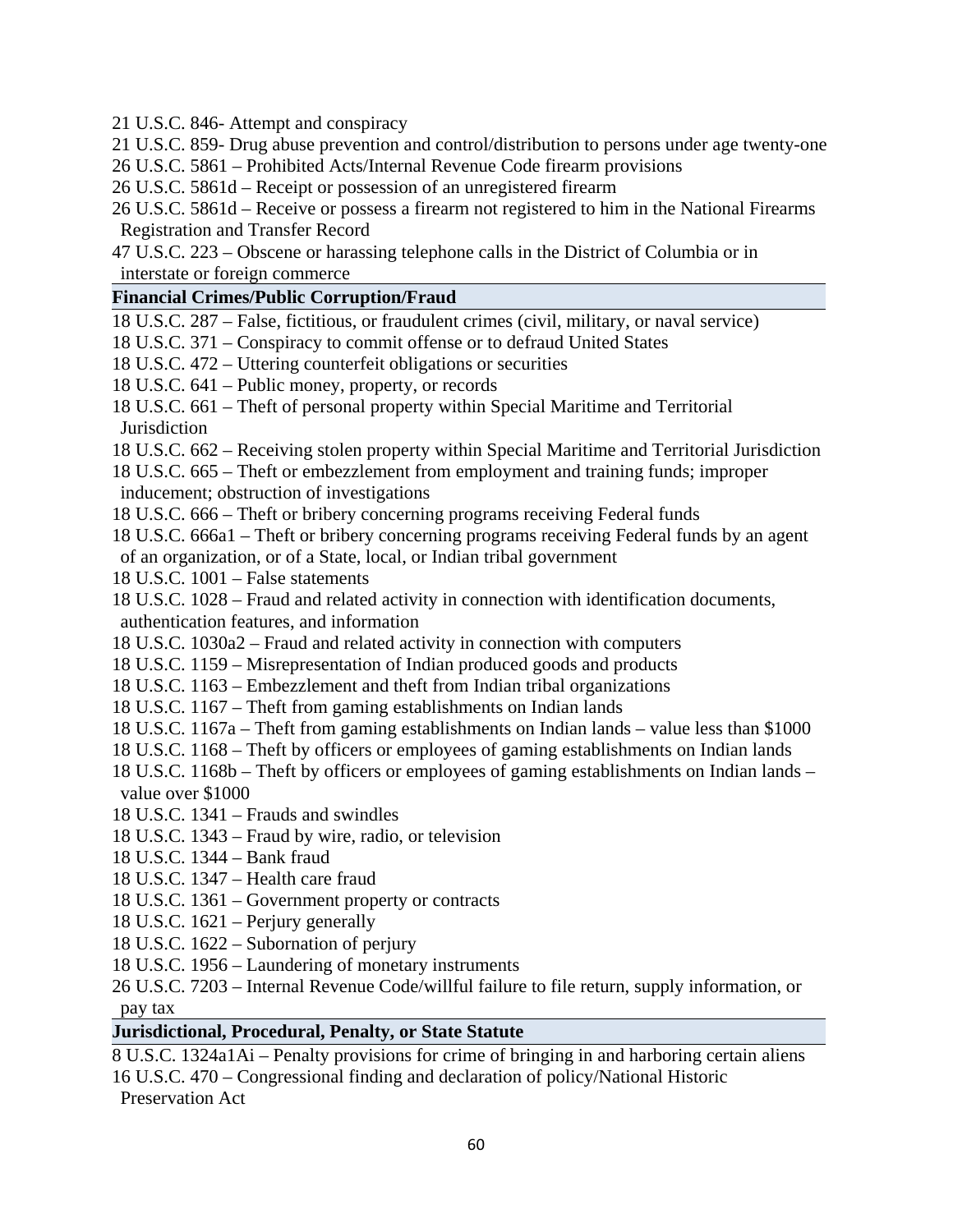21 U.S.C. 846- Attempt and conspiracy

- 21 U.S.C. 859- Drug abuse prevention and control/distribution to persons under age twenty-one
- 26 U.S.C. 5861 Prohibited Acts/Internal Revenue Code firearm provisions
- 26 U.S.C. 5861d Receipt or possession of an unregistered firearm
- 26 U.S.C. 5861d Receive or possess a firearm not registered to him in the National Firearms Registration and Transfer Record
- 47 U.S.C. 223 Obscene or harassing telephone calls in the District of Columbia or in interstate or foreign commerce

# **Financial Crimes/Public Corruption/Fraud**

- 18 U.S.C. 287 False, fictitious, or fraudulent crimes (civil, military, or naval service)
- 18 U.S.C. 371 Conspiracy to commit offense or to defraud United States
- 18 U.S.C. 472 Uttering counterfeit obligations or securities
- 18 U.S.C. 641 Public money, property, or records
- 18 U.S.C. 661 Theft of personal property within Special Maritime and Territorial **Jurisdiction**
- 18 U.S.C. 662 Receiving stolen property within Special Maritime and Territorial Jurisdiction
- 18 U.S.C. 665 Theft or embezzlement from employment and training funds; improper inducement; obstruction of investigations
- 18 U.S.C. 666 Theft or bribery concerning programs receiving Federal funds
- 18 U.S.C. 666a1 Theft or bribery concerning programs receiving Federal funds by an agent
- of an organization, or of a State, local, or Indian tribal government
- 18 U.S.C. 1001 False statements
- 18 U.S.C. 1028 Fraud and related activity in connection with identification documents, authentication features, and information
- 18 U.S.C. 1030a2 Fraud and related activity in connection with computers
- 18 U.S.C. 1159 Misrepresentation of Indian produced goods and products
- 18 U.S.C. 1163 Embezzlement and theft from Indian tribal organizations
- 18 U.S.C. 1167 Theft from gaming establishments on Indian lands
- 18 U.S.C. 1167a Theft from gaming establishments on Indian lands value less than \$1000
- 18 U.S.C. 1168 Theft by officers or employees of gaming establishments on Indian lands
- 18 U.S.C. 1168b Theft by officers or employees of gaming establishments on Indian lands value over \$1000
- 18 U.S.C. 1341 Frauds and swindles
- 18 U.S.C. 1343 Fraud by wire, radio, or television
- 18 U.S.C. 1344 Bank fraud
- 18 U.S.C. 1347 Health care fraud
- 18 U.S.C. 1361 Government property or contracts
- 18 U.S.C. 1621 Perjury generally
- 18 U.S.C. 1622 Subornation of perjury
- 18 U.S.C. 1956 Laundering of monetary instruments
- 26 U.S.C. 7203 Internal Revenue Code/willful failure to file return, supply information, or pay tax

# **Jurisdictional, Procedural, Penalty, or State Statute**

8 U.S.C. 1324a1Ai – Penalty provisions for crime of bringing in and harboring certain aliens 16 U.S.C. 470 – Congressional finding and declaration of policy/National Historic Preservation Act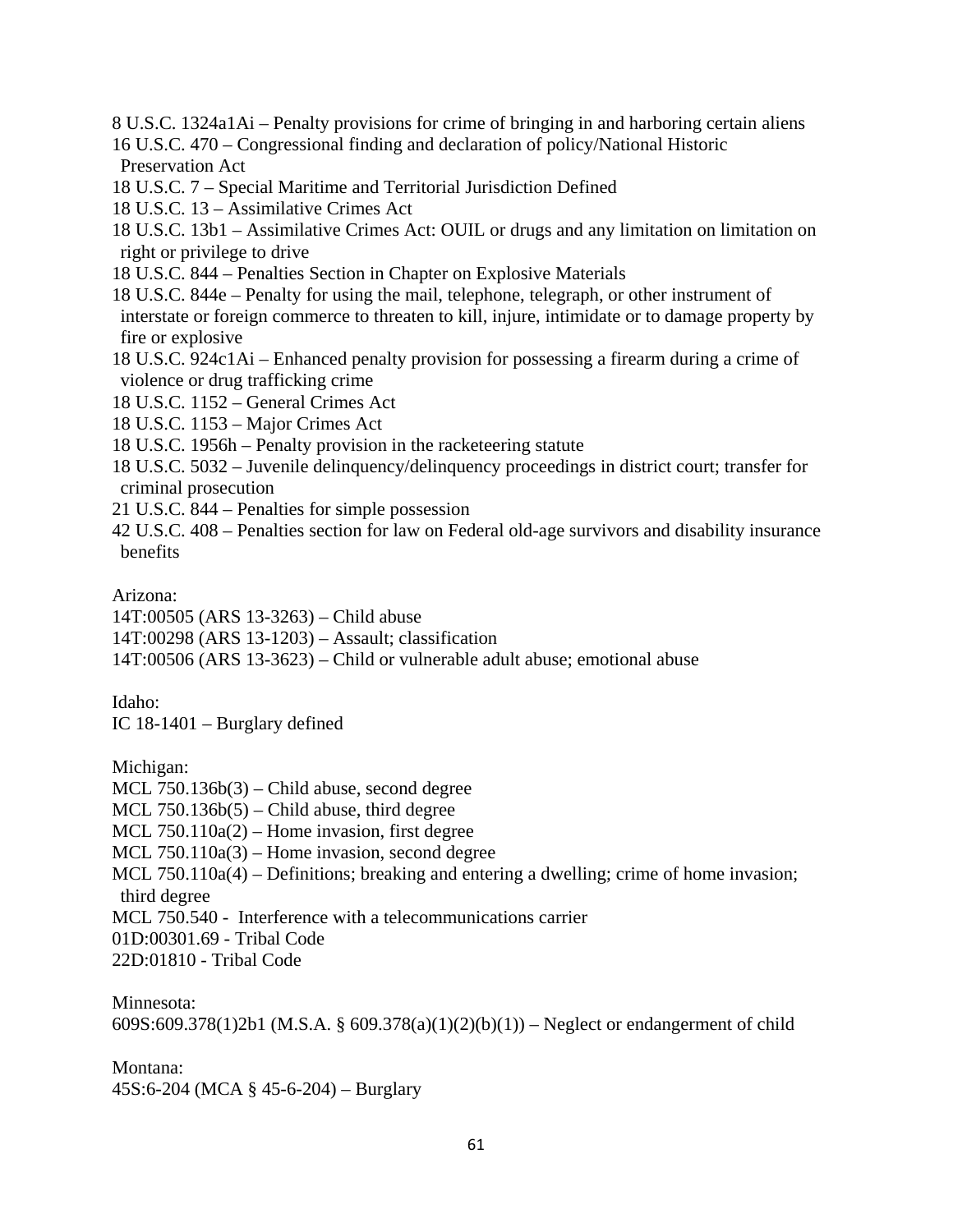8 U.S.C. 1324a1Ai – Penalty provisions for crime of bringing in and harboring certain aliens

16 U.S.C. 470 – Congressional finding and declaration of policy/National Historic Preservation Act

18 U.S.C. 7 – Special Maritime and Territorial Jurisdiction Defined

- 18 U.S.C. 13 Assimilative Crimes Act
- 18 U.S.C. 13b1 Assimilative Crimes Act: OUIL or drugs and any limitation on limitation on right or privilege to drive
- 18 U.S.C. 844 Penalties Section in Chapter on Explosive Materials
- 18 U.S.C. 844e Penalty for using the mail, telephone, telegraph, or other instrument of interstate or foreign commerce to threaten to kill, injure, intimidate or to damage property by fire or explosive
- 18 U.S.C. 924c1Ai Enhanced penalty provision for possessing a firearm during a crime of violence or drug trafficking crime
- 18 U.S.C. 1152 General Crimes Act
- 18 U.S.C. 1153 Major Crimes Act
- 18 U.S.C. 1956h Penalty provision in the racketeering statute
- 18 U.S.C. 5032 Juvenile delinquency/delinquency proceedings in district court; transfer for criminal prosecution
- 21 U.S.C. 844 Penalties for simple possession
- 42 U.S.C. 408 Penalties section for law on Federal old-age survivors and disability insurance benefits

Arizona:

14T:00505 (ARS 13-3263) – Child abuse

14T:00298 (ARS 13-1203) – Assault; classification

14T:00506 (ARS 13-3623) – Child or vulnerable adult abuse; emotional abuse

# Idaho:

IC 18-1401 – Burglary defined

Michigan:

MCL 750.136b(3) – Child abuse, second degree  $MCL$  750.136b(5) – Child abuse, third degree MCL  $750.110a(2)$  – Home invasion, first degree MCL 750.110a(3) – Home invasion, second degree MCL 750.110a(4) – Definitions; breaking and entering a dwelling; crime of home invasion; third degree MCL 750.540 - Interference with a telecommunications carrier 01D:00301.69 - Tribal Code 22D:01810 - Tribal Code

Minnesota:

609S:609.378(1)2b1 (M.S.A. § 609.378(a)(1)(2)(b)(1)) – Neglect or endangerment of child

# Montana:

45S:6-204 (MCA § 45-6-204) – Burglary